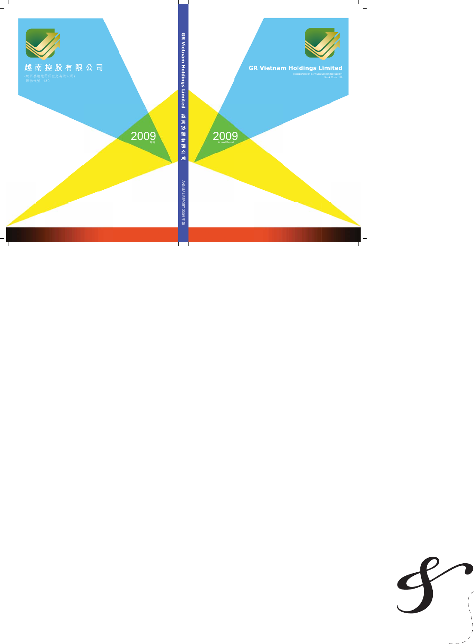

## **GR Vietnam Holdings Limited**

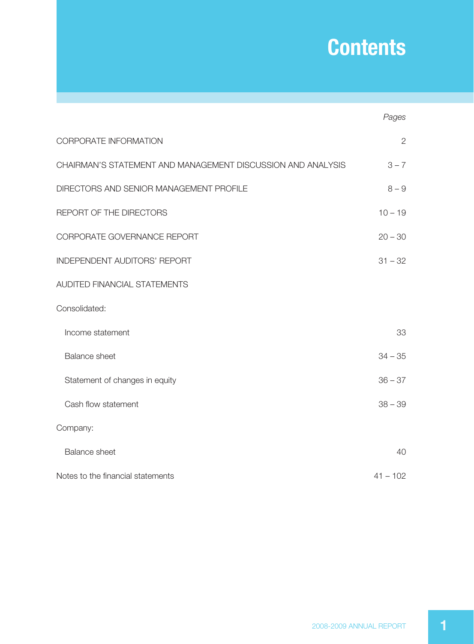# **Contents**

|                                                             | Pages        |
|-------------------------------------------------------------|--------------|
| CORPORATE INFORMATION                                       | $\mathbf{2}$ |
| CHAIRMAN'S STATEMENT AND MANAGEMENT DISCUSSION AND ANALYSIS | $3 - 7$      |
| DIRECTORS AND SENIOR MANAGEMENT PROFILE                     | $8 - 9$      |
| REPORT OF THE DIRECTORS                                     | $10 - 19$    |
| CORPORATE GOVERNANCE REPORT                                 | $20 - 30$    |
| INDEPENDENT AUDITORS' REPORT                                | $31 - 32$    |
| AUDITED FINANCIAL STATEMENTS                                |              |
| Consolidated:                                               |              |
| Income statement                                            | 33           |
| <b>Balance sheet</b>                                        | $34 - 35$    |
| Statement of changes in equity                              | $36 - 37$    |
| Cash flow statement                                         | $38 - 39$    |
| Company:                                                    |              |
| <b>Balance sheet</b>                                        | 40           |
| Notes to the financial statements                           | $41 - 102$   |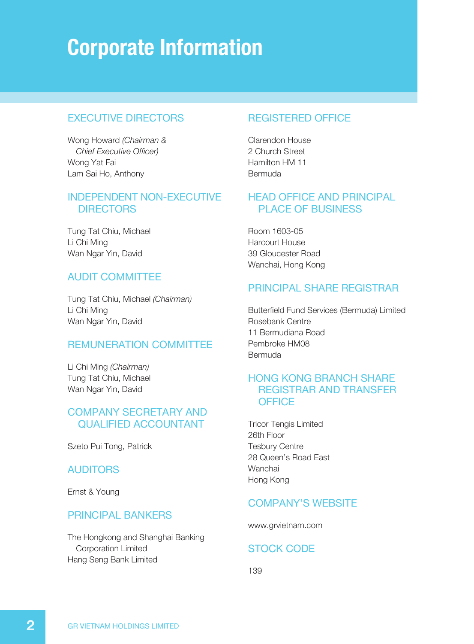## **Corporate Information**

#### EXECUTIVE DIRECTORS

Wong Howard *(Chairman & Chief Executive Officer)* Wong Yat Fai Lam Sai Ho, Anthony

#### INDEPENDENT NON-EXECUTIVE **DIRECTORS**

Tung Tat Chiu, Michael Li Chi Ming Wan Ngar Yin, David

#### AUDIT COMMITTEE

Tung Tat Chiu, Michael *(Chairman)* Li Chi Ming Wan Ngar Yin, David

#### REMUNERATION COMMITTEE

Li Chi Ming *(Chairman)* Tung Tat Chiu, Michael Wan Ngar Yin, David

#### COMPANY SECRETARY AND QUALIFIED ACCOUNTANT

Szeto Pui Tong, Patrick

#### AUDITORS

Ernst & Young

#### PRINCIPAL BANKERS

The Hongkong and Shanghai Banking Corporation Limited Hang Seng Bank Limited

#### REGISTERED OFFICE

Clarendon House 2 Church Street Hamilton HM 11 Bermuda

### HEAD OFFICE AND PRINCIPAL PLACE OF BUSINESS

Room 1603-05 Harcourt House 39 Gloucester Road Wanchai, Hong Kong

#### PRINCIPAL SHARE REGISTRAR

Butterfield Fund Services (Bermuda) Limited Rosebank Centre 11 Bermudiana Road Pembroke HM08 **Bermuda** 

#### HONG KONG BRANCH SHARE REGISTRAR AND TRANSFER **OFFICE**

Tricor Tengis Limited 26th Floor Tesbury Centre 28 Queen's Road East Wanchai Hong Kong

#### COMPANY'S WEBSITE

www.grvietnam.com

#### STOCK CODE

139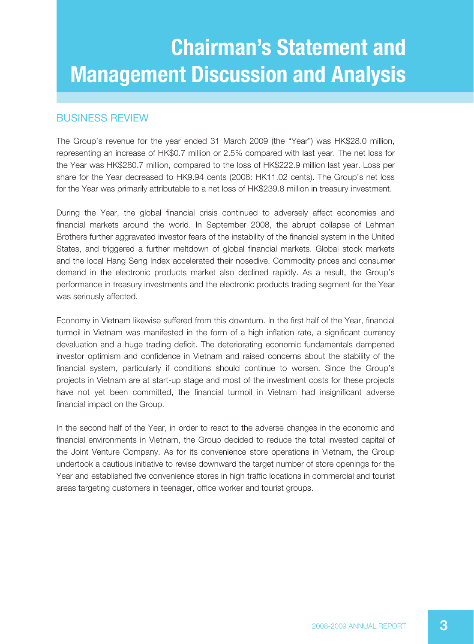#### BUSINESS REVIEW

The Group's revenue for the year ended 31 March 2009 (the "Year") was HK\$28.0 million, representing an increase of HK\$0.7 million or 2.5% compared with last year. The net loss for the Year was HK\$280.7 million, compared to the loss of HK\$222.9 million last year. Loss per share for the Year decreased to HK9.94 cents (2008: HK11.02 cents). The Group's net loss for the Year was primarily attributable to a net loss of HK\$239.8 million in treasury investment.

During the Year, the global financial crisis continued to adversely affect economies and financial markets around the world. In September 2008, the abrupt collapse of Lehman Brothers further aggravated investor fears of the instability of the financial system in the United States, and triggered a further meltdown of global financial markets. Global stock markets and the local Hang Seng Index accelerated their nosedive. Commodity prices and consumer demand in the electronic products market also declined rapidly. As a result, the Group's performance in treasury investments and the electronic products trading segment for the Year was seriously affected.

Economy in Vietnam likewise suffered from this downturn. In the first half of the Year, financial turmoil in Vietnam was manifested in the form of a high inflation rate, a significant currency devaluation and a huge trading deficit. The deteriorating economic fundamentals dampened investor optimism and confidence in Vietnam and raised concerns about the stability of the financial system, particularly if conditions should continue to worsen. Since the Group's projects in Vietnam are at start-up stage and most of the investment costs for these projects have not yet been committed, the financial turmoil in Vietnam had insignificant adverse financial impact on the Group.

In the second half of the Year, in order to react to the adverse changes in the economic and financial environments in Vietnam, the Group decided to reduce the total invested capital of the Joint Venture Company. As for its convenience store operations in Vietnam, the Group undertook a cautious initiative to revise downward the target number of store openings for the Year and established five convenience stores in high traffic locations in commercial and tourist areas targeting customers in teenager, office worker and tourist groups.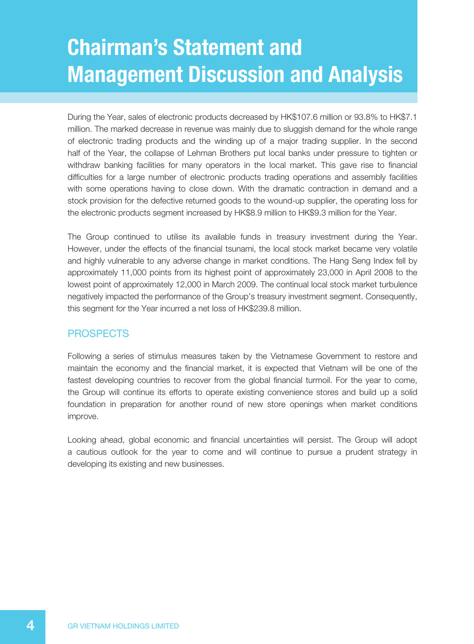During the Year, sales of electronic products decreased by HK\$107.6 million or 93.8% to HK\$7.1 million. The marked decrease in revenue was mainly due to sluggish demand for the whole range of electronic trading products and the winding up of a major trading supplier. In the second half of the Year, the collapse of Lehman Brothers put local banks under pressure to tighten or withdraw banking facilities for many operators in the local market. This gave rise to financial difficulties for a large number of electronic products trading operations and assembly facilities with some operations having to close down. With the dramatic contraction in demand and a stock provision for the defective returned goods to the wound-up supplier, the operating loss for the electronic products segment increased by HK\$8.9 million to HK\$9.3 million for the Year.

The Group continued to utilise its available funds in treasury investment during the Year. However, under the effects of the financial tsunami, the local stock market became very volatile and highly vulnerable to any adverse change in market conditions. The Hang Seng Index fell by approximately 11,000 points from its highest point of approximately 23,000 in April 2008 to the lowest point of approximately 12,000 in March 2009. The continual local stock market turbulence negatively impacted the performance of the Group's treasury investment segment. Consequently, this segment for the Year incurred a net loss of HK\$239.8 million.

#### **PROSPECTS**

Following a series of stimulus measures taken by the Vietnamese Government to restore and maintain the economy and the financial market, it is expected that Vietnam will be one of the fastest developing countries to recover from the global financial turmoil. For the year to come, the Group will continue its efforts to operate existing convenience stores and build up a solid foundation in preparation for another round of new store openings when market conditions improve.

Looking ahead, global economic and financial uncertainties will persist. The Group will adopt a cautious outlook for the year to come and will continue to pursue a prudent strategy in developing its existing and new businesses.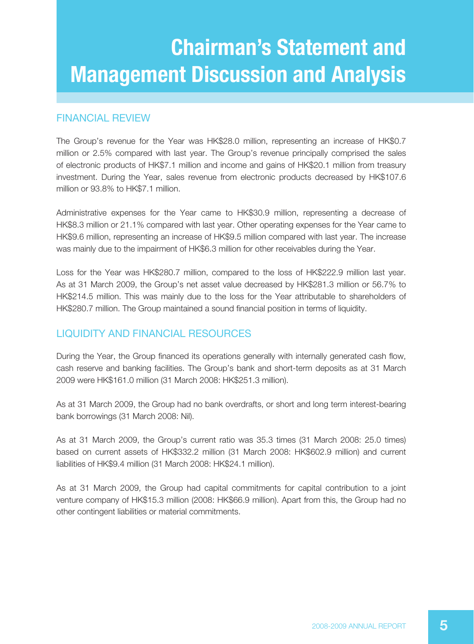#### FINANCIAL REVIEW

The Group's revenue for the Year was HK\$28.0 million, representing an increase of HK\$0.7 million or 2.5% compared with last year. The Group's revenue principally comprised the sales of electronic products of HK\$7.1 million and income and gains of HK\$20.1 million from treasury investment. During the Year, sales revenue from electronic products decreased by HK\$107.6 million or 93.8% to HK\$7.1 million.

Administrative expenses for the Year came to HK\$30.9 million, representing a decrease of HK\$8.3 million or 21.1% compared with last year. Other operating expenses for the Year came to HK\$9.6 million, representing an increase of HK\$9.5 million compared with last year. The increase was mainly due to the impairment of HK\$6.3 million for other receivables during the Year.

Loss for the Year was HK\$280.7 million, compared to the loss of HK\$222.9 million last year. As at 31 March 2009, the Group's net asset value decreased by HK\$281.3 million or 56.7% to HK\$214.5 million. This was mainly due to the loss for the Year attributable to shareholders of HK\$280.7 million. The Group maintained a sound financial position in terms of liquidity.

#### LIQUIDITY AND FINANCIAL RESOURCES

During the Year, the Group financed its operations generally with internally generated cash flow, cash reserve and banking facilities. The Group's bank and short-term deposits as at 31 March 2009 were HK\$161.0 million (31 March 2008: HK\$251.3 million).

As at 31 March 2009, the Group had no bank overdrafts, or short and long term interest-bearing bank borrowings (31 March 2008: Nil).

As at 31 March 2009, the Group's current ratio was 35.3 times (31 March 2008: 25.0 times) based on current assets of HK\$332.2 million (31 March 2008: HK\$602.9 million) and current liabilities of HK\$9.4 million (31 March 2008: HK\$24.1 million).

As at 31 March 2009, the Group had capital commitments for capital contribution to a joint venture company of HK\$15.3 million (2008: HK\$66.9 million). Apart from this, the Group had no other contingent liabilities or material commitments.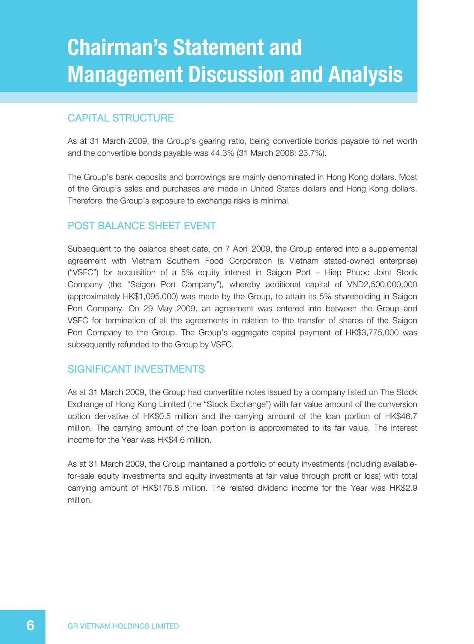#### CAPITAL STRUCTURE

As at 31 March 2009, the Group's gearing ratio, being convertible bonds payable to net worth and the convertible bonds payable was 44.3% (31 March 2008: 23.7%).

The Group's bank deposits and borrowings are mainly denominated in Hong Kong dollars. Most of the Group's sales and purchases are made in United States dollars and Hong Kong dollars. Therefore, the Group's exposure to exchange risks is minimal.

#### POST BALANCE SHEET EVENT

Subsequent to the balance sheet date, on 7 April 2009, the Group entered into a supplemental agreement with Vietnam Southern Food Corporation (a Vietnam stated-owned enterprise) ("VSFC") for acquisition of a 5% equity interest in Saigon Port – Hiep Phuoc Joint Stock Company (the "Saigon Port Company"), whereby additional capital of VND2,500,000,000 (approximately HK\$1,095,000) was made by the Group, to attain its 5% shareholding in Saigon Port Company. On 29 May 2009, an agreement was entered into between the Group and VSFC for termination of all the agreements in relation to the transfer of shares of the Saigon Port Company to the Group. The Group's aggregate capital payment of HK\$3,775,000 was subsequently refunded to the Group by VSFC.

#### SIGNIFICANT INVESTMENTS

As at 31 March 2009, the Group had convertible notes issued by a company listed on The Stock Exchange of Hong Kong Limited (the "Stock Exchange") with fair value amount of the conversion option derivative of HK\$0.5 million and the carrying amount of the loan portion of HK\$46.7 million. The carrying amount of the loan portion is approximated to its fair value. The interest income for the Year was HK\$4.6 million.

As at 31 March 2009, the Group maintained a portfolio of equity investments (including availablefor-sale equity investments and equity investments at fair value through profit or loss) with total carrying amount of HK\$176.8 million. The related dividend income for the Year was HK\$2.9 million.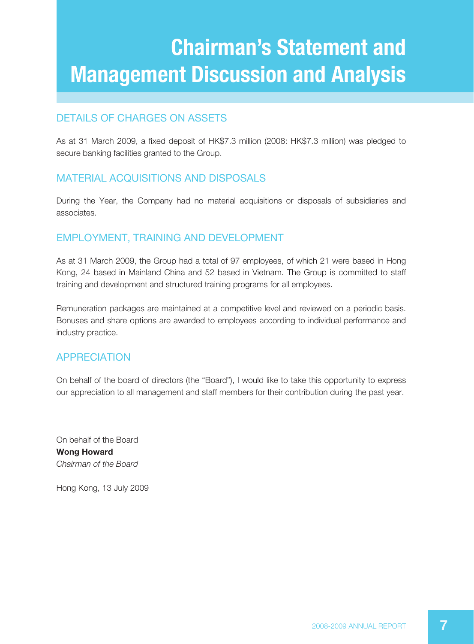### DETAILS OF CHARGES ON ASSETS

As at 31 March 2009, a fixed deposit of HK\$7.3 million (2008: HK\$7.3 million) was pledged to secure banking facilities granted to the Group.

### MATERIAL ACQUISITIONS AND DISPOSALS

During the Year, the Company had no material acquisitions or disposals of subsidiaries and associates.

### EMPLOYMENT, TRAINING AND DEVELOPMENT

As at 31 March 2009, the Group had a total of 97 employees, of which 21 were based in Hong Kong, 24 based in Mainland China and 52 based in Vietnam. The Group is committed to staff training and development and structured training programs for all employees.

Remuneration packages are maintained at a competitive level and reviewed on a periodic basis. Bonuses and share options are awarded to employees according to individual performance and industry practice.

### APPRECIATION

On behalf of the board of directors (the "Board"), I would like to take this opportunity to express our appreciation to all management and staff members for their contribution during the past year.

On behalf of the Board **Wong Howard** *Chairman of the Board*

Hong Kong, 13 July 2009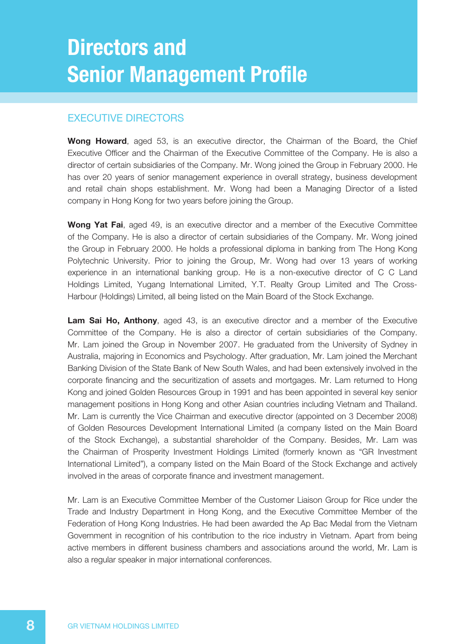# **Directors and Senior Management Profile**

#### EXECUTIVE DIRECTORS

**Wong Howard**, aged 53, is an executive director, the Chairman of the Board, the Chief Executive Officer and the Chairman of the Executive Committee of the Company. He is also a director of certain subsidiaries of the Company. Mr. Wong joined the Group in February 2000. He has over 20 years of senior management experience in overall strategy, business development and retail chain shops establishment. Mr. Wong had been a Managing Director of a listed company in Hong Kong for two years before joining the Group.

**Wong Yat Fai**, aged 49, is an executive director and a member of the Executive Committee of the Company. He is also a director of certain subsidiaries of the Company. Mr. Wong joined the Group in February 2000. He holds a professional diploma in banking from The Hong Kong Polytechnic University. Prior to joining the Group, Mr. Wong had over 13 years of working experience in an international banking group. He is a non-executive director of C C Land Holdings Limited, Yugang International Limited, Y.T. Realty Group Limited and The Cross-Harbour (Holdings) Limited, all being listed on the Main Board of the Stock Exchange.

**Lam Sai Ho, Anthony**, aged 43, is an executive director and a member of the Executive Committee of the Company. He is also a director of certain subsidiaries of the Company. Mr. Lam joined the Group in November 2007. He graduated from the University of Sydney in Australia, majoring in Economics and Psychology. After graduation, Mr. Lam joined the Merchant Banking Division of the State Bank of New South Wales, and had been extensively involved in the corporate financing and the securitization of assets and mortgages. Mr. Lam returned to Hong Kong and joined Golden Resources Group in 1991 and has been appointed in several key senior management positions in Hong Kong and other Asian countries including Vietnam and Thailand. Mr. Lam is currently the Vice Chairman and executive director (appointed on 3 December 2008) of Golden Resources Development International Limited (a company listed on the Main Board of the Stock Exchange), a substantial shareholder of the Company. Besides, Mr. Lam was the Chairman of Prosperity Investment Holdings Limited (formerly known as "GR Investment International Limited"), a company listed on the Main Board of the Stock Exchange and actively involved in the areas of corporate finance and investment management.

Mr. Lam is an Executive Committee Member of the Customer Liaison Group for Rice under the Trade and Industry Department in Hong Kong, and the Executive Committee Member of the Federation of Hong Kong Industries. He had been awarded the Ap Bac Medal from the Vietnam Government in recognition of his contribution to the rice industry in Vietnam. Apart from being active members in different business chambers and associations around the world, Mr. Lam is also a regular speaker in major international conferences.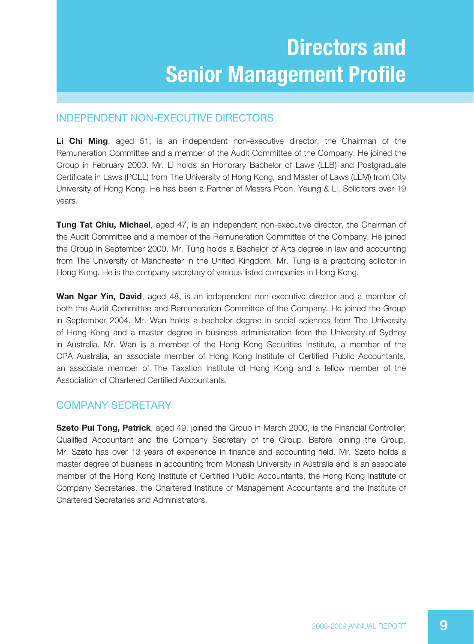# **Directors and Senior Management Profile**

#### INDEPENDENT NON-EXECUTIVE DIRECTORS

**Li Chi Ming**, aged 51, is an independent non-executive director, the Chairman of the Remuneration Committee and a member of the Audit Committee of the Company. He joined the Group in February 2000. Mr. Li holds an Honorary Bachelor of Laws (LLB) and Postgraduate Certificate in Laws (PCLL) from The University of Hong Kong, and Master of Laws (LLM) from City University of Hong Kong. He has been a Partner of Messrs Poon, Yeung & Li, Solicitors over 19 years.

**Tung Tat Chiu, Michael**, aged 47, is an independent non-executive director, the Chairman of the Audit Committee and a member of the Remuneration Committee of the Company. He joined the Group in September 2000. Mr. Tung holds a Bachelor of Arts degree in law and accounting from The University of Manchester in the United Kingdom. Mr. Tung is a practicing solicitor in Hong Kong. He is the company secretary of various listed companies in Hong Kong.

**Wan Ngar Yin, David**, aged 48, is an independent non-executive director and a member of both the Audit Committee and Remuneration Committee of the Company. He joined the Group in September 2004. Mr. Wan holds a bachelor degree in social sciences from The University of Hong Kong and a master degree in business administration from the University of Sydney in Australia. Mr. Wan is a member of the Hong Kong Securities Institute, a member of the CPA Australia, an associate member of Hong Kong Institute of Certified Public Accountants, an associate member of The Taxation Institute of Hong Kong and a fellow member of the Association of Chartered Certified Accountants.

#### COMPANY SECRETARY

**Szeto Pui Tong, Patrick**, aged 49, joined the Group in March 2000, is the Financial Controller, Qualified Accountant and the Company Secretary of the Group. Before joining the Group, Mr. Szeto has over 13 years of experience in finance and accounting field. Mr. Szeto holds a master degree of business in accounting from Monash University in Australia and is an associate member of the Hong Kong Institute of Certified Public Accountants, the Hong Kong Institute of Company Secretaries, the Chartered Institute of Management Accountants and the Institute of Chartered Secretaries and Administrators.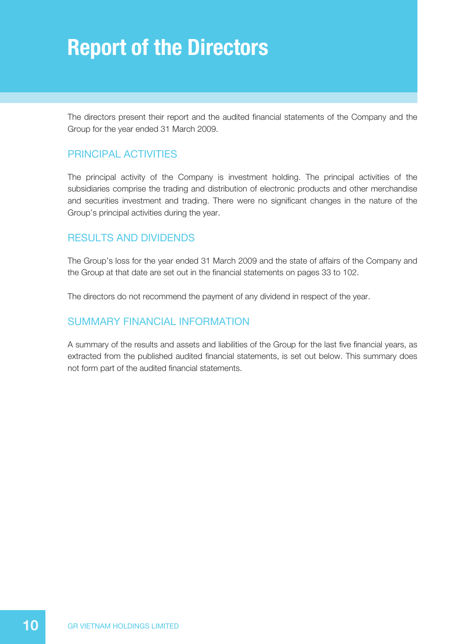The directors present their report and the audited financial statements of the Company and the Group for the year ended 31 March 2009.

#### PRINCIPAL ACTIVITIES

The principal activity of the Company is investment holding. The principal activities of the subsidiaries comprise the trading and distribution of electronic products and other merchandise and securities investment and trading. There were no significant changes in the nature of the Group's principal activities during the year.

#### RESULTS AND DIVIDENDS

The Group's loss for the year ended 31 March 2009 and the state of affairs of the Company and the Group at that date are set out in the financial statements on pages 33 to 102.

The directors do not recommend the payment of any dividend in respect of the year.

### SUMMARY FINANCIAL INFORMATION

A summary of the results and assets and liabilities of the Group for the last five financial years, as extracted from the published audited financial statements, is set out below. This summary does not form part of the audited financial statements.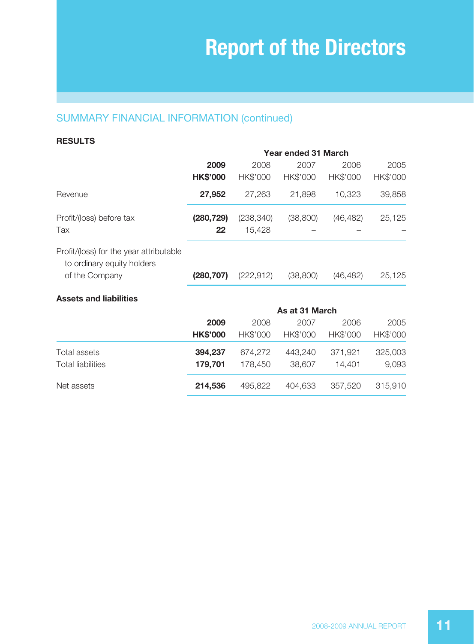### SUMMARY FINANCIAL INFORMATION (continued)

#### **RESULTS**

|                                                                       |                 |            | Year ended 31 March |           |          |
|-----------------------------------------------------------------------|-----------------|------------|---------------------|-----------|----------|
|                                                                       | 2009            | 2008       | 2007                | 2006      | 2005     |
|                                                                       | <b>HK\$'000</b> | HK\$'000   | HK\$'000            | HK\$'000  | HK\$'000 |
| Revenue                                                               | 27,952          | 27,263     | 21,898              | 10,323    | 39,858   |
| Profit/(loss) before tax                                              | (280, 729)      | (238, 340) | (38, 800)           | (46, 482) | 25,125   |
| Tax                                                                   | 22              | 15,428     |                     |           |          |
| Profit/(loss) for the year attributable<br>to ordinary equity holders |                 |            |                     |           |          |
| of the Company                                                        | (280, 707)      | (222, 912) | (38, 800)           | (46, 482) | 25,125   |
| <b>Assets and liabilities</b>                                         |                 |            |                     |           |          |
|                                                                       |                 |            | As at 31 March      |           |          |
|                                                                       | 2009            | 2008       | 2007                | 2006      | 2005     |
|                                                                       | <b>HK\$'000</b> | HK\$'000   | HK\$'000            | HK\$'000  | HK\$'000 |
| <b>Total assets</b>                                                   | 394,237         | 674,272    | 443,240             | 371,921   | 325,003  |
| <b>Total liabilities</b>                                              | 179,701         | 178,450    | 38,607              | 14,401    | 9,093    |
| Net assets                                                            | 214,536         | 495,822    | 404,633             | 357,520   | 315,910  |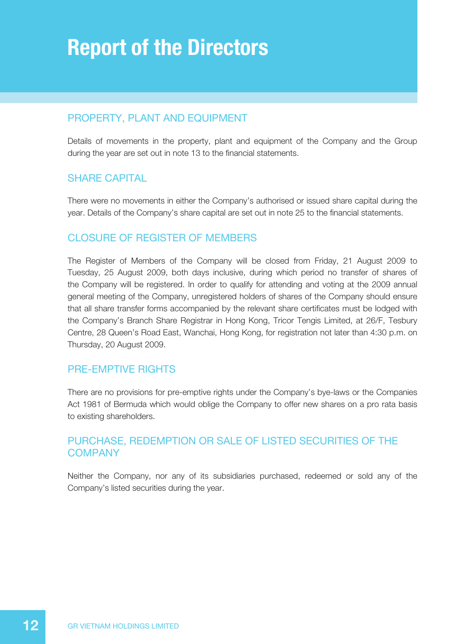### PROPERTY, PLANT AND EQUIPMENT

Details of movements in the property, plant and equipment of the Company and the Group during the year are set out in note 13 to the financial statements.

#### SHARE CAPITAL

There were no movements in either the Company's authorised or issued share capital during the year. Details of the Company's share capital are set out in note 25 to the financial statements.

### CLOSURE OF REGISTER OF MEMBERS

The Register of Members of the Company will be closed from Friday, 21 August 2009 to Tuesday, 25 August 2009, both days inclusive, during which period no transfer of shares of the Company will be registered. In order to qualify for attending and voting at the 2009 annual general meeting of the Company, unregistered holders of shares of the Company should ensure that all share transfer forms accompanied by the relevant share certificates must be lodged with the Company's Branch Share Registrar in Hong Kong, Tricor Tengis Limited, at 26/F, Tesbury Centre, 28 Queen's Road East, Wanchai, Hong Kong, for registration not later than 4:30 p.m. on Thursday, 20 August 2009.

#### PRE-EMPTIVE RIGHTS

There are no provisions for pre-emptive rights under the Company's bye-laws or the Companies Act 1981 of Bermuda which would oblige the Company to offer new shares on a pro rata basis to existing shareholders.

### PURCHASE, REDEMPTION OR SALE OF LISTED SECURITIES OF THE **COMPANY**

Neither the Company, nor any of its subsidiaries purchased, redeemed or sold any of the Company's listed securities during the year.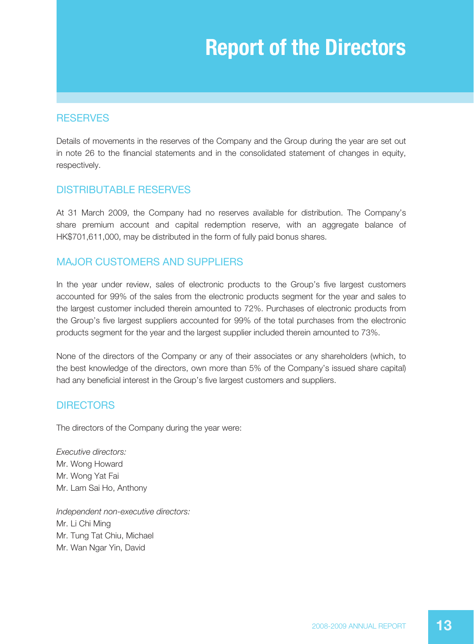#### **RESERVES**

Details of movements in the reserves of the Company and the Group during the year are set out in note 26 to the financial statements and in the consolidated statement of changes in equity, respectively.

#### DISTRIBUTABLE RESERVES

At 31 March 2009, the Company had no reserves available for distribution. The Company's share premium account and capital redemption reserve, with an aggregate balance of HK\$701,611,000, may be distributed in the form of fully paid bonus shares.

#### MAJOR CUSTOMERS AND SUPPLIERS

In the year under review, sales of electronic products to the Group's five largest customers accounted for 99% of the sales from the electronic products segment for the year and sales to the largest customer included therein amounted to 72%. Purchases of electronic products from the Group's five largest suppliers accounted for 99% of the total purchases from the electronic products segment for the year and the largest supplier included therein amounted to 73%.

None of the directors of the Company or any of their associates or any shareholders (which, to the best knowledge of the directors, own more than 5% of the Company's issued share capital) had any beneficial interest in the Group's five largest customers and suppliers.

#### **DIRECTORS**

The directors of the Company during the year were:

*Executive directors:* Mr. Wong Howard Mr. Wong Yat Fai Mr. Lam Sai Ho, Anthony

*Independent non-executive directors:* Mr. Li Chi Ming Mr. Tung Tat Chiu, Michael Mr. Wan Ngar Yin, David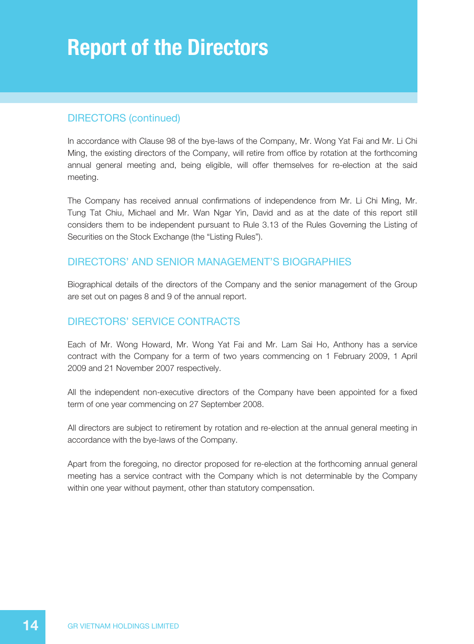#### DIRECTORS (continued)

In accordance with Clause 98 of the bye-laws of the Company, Mr. Wong Yat Fai and Mr. Li Chi Ming, the existing directors of the Company, will retire from office by rotation at the forthcoming annual general meeting and, being eligible, will offer themselves for re-election at the said meeting.

The Company has received annual confirmations of independence from Mr. Li Chi Ming, Mr. Tung Tat Chiu, Michael and Mr. Wan Ngar Yin, David and as at the date of this report still considers them to be independent pursuant to Rule 3.13 of the Rules Governing the Listing of Securities on the Stock Exchange (the "Listing Rules").

#### DIRECTORS' AND SENIOR MANAGEMENT'S BIOGRAPHIES

Biographical details of the directors of the Company and the senior management of the Group are set out on pages 8 and 9 of the annual report.

#### DIRECTORS' SERVICE CONTRACTS

Each of Mr. Wong Howard, Mr. Wong Yat Fai and Mr. Lam Sai Ho, Anthony has a service contract with the Company for a term of two years commencing on 1 February 2009, 1 April 2009 and 21 November 2007 respectively.

All the independent non-executive directors of the Company have been appointed for a fixed term of one year commencing on 27 September 2008.

All directors are subject to retirement by rotation and re-election at the annual general meeting in accordance with the bye-laws of the Company.

Apart from the foregoing, no director proposed for re-election at the forthcoming annual general meeting has a service contract with the Company which is not determinable by the Company within one year without payment, other than statutory compensation.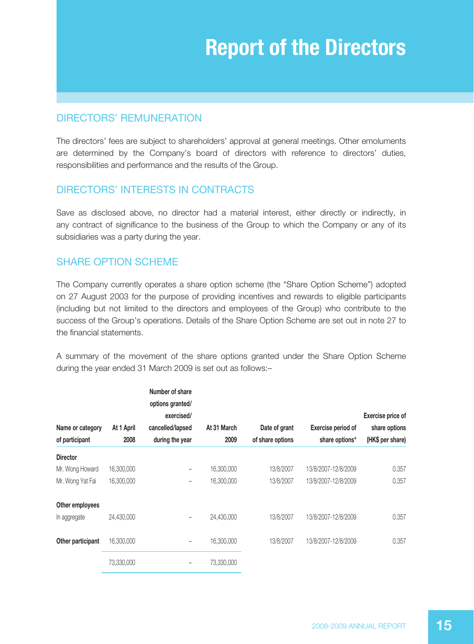#### DIRECTORS' REMUNERATION

The directors' fees are subject to shareholders' approval at general meetings. Other emoluments are determined by the Company's board of directors with reference to directors' duties, responsibilities and performance and the results of the Group.

#### DIRECTORS' INTERESTS IN CONTRACTS

Save as disclosed above, no director had a material interest, either directly or indirectly, in any contract of significance to the business of the Group to which the Company or any of its subsidiaries was a party during the year.

#### SHARE OPTION SCHEME

The Company currently operates a share option scheme (the "Share Option Scheme") adopted on 27 August 2003 for the purpose of providing incentives and rewards to eligible participants (including but not limited to the directors and employees of the Group) who contribute to the success of the Group's operations. Details of the Share Option Scheme are set out in note 27 to the financial statements.

A summary of the movement of the share options granted under the Share Option Scheme during the year ended 31 March 2009 is set out as follows:–

|                   |            | Number of share<br>options granted/<br>exercised/ |             |                  |                           | <b>Exercise price of</b> |
|-------------------|------------|---------------------------------------------------|-------------|------------------|---------------------------|--------------------------|
| Name or category  | At 1 April | cancelled/lapsed                                  | At 31 March | Date of grant    | <b>Exercise period of</b> | share options            |
| of participant    | 2008       | during the year                                   | 2009        | of share options | share options*            | (HK\$ per share)         |
| <b>Director</b>   |            |                                                   |             |                  |                           |                          |
| Mr. Wong Howard   | 16,300,000 | -                                                 | 16,300,000  | 13/8/2007        | 13/8/2007-12/8/2009       | 0.357                    |
| Mr. Wong Yat Fai  | 16,300,000 | $\qquad \qquad -$                                 | 16,300,000  | 13/8/2007        | 13/8/2007-12/8/2009       | 0.357                    |
| Other employees   |            |                                                   |             |                  |                           |                          |
| In aggregate      | 24,430,000 | -                                                 | 24,430,000  | 13/8/2007        | 13/8/2007-12/8/2009       | 0.357                    |
| Other participant | 16,300,000 | -                                                 | 16,300,000  | 13/8/2007        | 13/8/2007-12/8/2009       | 0.357                    |
|                   | 73,330,000 |                                                   | 73,330,000  |                  |                           |                          |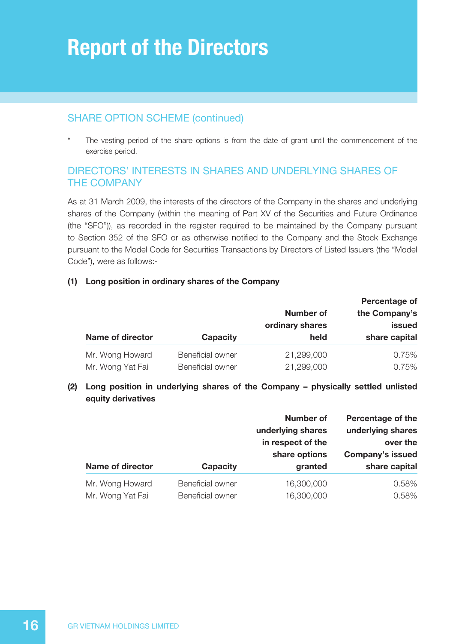### SHARE OPTION SCHEME (continued)

The vesting period of the share options is from the date of grant until the commencement of the exercise period.

### DIRECTORS' INTERESTS IN SHARES AND UNDERLYING SHARES OF THE COMPANY

As at 31 March 2009, the interests of the directors of the Company in the shares and underlying shares of the Company (within the meaning of Part XV of the Securities and Future Ordinance (the "SFO")), as recorded in the register required to be maintained by the Company pursuant to Section 352 of the SFO or as otherwise notified to the Company and the Stock Exchange pursuant to the Model Code for Securities Transactions by Directors of Listed Issuers (the "Model Code"), were as follows:-

#### **(1) Long position in ordinary shares of the Company**

| Name of director | <b>Capacity</b>  | Number of<br>ordinary shares<br>held | Percentage of<br>the Company's<br>issued<br>share capital |
|------------------|------------------|--------------------------------------|-----------------------------------------------------------|
| Mr. Wong Howard  | Beneficial owner | 21,299,000                           | 0.75%                                                     |
| Mr. Wong Yat Fai | Beneficial owner | 21,299,000                           | 0.75%                                                     |

#### **(2) Long position in underlying shares of the Company – physically settled unlisted equity derivatives**

|                                     |                                      | <b>Number of</b><br>underlying shares<br>in respect of the<br>share options | Percentage of the<br>underlying shares<br>over the<br><b>Company's issued</b> |
|-------------------------------------|--------------------------------------|-----------------------------------------------------------------------------|-------------------------------------------------------------------------------|
| Name of director                    | <b>Capacity</b>                      | granted                                                                     | share capital                                                                 |
| Mr. Wong Howard<br>Mr. Wong Yat Fai | Beneficial owner<br>Beneficial owner | 16,300,000<br>16,300,000                                                    | 0.58%<br>0.58%                                                                |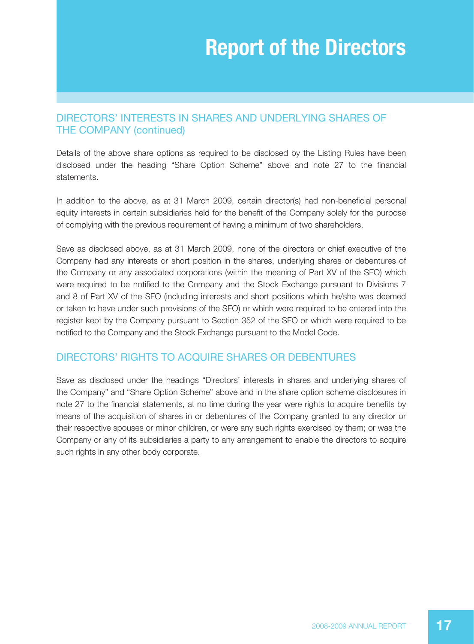### DIRECTORS' INTERESTS IN SHARES AND UNDERLYING SHARES OF THE COMPANY (continued)

Details of the above share options as required to be disclosed by the Listing Rules have been disclosed under the heading "Share Option Scheme" above and note 27 to the financial statements.

In addition to the above, as at 31 March 2009, certain director(s) had non-beneficial personal equity interests in certain subsidiaries held for the benefit of the Company solely for the purpose of complying with the previous requirement of having a minimum of two shareholders.

Save as disclosed above, as at 31 March 2009, none of the directors or chief executive of the Company had any interests or short position in the shares, underlying shares or debentures of the Company or any associated corporations (within the meaning of Part XV of the SFO) which were required to be notified to the Company and the Stock Exchange pursuant to Divisions 7 and 8 of Part XV of the SFO (including interests and short positions which he/she was deemed or taken to have under such provisions of the SFO) or which were required to be entered into the register kept by the Company pursuant to Section 352 of the SFO or which were required to be notified to the Company and the Stock Exchange pursuant to the Model Code.

#### DIRECTORS' RIGHTS TO ACQUIRE SHARES OR DEBENTURES

Save as disclosed under the headings "Directors' interests in shares and underlying shares of the Company" and "Share Option Scheme" above and in the share option scheme disclosures in note 27 to the financial statements, at no time during the year were rights to acquire benefits by means of the acquisition of shares in or debentures of the Company granted to any director or their respective spouses or minor children, or were any such rights exercised by them; or was the Company or any of its subsidiaries a party to any arrangement to enable the directors to acquire such rights in any other body corporate.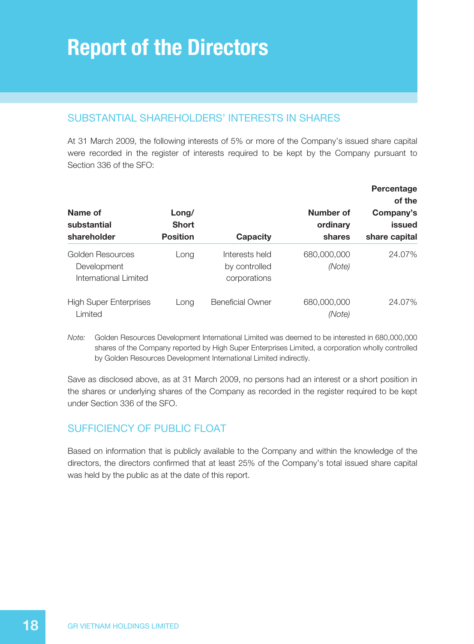### SUBSTANTIAL SHARFHOLDERS' INTERESTS IN SHARES

At 31 March 2009, the following interests of 5% or more of the Company's issued share capital were recorded in the register of interests required to be kept by the Company pursuant to Section 336 of the SFO:

|                                                          |                                          |                                                 |                                 | Percentage<br>of the                        |
|----------------------------------------------------------|------------------------------------------|-------------------------------------------------|---------------------------------|---------------------------------------------|
| Name of<br>substantial<br>shareholder                    | Long/<br><b>Short</b><br><b>Position</b> | <b>Capacity</b>                                 | Number of<br>ordinary<br>shares | Company's<br><b>issued</b><br>share capital |
| Golden Resources<br>Development<br>International Limited | Long                                     | Interests held<br>by controlled<br>corporations | 680,000,000<br>(Note)           | 24.07%                                      |
| <b>High Super Enterprises</b><br>Limited                 | Long                                     | <b>Beneficial Owner</b>                         | 680,000,000<br>(Note)           | 24.07%                                      |

*Note:* Golden Resources Development International Limited was deemed to be interested in 680,000,000 shares of the Company reported by High Super Enterprises Limited, a corporation wholly controlled by Golden Resources Development International Limited indirectly.

Save as disclosed above, as at 31 March 2009, no persons had an interest or a short position in the shares or underlying shares of the Company as recorded in the register required to be kept under Section 336 of the SFO.

### SUFFICIENCY OF PUBLIC FLOAT

Based on information that is publicly available to the Company and within the knowledge of the directors, the directors confirmed that at least 25% of the Company's total issued share capital was held by the public as at the date of this report.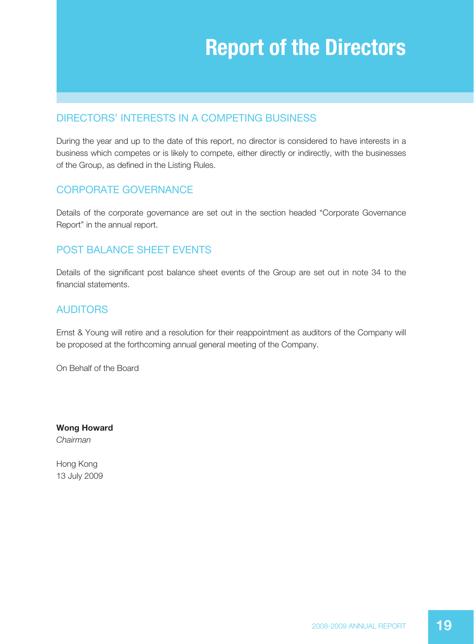### DIRECTORS' INTERESTS IN A COMPETING BUSINESS

During the year and up to the date of this report, no director is considered to have interests in a business which competes or is likely to compete, either directly or indirectly, with the businesses of the Group, as defined in the Listing Rules.

### CORPORATE GOVERNANCE

Details of the corporate governance are set out in the section headed "Corporate Governance Report" in the annual report.

### POST BALANCE SHEET EVENTS

Details of the significant post balance sheet events of the Group are set out in note 34 to the financial statements.

#### AUDITORS

Ernst & Young will retire and a resolution for their reappointment as auditors of the Company will be proposed at the forthcoming annual general meeting of the Company.

On Behalf of the Board

**Wong Howard** *Chairman*

Hong Kong 13 July 2009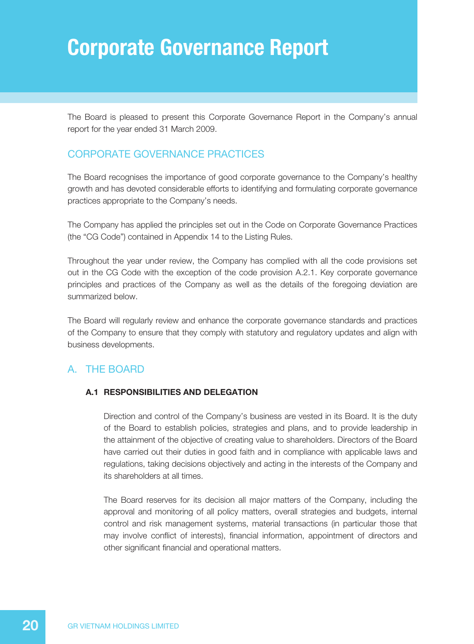The Board is pleased to present this Corporate Governance Report in the Company's annual report for the year ended 31 March 2009.

#### CORPORATE GOVERNANCE PRACTICES

The Board recognises the importance of good corporate governance to the Company's healthy growth and has devoted considerable efforts to identifying and formulating corporate governance practices appropriate to the Company's needs.

The Company has applied the principles set out in the Code on Corporate Governance Practices (the "CG Code") contained in Appendix 14 to the Listing Rules.

Throughout the year under review, the Company has complied with all the code provisions set out in the CG Code with the exception of the code provision A.2.1. Key corporate governance principles and practices of the Company as well as the details of the foregoing deviation are summarized below.

The Board will regularly review and enhance the corporate governance standards and practices of the Company to ensure that they comply with statutory and regulatory updates and align with business developments.

### A. THE BOARD

#### **A.1 RESPONSIBILITIES AND DELEGATION**

Direction and control of the Company's business are vested in its Board. It is the duty of the Board to establish policies, strategies and plans, and to provide leadership in the attainment of the objective of creating value to shareholders. Directors of the Board have carried out their duties in good faith and in compliance with applicable laws and regulations, taking decisions objectively and acting in the interests of the Company and its shareholders at all times.

The Board reserves for its decision all major matters of the Company, including the approval and monitoring of all policy matters, overall strategies and budgets, internal control and risk management systems, material transactions (in particular those that may involve conflict of interests), financial information, appointment of directors and other significant financial and operational matters.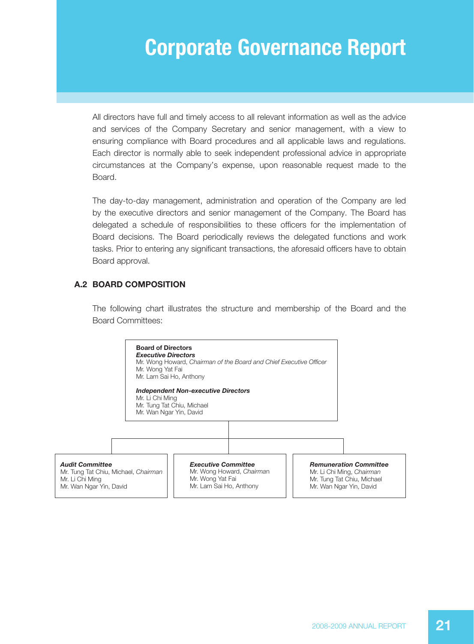All directors have full and timely access to all relevant information as well as the advice and services of the Company Secretary and senior management, with a view to ensuring compliance with Board procedures and all applicable laws and regulations. Each director is normally able to seek independent professional advice in appropriate circumstances at the Company's expense, upon reasonable request made to the **Board** 

The day-to-day management, administration and operation of the Company are led by the executive directors and senior management of the Company. The Board has delegated a schedule of responsibilities to these officers for the implementation of Board decisions. The Board periodically reviews the delegated functions and work tasks. Prior to entering any significant transactions, the aforesaid officers have to obtain Board approval.

#### **A.2 BOARD COMPOSITION**

The following chart illustrates the structure and membership of the Board and the Board Committees:

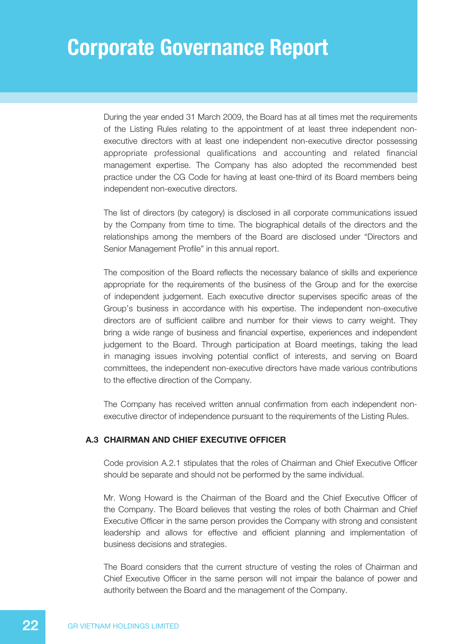During the year ended 31 March 2009, the Board has at all times met the requirements of the Listing Rules relating to the appointment of at least three independent nonexecutive directors with at least one independent non-executive director possessing appropriate professional qualifications and accounting and related financial management expertise. The Company has also adopted the recommended best practice under the CG Code for having at least one-third of its Board members being independent non-executive directors.

The list of directors (by category) is disclosed in all corporate communications issued by the Company from time to time. The biographical details of the directors and the relationships among the members of the Board are disclosed under "Directors and Senior Management Profile" in this annual report.

The composition of the Board reflects the necessary balance of skills and experience appropriate for the requirements of the business of the Group and for the exercise of independent judgement. Each executive director supervises specific areas of the Group's business in accordance with his expertise. The independent non-executive directors are of sufficient calibre and number for their views to carry weight. They bring a wide range of business and financial expertise, experiences and independent judgement to the Board. Through participation at Board meetings, taking the lead in managing issues involving potential conflict of interests, and serving on Board committees, the independent non-executive directors have made various contributions to the effective direction of the Company.

The Company has received written annual confirmation from each independent nonexecutive director of independence pursuant to the requirements of the Listing Rules.

#### **A.3 CHAIRMAN AND CHIEF EXECUTIVE OFFICER**

Code provision A.2.1 stipulates that the roles of Chairman and Chief Executive Officer should be separate and should not be performed by the same individual.

Mr. Wong Howard is the Chairman of the Board and the Chief Executive Officer of the Company. The Board believes that vesting the roles of both Chairman and Chief Executive Officer in the same person provides the Company with strong and consistent leadership and allows for effective and efficient planning and implementation of business decisions and strategies.

The Board considers that the current structure of vesting the roles of Chairman and Chief Executive Officer in the same person will not impair the balance of power and authority between the Board and the management of the Company.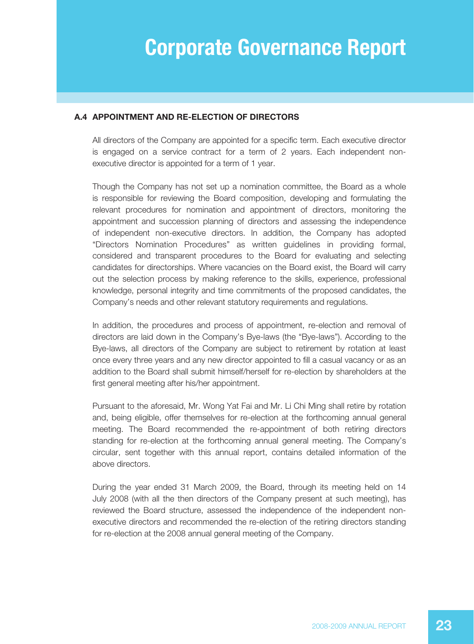#### **A.4 APPOINTMENT AND RE-ELECTION OF DIRECTORS**

All directors of the Company are appointed for a specific term. Each executive director is engaged on a service contract for a term of 2 years. Each independent nonexecutive director is appointed for a term of 1 year.

Though the Company has not set up a nomination committee, the Board as a whole is responsible for reviewing the Board composition, developing and formulating the relevant procedures for nomination and appointment of directors, monitoring the appointment and succession planning of directors and assessing the independence of independent non-executive directors. In addition, the Company has adopted "Directors Nomination Procedures" as written guidelines in providing formal, considered and transparent procedures to the Board for evaluating and selecting candidates for directorships. Where vacancies on the Board exist, the Board will carry out the selection process by making reference to the skills, experience, professional knowledge, personal integrity and time commitments of the proposed candidates, the Company's needs and other relevant statutory requirements and regulations.

In addition, the procedures and process of appointment, re-election and removal of directors are laid down in the Company's Bye-laws (the "Bye-laws"). According to the Bye-laws, all directors of the Company are subject to retirement by rotation at least once every three years and any new director appointed to fill a casual vacancy or as an addition to the Board shall submit himself/herself for re-election by shareholders at the first general meeting after his/her appointment.

Pursuant to the aforesaid, Mr. Wong Yat Fai and Mr. Li Chi Ming shall retire by rotation and, being eligible, offer themselves for re-election at the forthcoming annual general meeting. The Board recommended the re-appointment of both retiring directors standing for re-election at the forthcoming annual general meeting. The Company's circular, sent together with this annual report, contains detailed information of the above directors.

During the year ended 31 March 2009, the Board, through its meeting held on 14 July 2008 (with all the then directors of the Company present at such meeting), has reviewed the Board structure, assessed the independence of the independent nonexecutive directors and recommended the re-election of the retiring directors standing for re-election at the 2008 annual general meeting of the Company.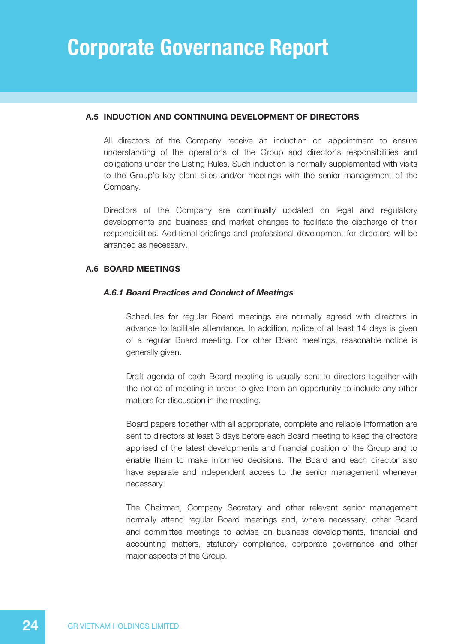#### **A.5 INDUCTION AND CONTINUING DEVELOPMENT OF DIRECTORS**

All directors of the Company receive an induction on appointment to ensure understanding of the operations of the Group and director's responsibilities and obligations under the Listing Rules. Such induction is normally supplemented with visits to the Group's key plant sites and/or meetings with the senior management of the Company.

Directors of the Company are continually updated on legal and regulatory developments and business and market changes to facilitate the discharge of their responsibilities. Additional briefings and professional development for directors will be arranged as necessary.

#### **A.6 BOARD MEETINGS**

#### *A.6.1 Board Practices and Conduct of Meetings*

Schedules for regular Board meetings are normally agreed with directors in advance to facilitate attendance. In addition, notice of at least 14 days is given of a regular Board meeting. For other Board meetings, reasonable notice is generally given.

Draft agenda of each Board meeting is usually sent to directors together with the notice of meeting in order to give them an opportunity to include any other matters for discussion in the meeting.

Board papers together with all appropriate, complete and reliable information are sent to directors at least 3 days before each Board meeting to keep the directors apprised of the latest developments and financial position of the Group and to enable them to make informed decisions. The Board and each director also have separate and independent access to the senior management whenever necessary.

The Chairman, Company Secretary and other relevant senior management normally attend regular Board meetings and, where necessary, other Board and committee meetings to advise on business developments, financial and accounting matters, statutory compliance, corporate governance and other major aspects of the Group.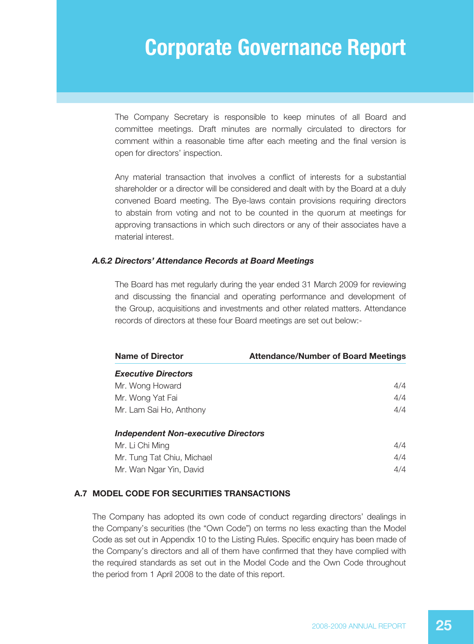The Company Secretary is responsible to keep minutes of all Board and committee meetings. Draft minutes are normally circulated to directors for comment within a reasonable time after each meeting and the final version is open for directors' inspection.

Any material transaction that involves a conflict of interests for a substantial shareholder or a director will be considered and dealt with by the Board at a duly convened Board meeting. The Bye-laws contain provisions requiring directors to abstain from voting and not to be counted in the quorum at meetings for approving transactions in which such directors or any of their associates have a material interest.

#### *A.6.2 Directors' Attendance Records at Board Meetings*

The Board has met regularly during the year ended 31 March 2009 for reviewing and discussing the financial and operating performance and development of the Group, acquisitions and investments and other related matters. Attendance records of directors at these four Board meetings are set out below:-

| <b>Name of Director</b>                    | <b>Attendance/Number of Board Meetings</b> |
|--------------------------------------------|--------------------------------------------|
| <b>Executive Directors</b>                 |                                            |
| Mr. Wong Howard                            | 4/4                                        |
| Mr. Wong Yat Fai                           | 4/4                                        |
| Mr. Lam Sai Ho, Anthony                    | 4/4                                        |
| <b>Independent Non-executive Directors</b> |                                            |
| Mr. Li Chi Ming                            | 4/4                                        |
| Mr. Tung Tat Chiu, Michael                 | 4/4                                        |
| Mr. Wan Ngar Yin, David                    | 4/4                                        |

#### **A.7 MODEL CODE FOR SECURITIES TRANSACTIONS**

The Company has adopted its own code of conduct regarding directors' dealings in the Company's securities (the "Own Code") on terms no less exacting than the Model Code as set out in Appendix 10 to the Listing Rules. Specific enquiry has been made of the Company's directors and all of them have confirmed that they have complied with the required standards as set out in the Model Code and the Own Code throughout the period from 1 April 2008 to the date of this report.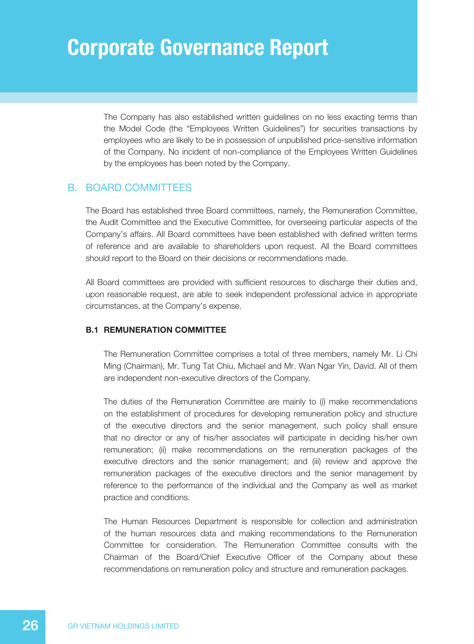The Company has also established written guidelines on no less exacting terms than the Model Code (the "Employees Written Guidelines") for securities transactions by employees who are likely to be in possession of unpublished price-sensitive information of the Company. No incident of non-compliance of the Employees Written Guidelines by the employees has been noted by the Company.

#### B. BOARD COMMITTEES

The Board has established three Board committees, namely, the Remuneration Committee, the Audit Committee and the Executive Committee, for overseeing particular aspects of the Company's affairs. All Board committees have been established with defined written terms of reference and are available to shareholders upon request. All the Board committees should report to the Board on their decisions or recommendations made.

All Board committees are provided with sufficient resources to discharge their duties and, upon reasonable request, are able to seek independent professional advice in appropriate circumstances, at the Company's expense.

#### **B.1 REMUNERATION COMMITTEE**

The Remuneration Committee comprises a total of three members, namely Mr. Li Chi Ming (Chairman), Mr. Tung Tat Chiu, Michael and Mr. Wan Ngar Yin, David. All of them are independent non-executive directors of the Company.

The duties of the Remuneration Committee are mainly to (i) make recommendations on the establishment of procedures for developing remuneration policy and structure of the executive directors and the senior management, such policy shall ensure that no director or any of his/her associates will participate in deciding his/her own remuneration; (ii) make recommendations on the remuneration packages of the executive directors and the senior management; and (iii) review and approve the remuneration packages of the executive directors and the senior management by reference to the performance of the individual and the Company as well as market practice and conditions.

The Human Resources Department is responsible for collection and administration of the human resources data and making recommendations to the Remuneration Committee for consideration. The Remuneration Committee consults with the Chairman of the Board/Chief Executive Officer of the Company about these recommendations on remuneration policy and structure and remuneration packages.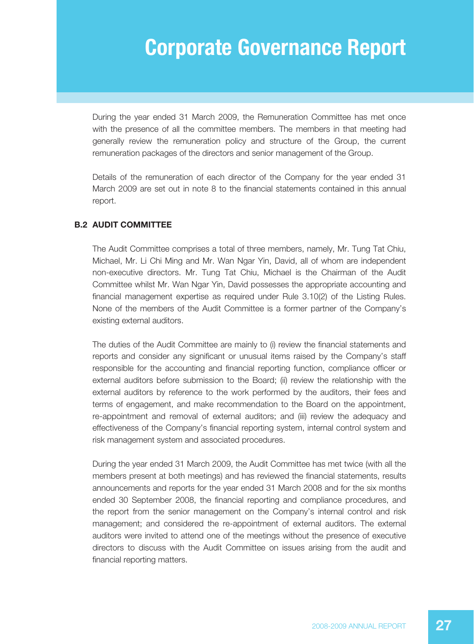During the year ended 31 March 2009, the Remuneration Committee has met once with the presence of all the committee members. The members in that meeting had generally review the remuneration policy and structure of the Group, the current remuneration packages of the directors and senior management of the Group.

Details of the remuneration of each director of the Company for the year ended 31 March 2009 are set out in note 8 to the financial statements contained in this annual report.

#### **B.2 AUDIT COMMITTEE**

The Audit Committee comprises a total of three members, namely, Mr. Tung Tat Chiu, Michael, Mr. Li Chi Ming and Mr. Wan Ngar Yin, David, all of whom are independent non-executive directors. Mr. Tung Tat Chiu, Michael is the Chairman of the Audit Committee whilst Mr. Wan Ngar Yin, David possesses the appropriate accounting and financial management expertise as required under Rule 3.10(2) of the Listing Rules. None of the members of the Audit Committee is a former partner of the Company's existing external auditors.

The duties of the Audit Committee are mainly to (i) review the financial statements and reports and consider any significant or unusual items raised by the Company's staff responsible for the accounting and financial reporting function, compliance officer or external auditors before submission to the Board; (ii) review the relationship with the external auditors by reference to the work performed by the auditors, their fees and terms of engagement, and make recommendation to the Board on the appointment, re-appointment and removal of external auditors; and (iii) review the adequacy and effectiveness of the Company's financial reporting system, internal control system and risk management system and associated procedures.

During the year ended 31 March 2009, the Audit Committee has met twice (with all the members present at both meetings) and has reviewed the financial statements, results announcements and reports for the year ended 31 March 2008 and for the six months ended 30 September 2008, the financial reporting and compliance procedures, and the report from the senior management on the Company's internal control and risk management; and considered the re-appointment of external auditors. The external auditors were invited to attend one of the meetings without the presence of executive directors to discuss with the Audit Committee on issues arising from the audit and financial reporting matters.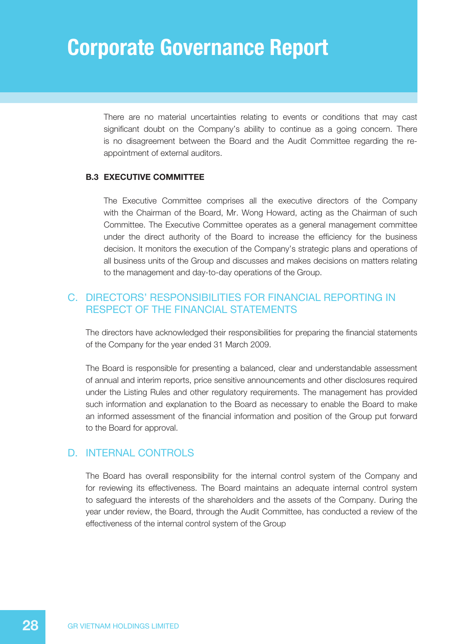There are no material uncertainties relating to events or conditions that may cast significant doubt on the Company's ability to continue as a going concern. There is no disagreement between the Board and the Audit Committee regarding the reappointment of external auditors.

#### **B.3 EXECUTIVE COMMITTEE**

The Executive Committee comprises all the executive directors of the Company with the Chairman of the Board, Mr. Wong Howard, acting as the Chairman of such Committee. The Executive Committee operates as a general management committee under the direct authority of the Board to increase the efficiency for the business decision. It monitors the execution of the Company's strategic plans and operations of all business units of the Group and discusses and makes decisions on matters relating to the management and day-to-day operations of the Group.

#### C. DIRECTORS' RESPONSIBILITIES FOR FINANCIAL REPORTING IN RESPECT OF THE FINANCIAL STATEMENTS

The directors have acknowledged their responsibilities for preparing the financial statements of the Company for the year ended 31 March 2009.

The Board is responsible for presenting a balanced, clear and understandable assessment of annual and interim reports, price sensitive announcements and other disclosures required under the Listing Rules and other regulatory requirements. The management has provided such information and explanation to the Board as necessary to enable the Board to make an informed assessment of the financial information and position of the Group put forward to the Board for approval.

#### D. INTERNAL CONTROLS

The Board has overall responsibility for the internal control system of the Company and for reviewing its effectiveness. The Board maintains an adequate internal control system to safeguard the interests of the shareholders and the assets of the Company. During the year under review, the Board, through the Audit Committee, has conducted a review of the effectiveness of the internal control system of the Group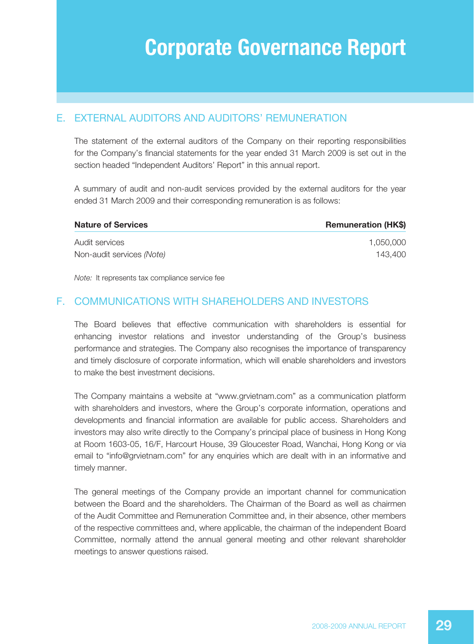### E. EXTERNAL AUDITORS AND AUDITORS' REMUNERATION

The statement of the external auditors of the Company on their reporting responsibilities for the Company's financial statements for the year ended 31 March 2009 is set out in the section headed "Independent Auditors' Report" in this annual report.

A summary of audit and non-audit services provided by the external auditors for the year ended 31 March 2009 and their corresponding remuneration is as follows:

| <b>Nature of Services</b> | <b>Remuneration (HK\$)</b> |
|---------------------------|----------------------------|
| Audit services            | 1.050.000                  |
| Non-audit services (Note) | 143.400                    |

*Note:* It represents tax compliance service fee

#### F. COMMUNICATIONS WITH SHAREHOLDERS AND INVESTORS

The Board believes that effective communication with shareholders is essential for enhancing investor relations and investor understanding of the Group's business performance and strategies. The Company also recognises the importance of transparency and timely disclosure of corporate information, which will enable shareholders and investors to make the best investment decisions.

The Company maintains a website at "www.grvietnam.com" as a communication platform with shareholders and investors, where the Group's corporate information, operations and developments and financial information are available for public access. Shareholders and investors may also write directly to the Company's principal place of business in Hong Kong at Room 1603-05, 16/F, Harcourt House, 39 Gloucester Road, Wanchai, Hong Kong or via email to "info@grvietnam.com" for any enquiries which are dealt with in an informative and timely manner.

The general meetings of the Company provide an important channel for communication between the Board and the shareholders. The Chairman of the Board as well as chairmen of the Audit Committee and Remuneration Committee and, in their absence, other members of the respective committees and, where applicable, the chairman of the independent Board Committee, normally attend the annual general meeting and other relevant shareholder meetings to answer questions raised.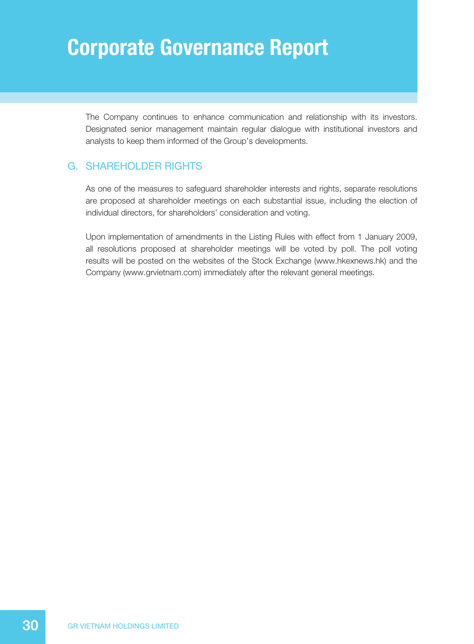The Company continues to enhance communication and relationship with its investors. Designated senior management maintain regular dialogue with institutional investors and analysts to keep them informed of the Group's developments.

### G. SHAREHOLDER RIGHTS

As one of the measures to safeguard shareholder interests and rights, separate resolutions are proposed at shareholder meetings on each substantial issue, including the election of individual directors, for shareholders' consideration and voting.

Upon implementation of amendments in the Listing Rules with effect from 1 January 2009, all resolutions proposed at shareholder meetings will be voted by poll. The poll voting results will be posted on the websites of the Stock Exchange (www.hkexnews.hk) and the Company (www.grvietnam.com) immediately after the relevant general meetings.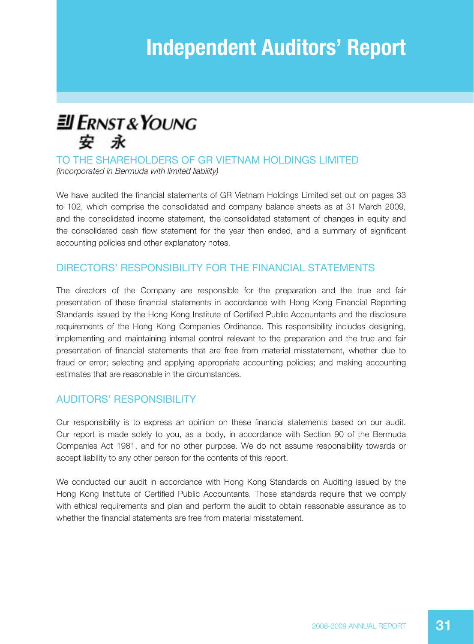## **Independent Auditors' Report**



TO THE SHAREHOLDERS OF GR VIETNAM HOLDINGS LIMITED *(Incorporated in Bermuda with limited liability)*

We have audited the financial statements of GR Vietnam Holdings Limited set out on pages 33 to 102, which comprise the consolidated and company balance sheets as at 31 March 2009, and the consolidated income statement, the consolidated statement of changes in equity and the consolidated cash flow statement for the year then ended, and a summary of significant accounting policies and other explanatory notes.

#### DIRECTORS' RESPONSIBILITY FOR THE FINANCIAL STATEMENTS

The directors of the Company are responsible for the preparation and the true and fair presentation of these financial statements in accordance with Hong Kong Financial Reporting Standards issued by the Hong Kong Institute of Certified Public Accountants and the disclosure requirements of the Hong Kong Companies Ordinance. This responsibility includes designing, implementing and maintaining internal control relevant to the preparation and the true and fair presentation of financial statements that are free from material misstatement, whether due to fraud or error; selecting and applying appropriate accounting policies; and making accounting estimates that are reasonable in the circumstances.

#### AUDITORS' RESPONSIBILITY

Our responsibility is to express an opinion on these financial statements based on our audit. Our report is made solely to you, as a body, in accordance with Section 90 of the Bermuda Companies Act 1981, and for no other purpose. We do not assume responsibility towards or accept liability to any other person for the contents of this report.

We conducted our audit in accordance with Hong Kong Standards on Auditing issued by the Hong Kong Institute of Certified Public Accountants. Those standards require that we comply with ethical requirements and plan and perform the audit to obtain reasonable assurance as to whether the financial statements are free from material misstatement.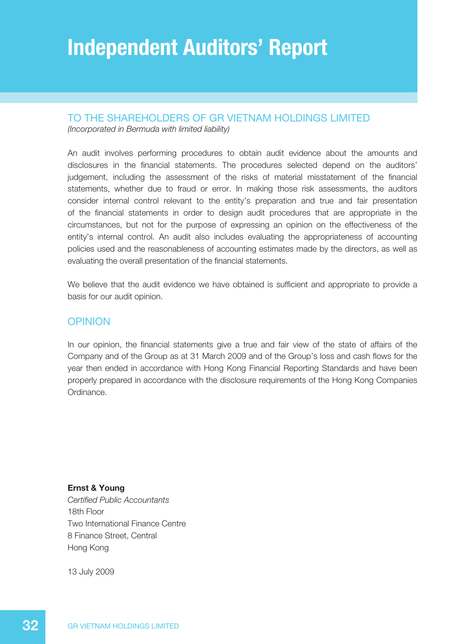# **Independent Auditors' Report**

### TO THE SHAREHOLDERS OF GR VIETNAM HOLDINGS LIMITED

*(Incorporated in Bermuda with limited liability)*

An audit involves performing procedures to obtain audit evidence about the amounts and disclosures in the financial statements. The procedures selected depend on the auditors' judgement, including the assessment of the risks of material misstatement of the financial statements, whether due to fraud or error. In making those risk assessments, the auditors consider internal control relevant to the entity's preparation and true and fair presentation of the financial statements in order to design audit procedures that are appropriate in the circumstances, but not for the purpose of expressing an opinion on the effectiveness of the entity's internal control. An audit also includes evaluating the appropriateness of accounting policies used and the reasonableness of accounting estimates made by the directors, as well as evaluating the overall presentation of the financial statements.

We believe that the audit evidence we have obtained is sufficient and appropriate to provide a basis for our audit opinion.

#### OPINION

In our opinion, the financial statements give a true and fair view of the state of affairs of the Company and of the Group as at 31 March 2009 and of the Group's loss and cash flows for the year then ended in accordance with Hong Kong Financial Reporting Standards and have been properly prepared in accordance with the disclosure requirements of the Hong Kong Companies Ordinance.

**Ernst & Young Certified Public Accountants** 18th Floor Two International Finance Centre 8 Finance Street, Central Hong Kong

13 July 2009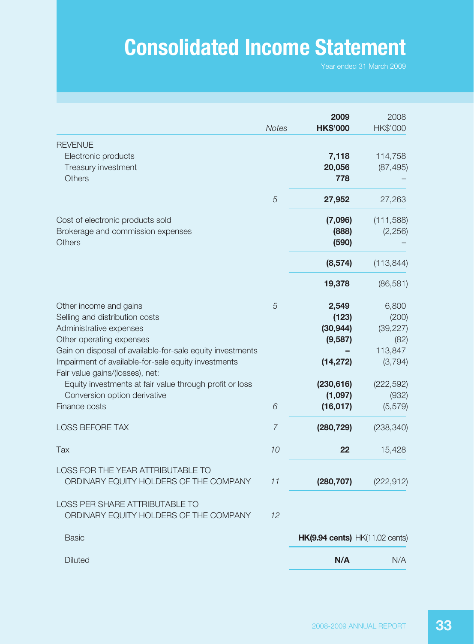# **Consolidated Income Statement**

|                                                                                        | <b>Notes</b>   | 2009<br><b>HK\$'000</b>               | 2008<br>HK\$'000 |
|----------------------------------------------------------------------------------------|----------------|---------------------------------------|------------------|
| <b>REVENUE</b>                                                                         |                |                                       |                  |
| Electronic products                                                                    |                | 7,118                                 | 114,758          |
| Treasury investment                                                                    |                | 20,056                                | (87, 495)        |
| <b>Others</b>                                                                          |                | 778                                   |                  |
|                                                                                        | $\sqrt{5}$     | 27,952                                | 27,263           |
| Cost of electronic products sold                                                       |                | (7,096)                               | (111,588)        |
| Brokerage and commission expenses                                                      |                | (888)                                 | (2, 256)         |
| <b>Others</b>                                                                          |                | (590)                                 |                  |
|                                                                                        |                | (8,574)                               | (113, 844)       |
|                                                                                        |                | 19,378                                | (86, 581)        |
| Other income and gains                                                                 | 5              | 2,549                                 | 6,800            |
| Selling and distribution costs                                                         |                | (123)                                 | (200)            |
| Administrative expenses                                                                |                | (30, 944)                             | (39, 227)        |
| Other operating expenses                                                               |                | (9,587)                               | (82)             |
| Gain on disposal of available-for-sale equity investments                              |                |                                       | 113,847          |
| Impairment of available-for-sale equity investments<br>Fair value gains/(losses), net: |                | (14, 272)                             | (3, 794)         |
| Equity investments at fair value through profit or loss                                |                | (230, 616)                            | (222, 592)       |
| Conversion option derivative                                                           |                | (1,097)                               | (932)            |
| Finance costs                                                                          | 6              | (16, 017)                             | (5, 579)         |
| <b>LOSS BEFORE TAX</b>                                                                 | $\overline{7}$ | (280, 729)                            | (238, 340)       |
| Tax                                                                                    | 10             | 22                                    | 15,428           |
| LOSS FOR THE YEAR ATTRIBUTABLE TO                                                      |                |                                       |                  |
| ORDINARY EQUITY HOLDERS OF THE COMPANY                                                 | 11             | (280, 707)                            | (222, 912)       |
| <b>LOSS PER SHARE ATTRIBUTABLE TO</b>                                                  |                |                                       |                  |
| ORDINARY EQUITY HOLDERS OF THE COMPANY                                                 | 12             |                                       |                  |
| <b>Basic</b>                                                                           |                | <b>HK(9.94 cents)</b> HK(11.02 cents) |                  |
| <b>Diluted</b>                                                                         |                | N/A                                   | N/A              |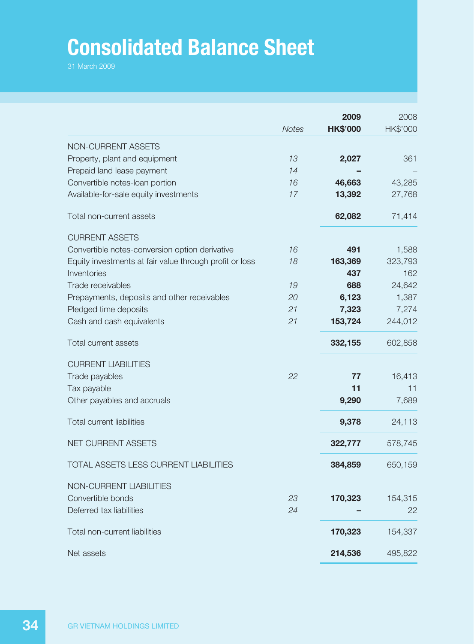# **Consolidated Balance Sheet**

|                                                                          | <b>Notes</b> | 2009<br><b>HK\$'000</b> | 2008<br>HK\$'000 |
|--------------------------------------------------------------------------|--------------|-------------------------|------------------|
| NON-CURRENT ASSETS                                                       |              |                         |                  |
| Property, plant and equipment                                            | 13           | 2,027                   | 361              |
| Prepaid land lease payment                                               | 14           |                         |                  |
| Convertible notes-loan portion                                           | 16           | 46,663                  | 43,285           |
| Available-for-sale equity investments                                    | 17           | 13,392                  | 27,768           |
| Total non-current assets                                                 |              | 62,082                  | 71,414           |
| <b>CURRENT ASSETS</b>                                                    |              |                         |                  |
| Convertible notes-conversion option derivative                           | 16           | 491                     | 1,588            |
| Equity investments at fair value through profit or loss                  | 18           | 163,369                 | 323,793          |
| Inventories                                                              |              | 437                     | 162              |
| Trade receivables                                                        | 19           | 688                     | 24,642           |
| Prepayments, deposits and other receivables                              | 20           | 6,123                   | 1,387            |
| Pledged time deposits                                                    | 21           | 7,323                   | 7,274            |
| Cash and cash equivalents                                                | 21           | 153,724                 | 244,012          |
| Total current assets                                                     |              | 332,155                 | 602,858          |
| <b>CURRENT LIABILITIES</b>                                               |              |                         |                  |
| Trade payables                                                           | 22           | 77                      | 16,413           |
| Tax payable                                                              |              | 11                      | 11               |
| Other payables and accruals                                              |              | 9,290                   | 7,689            |
| <b>Total current liabilities</b>                                         |              | 9,378                   | 24,113           |
| NET CURRENT ASSETS                                                       |              | 322,777                 | 578,745          |
| TOTAL ASSETS LESS CURRENT LIABILITIES                                    |              | 384,859                 | 650,159          |
| NON-CURRENT LIABILITIES<br>Convertible bonds<br>Deferred tax liabilities | 23<br>24     | 170,323                 | 154,315<br>22    |
| Total non-current liabilities                                            |              | 170,323                 | 154,337          |
| Net assets                                                               |              | 214,536                 | 495,822          |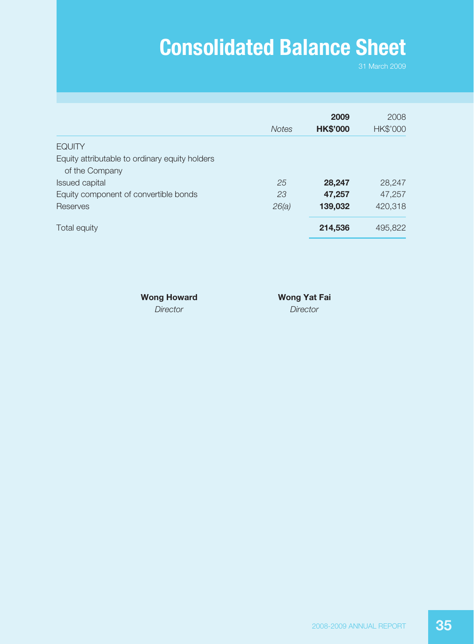# **Consolidated Balance Sheet**

31 March 2009

|                                                                  | <b>Notes</b> | 2009<br><b>HK\$'000</b> | 2008<br>HK\$'000 |
|------------------------------------------------------------------|--------------|-------------------------|------------------|
| <b>EQUITY</b>                                                    |              |                         |                  |
| Equity attributable to ordinary equity holders<br>of the Company |              |                         |                  |
| <b>Issued</b> capital                                            | 25           | 28,247                  | 28,247           |
| Equity component of convertible bonds                            | 23           | 47,257                  | 47,257           |
| Reserves                                                         | 26(a)        | 139,032                 | 420,318          |
| Total equity                                                     |              | 214,536                 | 495,822          |

| <b>Wong Howard</b> |
|--------------------|
| $\sum_{i=1}^{n}$   |

#### **Wong Yat Fai**  *Director Director*

2008-2009 ANNUAL REPORT **35**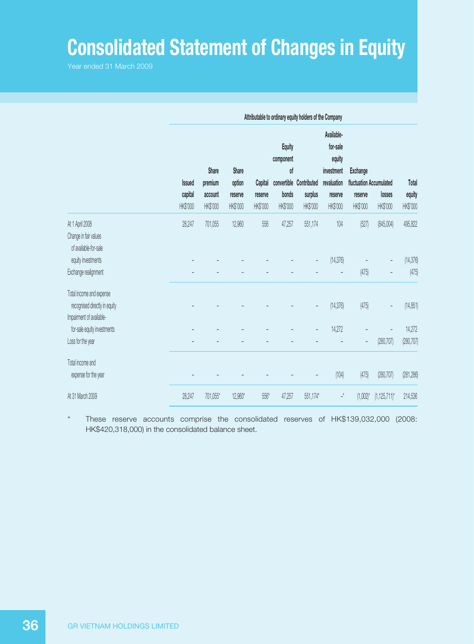## **Consolidated Statement of Changes in Equity**

|                                                                                       | Attributable to ordinary equity holders of the Company |                     |                        |                     |                                          |                     |                                                               |                                            |                          |                    |
|---------------------------------------------------------------------------------------|--------------------------------------------------------|---------------------|------------------------|---------------------|------------------------------------------|---------------------|---------------------------------------------------------------|--------------------------------------------|--------------------------|--------------------|
|                                                                                       | <b>Issued</b>                                          | Share<br>premium    | <b>Share</b><br>option | Capital             | Equity<br>component<br>of<br>convertible | Contributed         | Available-<br>for-sale<br>equity<br>investment<br>revaluation | <b>Exchange</b><br>fluctuation Accumulated |                          | Total              |
|                                                                                       | capital<br>HK\$'000                                    | account<br>HK\$'000 | reserve<br>HK\$'000    | reserve<br>HK\$'000 | bonds<br>HK\$'000                        | surplus<br>HK\$'000 | reserve<br>HK\$'000                                           | reserve<br>HK\$'000                        | losses<br>HK\$'000       | equity<br>HK\$'000 |
| At 1 April 2008<br>Change in fair values<br>of available-for-sale                     | 28,247                                                 | 701,055             | 12,960                 | 556                 | 47,257                                   | 551,174             | 104                                                           | (527)                                      | (845,004)                | 495,822            |
| equity investments                                                                    |                                                        |                     |                        |                     |                                          |                     | (14, 376)                                                     |                                            | $\overline{\phantom{a}}$ | (14, 376)          |
| Exchange realignment                                                                  |                                                        |                     |                        |                     |                                          |                     |                                                               | (475)                                      |                          | (475)              |
| Total income and expense<br>recognised directly in equity<br>Impairment of available- |                                                        |                     |                        |                     |                                          | $\qquad \qquad -$   | (14, 376)                                                     | (475)                                      | $\overline{a}$           | (14, 851)          |
| for-sale equity investments                                                           |                                                        |                     |                        |                     |                                          |                     | 14,272                                                        |                                            |                          | 14,272             |
| Loss for the year                                                                     |                                                        |                     |                        |                     |                                          |                     |                                                               |                                            | (280, 707)               | (280, 707)         |
| Total income and<br>expense for the year                                              |                                                        |                     |                        |                     |                                          |                     | (104)                                                         | (475)                                      | (280, 707)               | (281, 286)         |
| At 31 March 2009                                                                      | 28,247                                                 | 701,055*            | 12,960*                | $556*$              | 47,257                                   | 551,174*            | $\overrightarrow{a}$                                          | $(1,002)^{*}$                              | $(1, 125, 711)^{*}$      | 214,536            |

\* These reserve accounts comprise the consolidated reserves of HK\$139,032,000 (2008: HK\$420,318,000) in the consolidated balance sheet.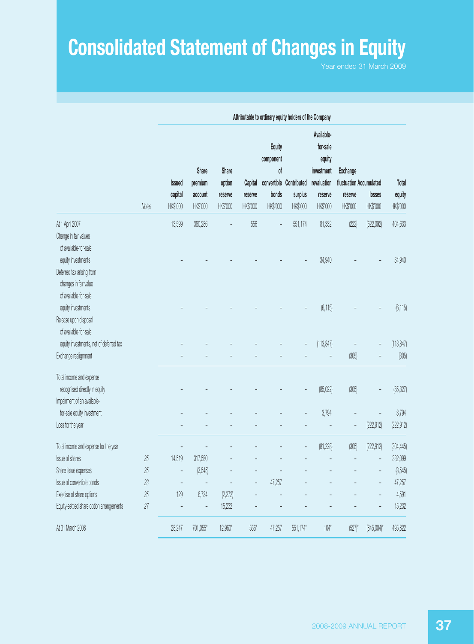# **Consolidated Statement of Changes in Equity**

Year ended 31 March 2009

|                                          |       | Attributable to ordinary equity holders of the Company |                                         |                                        |                                |                                                               |                                    |                                                                                      |                                                                   |                    |                             |
|------------------------------------------|-------|--------------------------------------------------------|-----------------------------------------|----------------------------------------|--------------------------------|---------------------------------------------------------------|------------------------------------|--------------------------------------------------------------------------------------|-------------------------------------------------------------------|--------------------|-----------------------------|
|                                          | Notes | <b>Issued</b><br>capital<br>HK\$'000                   | Share<br>premium<br>account<br>HK\$'000 | Share<br>option<br>reserve<br>HK\$'000 | Capital<br>reserve<br>HK\$'000 | Equity<br>component<br>of<br>convertible<br>bonds<br>HK\$'000 | Contributed<br>surplus<br>HK\$'000 | Available-<br>for-sale<br>equity<br>investment<br>revaluation<br>reserve<br>HK\$'000 | <b>Exchange</b><br>fluctuation Accumulated<br>reserve<br>HK\$'000 | losses<br>HK\$'000 | Total<br>equity<br>HK\$'000 |
| At 1 April 2007                          |       | 13,599                                                 | 380,286                                 |                                        | 556                            |                                                               | 551,174                            | 81,332                                                                               | (222)                                                             | (622,092)          | 404,633                     |
| Change in fair values                    |       |                                                        |                                         |                                        |                                |                                                               |                                    |                                                                                      |                                                                   |                    |                             |
| of available-for-sale                    |       |                                                        |                                         |                                        |                                |                                                               |                                    |                                                                                      |                                                                   |                    |                             |
| equity investments                       |       |                                                        |                                         |                                        |                                |                                                               |                                    | 34,940                                                                               |                                                                   |                    | 34,940                      |
| Deferred tax arising from                |       |                                                        |                                         |                                        |                                |                                                               |                                    |                                                                                      |                                                                   |                    |                             |
| changes in fair value                    |       |                                                        |                                         |                                        |                                |                                                               |                                    |                                                                                      |                                                                   |                    |                             |
| of available-for-sale                    |       |                                                        |                                         |                                        |                                |                                                               |                                    |                                                                                      |                                                                   |                    |                             |
| equity investments                       |       |                                                        |                                         |                                        |                                |                                                               |                                    | (6, 115)                                                                             |                                                                   |                    | (6, 115)                    |
| Release upon disposal                    |       |                                                        |                                         |                                        |                                |                                                               |                                    |                                                                                      |                                                                   |                    |                             |
| of available-for-sale                    |       |                                                        |                                         |                                        |                                |                                                               |                                    |                                                                                      |                                                                   |                    |                             |
| equity investments, net of deferred tax  |       |                                                        |                                         |                                        |                                |                                                               |                                    | (113, 847)                                                                           |                                                                   |                    | (113, 847)                  |
| Exchange realignment                     |       |                                                        |                                         |                                        |                                |                                                               |                                    |                                                                                      | (305)                                                             |                    | (305)                       |
| Total income and expense                 |       |                                                        |                                         |                                        |                                |                                                               |                                    |                                                                                      |                                                                   |                    |                             |
| recognised directly in equity            |       |                                                        |                                         |                                        |                                |                                                               |                                    | (85, 022)                                                                            | (305)                                                             |                    | (85, 327)                   |
| Impairment of an available-              |       |                                                        |                                         |                                        |                                |                                                               |                                    |                                                                                      |                                                                   |                    |                             |
| for-sale equity investment               |       |                                                        |                                         |                                        |                                |                                                               |                                    | 3,794                                                                                |                                                                   |                    | 3,794                       |
| Loss for the year                        |       |                                                        |                                         |                                        |                                |                                                               |                                    |                                                                                      |                                                                   | (222, 912)         | (222, 912)                  |
| Total income and expense for the year    |       |                                                        |                                         |                                        |                                |                                                               |                                    | (81, 228)                                                                            | (305)                                                             | (222, 912)         | (304, 445)                  |
| Issue of shares                          | 25    | 14,519                                                 | 317,580                                 |                                        |                                |                                                               |                                    |                                                                                      |                                                                   |                    | 332,099                     |
| Share issue expenses                     | 25    |                                                        | (3,545)                                 |                                        |                                |                                                               |                                    |                                                                                      |                                                                   |                    | (3,545)                     |
| Issue of convertible bonds               | 23    |                                                        |                                         |                                        |                                | 47,257                                                        |                                    |                                                                                      |                                                                   |                    | 47,257                      |
| Exercise of share options                | 25    | 129                                                    | 6,734                                   | (2,272)                                |                                |                                                               |                                    |                                                                                      |                                                                   |                    | 4,591                       |
| Equity-settled share option arrangements | 27    |                                                        |                                         | 15,232                                 |                                |                                                               |                                    |                                                                                      |                                                                   |                    | 15,232                      |
| At 31 March 2008                         |       | 28,247                                                 | 701,055*                                | 12,960*                                | $556^{\star}$                  | 47,257                                                        | $551,174*$                         | $104*$                                                                               | $(527)^{*}$                                                       | $(845,004)^*$      | 495,822                     |
|                                          |       |                                                        |                                         |                                        |                                |                                                               |                                    |                                                                                      |                                                                   |                    |                             |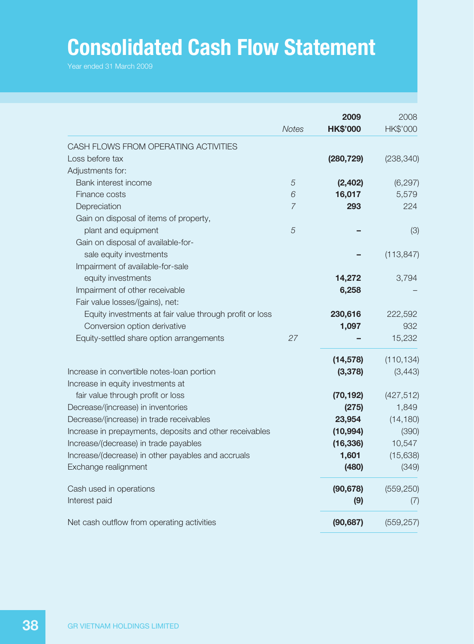# **Consolidated Cash Flow Statement**

|                                                         | <b>Notes</b> | 2009<br><b>HK\$'000</b> | 2008<br>HK\$'000 |
|---------------------------------------------------------|--------------|-------------------------|------------------|
| CASH FLOWS FROM OPERATING ACTIVITIES                    |              |                         |                  |
| Loss before tax                                         |              | (280, 729)              | (238, 340)       |
| Adjustments for:                                        |              |                         |                  |
| Bank interest income                                    | 5            | (2, 402)                | (6, 297)         |
| Finance costs                                           | 6            | 16,017                  | 5,579            |
| Depreciation                                            | 7            | 293                     | 224              |
| Gain on disposal of items of property,                  |              |                         |                  |
| plant and equipment                                     | 5            |                         | (3)              |
| Gain on disposal of available-for-                      |              |                         |                  |
| sale equity investments                                 |              |                         | (113, 847)       |
| Impairment of available-for-sale                        |              |                         |                  |
| equity investments                                      |              | 14,272                  | 3,794            |
| Impairment of other receivable                          |              | 6,258                   |                  |
| Fair value losses/(gains), net:                         |              |                         |                  |
| Equity investments at fair value through profit or loss |              | 230,616                 | 222,592          |
| Conversion option derivative                            |              | 1,097                   | 932              |
| Equity-settled share option arrangements                | 27           |                         | 15,232           |
|                                                         |              | (14, 578)               | (110, 134)       |
| Increase in convertible notes-loan portion              |              | (3, 378)                | (3, 443)         |
| Increase in equity investments at                       |              |                         |                  |
| fair value through profit or loss                       |              | (70, 192)               | (427, 512)       |
| Decrease/(increase) in inventories                      |              | (275)                   | 1,849            |
| Decrease/(increase) in trade receivables                |              | 23,954                  | (14, 180)        |
| Increase in prepayments, deposits and other receivables |              | (10, 994)               | (390)            |
| Increase/(decrease) in trade payables                   |              | (16, 336)               | 10,547           |
| Increase/(decrease) in other payables and accruals      |              | 1,601                   | (15,638)         |
| Exchange realignment                                    |              | (480)                   | (349)            |
| Cash used in operations                                 |              | (90, 678)               | (559, 250)       |
| Interest paid                                           |              | (9)                     | (7)              |
| Net cash outflow from operating activities              |              | (90, 687)               | (559, 257)       |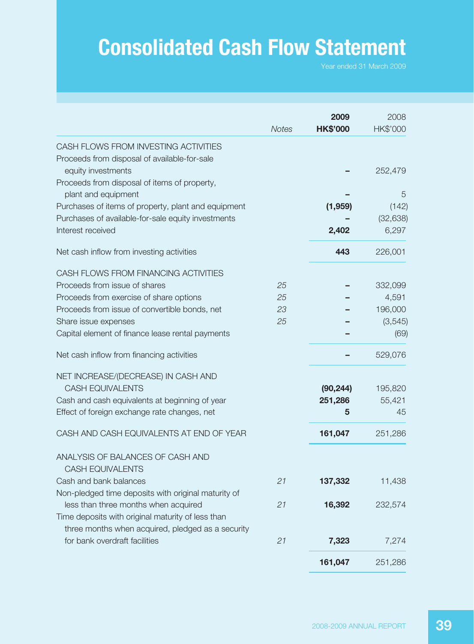## **Consolidated Cash Flow Statement**

Year ended 31 March 2009

|                                                                                                                                                                                                                                               | <b>Notes</b>         | 2009<br><b>HK\$'000</b>   | 2008<br>HK\$'000                                |
|-----------------------------------------------------------------------------------------------------------------------------------------------------------------------------------------------------------------------------------------------|----------------------|---------------------------|-------------------------------------------------|
| CASH FLOWS FROM INVESTING ACTIVITIES<br>Proceeds from disposal of available-for-sale<br>equity investments<br>Proceeds from disposal of items of property,                                                                                    |                      |                           | 252,479                                         |
| plant and equipment<br>Purchases of items of property, plant and equipment<br>Purchases of available-for-sale equity investments<br>Interest received                                                                                         |                      | (1, 959)<br>2,402         | 5<br>(142)<br>(32, 638)<br>6,297                |
| Net cash inflow from investing activities                                                                                                                                                                                                     |                      | 443                       | 226,001                                         |
| CASH FLOWS FROM FINANCING ACTIVITIES<br>Proceeds from issue of shares<br>Proceeds from exercise of share options<br>Proceeds from issue of convertible bonds, net<br>Share issue expenses<br>Capital element of finance lease rental payments | 25<br>25<br>23<br>25 |                           | 332,099<br>4,591<br>196,000<br>(3, 545)<br>(69) |
| Net cash inflow from financing activities                                                                                                                                                                                                     |                      |                           | 529,076                                         |
| NET INCREASE/(DECREASE) IN CASH AND<br><b>CASH EQUIVALENTS</b><br>Cash and cash equivalents at beginning of year<br>Effect of foreign exchange rate changes, net                                                                              |                      | (90, 244)<br>251,286<br>5 | 195,820<br>55,421<br>45                         |
| CASH AND CASH EQUIVALENTS AT END OF YEAR                                                                                                                                                                                                      |                      | 161,047                   | 251,286                                         |
| ANALYSIS OF BALANCES OF CASH AND<br><b>CASH EQUIVALENTS</b><br>Cash and bank balances                                                                                                                                                         | 21                   |                           |                                                 |
| Non-pledged time deposits with original maturity of                                                                                                                                                                                           |                      | 137,332                   | 11,438                                          |
| less than three months when acquired<br>Time deposits with original maturity of less than<br>three months when acquired, pledged as a security                                                                                                | 21                   | 16,392                    | 232,574                                         |
| for bank overdraft facilities                                                                                                                                                                                                                 | 21                   | 7,323                     | 7,274                                           |
|                                                                                                                                                                                                                                               |                      | 161,047                   | 251,286                                         |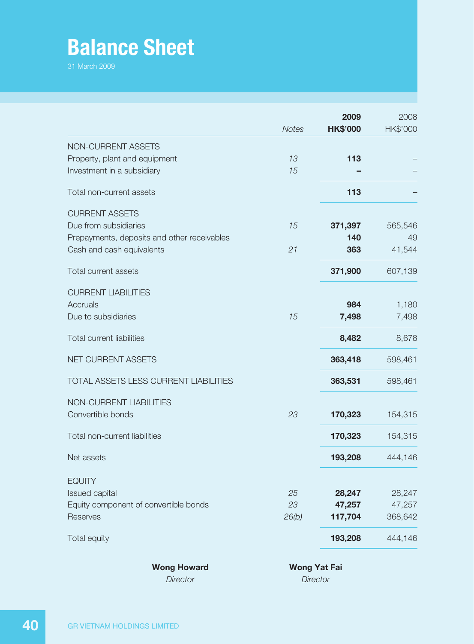# **Balance Sheet**

| NON-CURRENT ASSETS                                      |         |
|---------------------------------------------------------|---------|
| 13<br>113<br>Property, plant and equipment              |         |
| Investment in a subsidiary<br>15                        |         |
| 113<br>Total non-current assets                         |         |
| <b>CURRENT ASSETS</b>                                   |         |
| Due from subsidiaries<br>371,397<br>15                  | 565,546 |
| 140<br>Prepayments, deposits and other receivables      | 49      |
| Cash and cash equivalents<br>21<br>363                  | 41,544  |
| 371,900<br><b>Total current assets</b>                  | 607,139 |
| <b>CURRENT LIABILITIES</b>                              |         |
| <b>Accruals</b><br>984                                  | 1,180   |
| Due to subsidiaries<br>15<br>7,498                      | 7,498   |
| <b>Total current liabilities</b><br>8,482               | 8,678   |
| NET CURRENT ASSETS<br>363,418                           | 598,461 |
| <b>TOTAL ASSETS LESS CURRENT LIABILITIES</b><br>363,531 | 598,461 |
| NON-CURRENT LIABILITIES                                 |         |
| Convertible bonds<br>23<br>170,323                      | 154,315 |
| Total non-current liabilities<br>170,323                | 154,315 |
| Net assets<br>193,208                                   | 444,146 |
| <b>EQUITY</b>                                           |         |
| Issued capital<br>25<br>28,247                          | 28,247  |
| 23<br>Equity component of convertible bonds<br>47,257   | 47,257  |
| Reserves<br>26(b)<br>117,704                            | 368,642 |
| Total equity<br>193,208                                 | 444,146 |

Wong Howard Wong Yat Fai  *Director Director*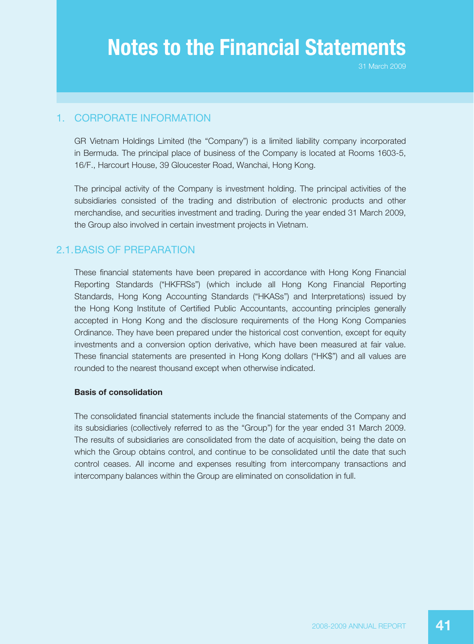## 1. CORPORATE INFORMATION

GR Vietnam Holdings Limited (the "Company") is a limited liability company incorporated in Bermuda. The principal place of business of the Company is located at Rooms 1603-5, 16/F., Harcourt House, 39 Gloucester Road, Wanchai, Hong Kong.

The principal activity of the Company is investment holding. The principal activities of the subsidiaries consisted of the trading and distribution of electronic products and other merchandise, and securities investment and trading. During the year ended 31 March 2009, the Group also involved in certain investment projects in Vietnam.

## 2.1. BASIS OF PREPARATION

These financial statements have been prepared in accordance with Hong Kong Financial Reporting Standards ("HKFRSs") (which include all Hong Kong Financial Reporting Standards, Hong Kong Accounting Standards ("HKASs") and Interpretations) issued by the Hong Kong Institute of Certified Public Accountants, accounting principles generally accepted in Hong Kong and the disclosure requirements of the Hong Kong Companies Ordinance. They have been prepared under the historical cost convention, except for equity investments and a conversion option derivative, which have been measured at fair value. These financial statements are presented in Hong Kong dollars ("HK\$") and all values are rounded to the nearest thousand except when otherwise indicated.

#### **Basis of consolidation**

The consolidated financial statements include the financial statements of the Company and its subsidiaries (collectively referred to as the "Group") for the year ended 31 March 2009. The results of subsidiaries are consolidated from the date of acquisition, being the date on which the Group obtains control, and continue to be consolidated until the date that such control ceases. All income and expenses resulting from intercompany transactions and intercompany balances within the Group are eliminated on consolidation in full.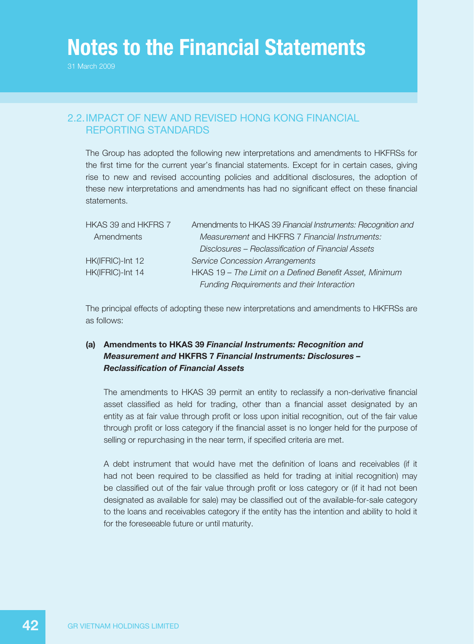31 March 2009

### 2.2. IMPACT OF NEW AND REVISED HONG KONG FINANCIAL REPORTING STANDARDS

The Group has adopted the following new interpretations and amendments to HKFRSs for the first time for the current year's financial statements. Except for in certain cases, giving rise to new and revised accounting policies and additional disclosures, the adoption of these new interpretations and amendments has had no significant effect on these financial statements.

| HKAS 39 and HKFRS 7 | Amendments to HKAS 39 Financial Instruments: Recognition and |
|---------------------|--------------------------------------------------------------|
| Amendments          | Measurement and HKFRS 7 Financial Instruments:               |
|                     | Disclosures – Reclassification of Financial Assets           |
| HK(IFRIC)-Int 12    | <b>Service Concession Arrangements</b>                       |
| HK(IFRIC)-Int 14    | HKAS 19 - The Limit on a Defined Benefit Asset, Minimum      |
|                     | Funding Requirements and their Interaction                   |

The principal effects of adopting these new interpretations and amendments to HKFRSs are as follows:

### **(a) Amendments to HKAS 39** *Financial Instruments: Recognition and Measurement and* **HKFRS 7** *Financial Instruments: Disclosures – Reclassifi cation of Financial Assets*

The amendments to HKAS 39 permit an entity to reclassify a non-derivative financial asset classified as held for trading, other than a financial asset designated by an entity as at fair value through profit or loss upon initial recognition, out of the fair value through profit or loss category if the financial asset is no longer held for the purpose of selling or repurchasing in the near term, if specified criteria are met.

A debt instrument that would have met the definition of loans and receivables (if it had not been required to be classified as held for trading at initial recognition) may be classified out of the fair value through profit or loss category or (if it had not been designated as available for sale) may be classified out of the available-for-sale category to the loans and receivables category if the entity has the intention and ability to hold it for the foreseeable future or until maturity.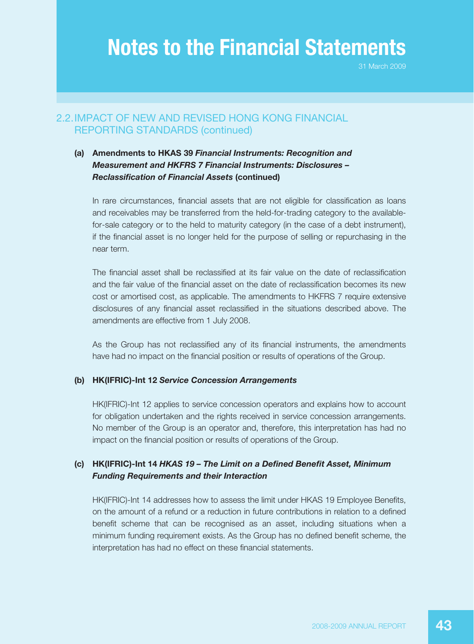31 March 2009

### 2.2. IMPACT OF NEW AND REVISED HONG KONG FINANCIAL REPORTING STANDARDS (continued)

### **(a) Amendments to HKAS 39** *Financial Instruments: Recognition and Measurement and HKFRS 7 Financial Instruments: Disclosures – Reclassifi cation of Financial Assets* **(continued)**

In rare circumstances, financial assets that are not eligible for classification as loans and receivables may be transferred from the held-for-trading category to the availablefor-sale category or to the held to maturity category (in the case of a debt instrument), if the financial asset is no longer held for the purpose of selling or repurchasing in the near term.

The financial asset shall be reclassified at its fair value on the date of reclassification and the fair value of the financial asset on the date of reclassification becomes its new cost or amortised cost, as applicable. The amendments to HKFRS 7 require extensive disclosures of any financial asset reclassified in the situations described above. The amendments are effective from 1 July 2008.

As the Group has not reclassified any of its financial instruments, the amendments have had no impact on the financial position or results of operations of the Group.

#### **(b) HK(IFRIC)-Int 12** *Service Concession Arrangements*

HK(IFRIC)-Int 12 applies to service concession operators and explains how to account for obligation undertaken and the rights received in service concession arrangements. No member of the Group is an operator and, therefore, this interpretation has had no impact on the financial position or results of operations of the Group.

#### (c) HK(IFRIC)-Int 14 *HKAS 19 - The Limit on a Defined Benefit Asset, Minimum Funding Requirements and their Interaction*

HK(IFRIC)-Int 14 addresses how to assess the limit under HKAS 19 Employee Benefits, on the amount of a refund or a reduction in future contributions in relation to a defined benefit scheme that can be recognised as an asset, including situations when a minimum funding requirement exists. As the Group has no defined benefit scheme, the interpretation has had no effect on these financial statements.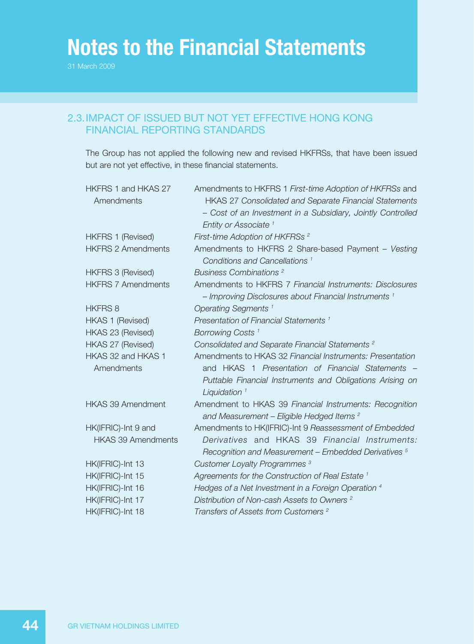31 March 2009

## 2.3. IMPACT OF ISSUED BUT NOT YET EFFECTIVE HONG KONG FINANCIAL REPORTING STANDARDS

The Group has not applied the following new and revised HKFRSs, that have been issued but are not yet effective, in these financial statements.

| HKFRS 1 and HKAS 27<br>Amendments | Amendments to HKFRS 1 First-time Adoption of HKFRSs and<br><b>HKAS 27 Consolidated and Separate Financial Statements</b><br>- Cost of an Investment in a Subsidiary, Jointly Controlled<br>Entity or Associate <sup>1</sup> |
|-----------------------------------|-----------------------------------------------------------------------------------------------------------------------------------------------------------------------------------------------------------------------------|
| <b>HKFRS 1 (Revised)</b>          | First-time Adoption of HKFRSs <sup>2</sup>                                                                                                                                                                                  |
| <b>HKFRS 2 Amendments</b>         | Amendments to HKFRS 2 Share-based Payment - Vesting<br>Conditions and Cancellations <sup>1</sup>                                                                                                                            |
| <b>HKFRS 3 (Revised)</b>          | <b>Business Combinations</b> <sup>2</sup>                                                                                                                                                                                   |
| <b>HKFRS 7 Amendments</b>         | Amendments to HKFRS 7 Financial Instruments: Disclosures<br>- Improving Disclosures about Financial Instruments <sup>1</sup>                                                                                                |
| <b>HKFRS 8</b>                    | Operating Segments <sup>1</sup>                                                                                                                                                                                             |
| <b>HKAS 1 (Revised)</b>           | Presentation of Financial Statements <sup>1</sup>                                                                                                                                                                           |
| HKAS 23 (Revised)                 | Borrowing Costs <sup>1</sup>                                                                                                                                                                                                |
| HKAS 27 (Revised)                 | Consolidated and Separate Financial Statements <sup>2</sup>                                                                                                                                                                 |
| HKAS 32 and HKAS 1<br>Amendments  | Amendments to HKAS 32 Financial Instruments: Presentation<br>and HKAS 1 Presentation of Financial Statements -<br>Puttable Financial Instruments and Obligations Arising on<br>Liquidation <sup>1</sup>                     |
| <b>HKAS 39 Amendment</b>          | Amendment to HKAS 39 Financial Instruments: Recognition<br>and Measurement - Eligible Hedged Items <sup>2</sup>                                                                                                             |
| HK(IFRIC)-Int 9 and               | Amendments to HK(IFRIC)-Int 9 Reassessment of Embedded                                                                                                                                                                      |
| <b>HKAS 39 Amendments</b>         | Derivatives and HKAS 39 Financial Instruments:<br>Recognition and Measurement - Embedded Derivatives <sup>5</sup>                                                                                                           |
| HK(IFRIC)-Int 13                  | Customer Loyalty Programmes <sup>3</sup>                                                                                                                                                                                    |
| HK(IFRIC)-Int 15                  | Agreements for the Construction of Real Estate <sup>1</sup>                                                                                                                                                                 |
| HK(IFRIC)-Int 16                  | Hedges of a Net Investment in a Foreign Operation <sup>4</sup>                                                                                                                                                              |
| HK(IFRIC)-Int 17                  | Distribution of Non-cash Assets to Owners <sup>2</sup>                                                                                                                                                                      |
| HK(IFRIC)-Int 18                  | Transfers of Assets from Customers <sup>2</sup>                                                                                                                                                                             |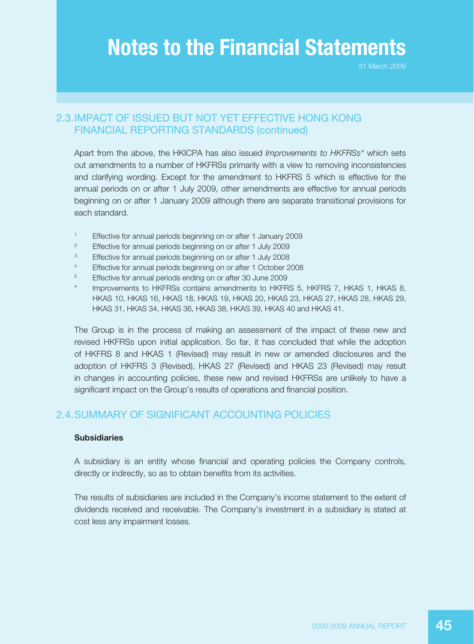31 March 2009

### 2.3. IMPACT OF ISSUED BUT NOT YET EFFECTIVE HONG KONG FINANCIAL REPORTING STANDARDS (continued)

Apart from the above, the HKICPA has also issued *Improvements to HKFRSs\** which sets out amendments to a number of HKFRSs primarily with a view to removing inconsistencies and clarifying wording. Except for the amendment to HKFRS 5 which is effective for the annual periods on or after 1 July 2009, other amendments are effective for annual periods beginning on or after 1 January 2009 although there are separate transitional provisions for each standard.

- 1 Effective for annual periods beginning on or after 1 January 2009
- $\overline{2}$ Effective for annual periods beginning on or after 1 July 2009
- 3 Effective for annual periods beginning on or after 1 July 2008
- 4 Effective for annual periods beginning on or after 1 October 2008
- 5 Effective for annual periods ending on or after 30 June 2009
- Improvements to HKFRSs contains amendments to HKFRS 5, HKFRS 7, HKAS 1, HKAS 8, HKAS 10, HKAS 16, HKAS 18, HKAS 19, HKAS 20, HKAS 23, HKAS 27, HKAS 28, HKAS 29, HKAS 31, HKAS 34, HKAS 36, HKAS 38, HKAS 39, HKAS 40 and HKAS 41.

The Group is in the process of making an assessment of the impact of these new and revised HKFRSs upon initial application. So far, it has concluded that while the adoption of HKFRS 8 and HKAS 1 (Revised) may result in new or amended disclosures and the adoption of HKFRS 3 (Revised), HKAS 27 (Revised) and HKAS 23 (Revised) may result in changes in accounting policies, these new and revised HKFRSs are unlikely to have a significant impact on the Group's results of operations and financial position.

## 2.4. SUMMARY OF SIGNIFICANT ACCOUNTING POLICIES

#### **Subsidiaries**

A subsidiary is an entity whose financial and operating policies the Company controls, directly or indirectly, so as to obtain benefits from its activities.

The results of subsidiaries are included in the Company's income statement to the extent of dividends received and receivable. The Company's investment in a subsidiary is stated at cost less any impairment losses.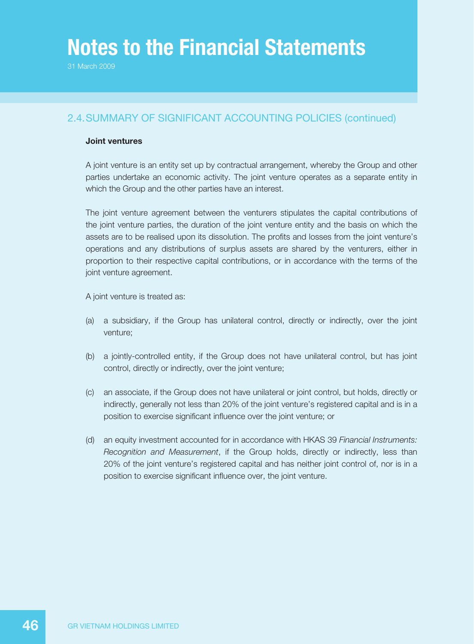## 2.4. SUMMARY OF SIGNIFICANT ACCOUNTING POLICIES (continued)

#### **Joint ventures**

A joint venture is an entity set up by contractual arrangement, whereby the Group and other parties undertake an economic activity. The joint venture operates as a separate entity in which the Group and the other parties have an interest.

The joint venture agreement between the venturers stipulates the capital contributions of the joint venture parties, the duration of the joint venture entity and the basis on which the assets are to be realised upon its dissolution. The profits and losses from the joint venture's operations and any distributions of surplus assets are shared by the venturers, either in proportion to their respective capital contributions, or in accordance with the terms of the joint venture agreement.

A joint venture is treated as:

- (a) a subsidiary, if the Group has unilateral control, directly or indirectly, over the joint venture;
- (b) a jointly-controlled entity, if the Group does not have unilateral control, but has joint control, directly or indirectly, over the joint venture;
- (c) an associate, if the Group does not have unilateral or joint control, but holds, directly or indirectly, generally not less than 20% of the joint venture's registered capital and is in a position to exercise significant influence over the joint venture; or
- (d) an equity investment accounted for in accordance with HKAS 39 *Financial Instruments: Recognition and Measurement*, if the Group holds, directly or indirectly, less than 20% of the joint venture's registered capital and has neither joint control of, nor is in a position to exercise significant influence over, the joint venture.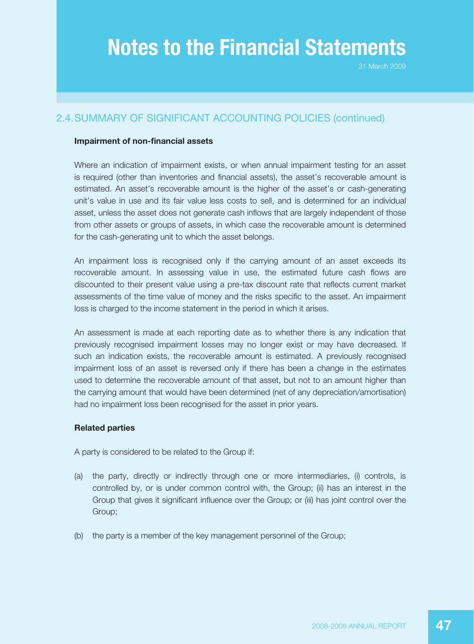31 March 2009

## 2.4. SUMMARY OF SIGNIFICANT ACCOUNTING POLICIES (continued)

#### **Impairment of non-financial assets**

Where an indication of impairment exists, or when annual impairment testing for an asset is required (other than inventories and financial assets), the asset's recoverable amount is estimated. An asset's recoverable amount is the higher of the asset's or cash-generating unit's value in use and its fair value less costs to sell, and is determined for an individual asset, unless the asset does not generate cash inflows that are largely independent of those from other assets or groups of assets, in which case the recoverable amount is determined for the cash-generating unit to which the asset belongs.

An impairment loss is recognised only if the carrying amount of an asset exceeds its recoverable amount. In assessing value in use, the estimated future cash flows are discounted to their present value using a pre-tax discount rate that reflects current market assessments of the time value of money and the risks specific to the asset. An impairment loss is charged to the income statement in the period in which it arises.

An assessment is made at each reporting date as to whether there is any indication that previously recognised impairment losses may no longer exist or may have decreased. If such an indication exists, the recoverable amount is estimated. A previously recognised impairment loss of an asset is reversed only if there has been a change in the estimates used to determine the recoverable amount of that asset, but not to an amount higher than the carrying amount that would have been determined (net of any depreciation/amortisation) had no impairment loss been recognised for the asset in prior years.

#### **Related parties**

A party is considered to be related to the Group if:

- (a) the party, directly or indirectly through one or more intermediaries, (i) controls, is controlled by, or is under common control with, the Group; (ii) has an interest in the Group that gives it significant influence over the Group; or (iii) has joint control over the Group;
- (b) the party is a member of the key management personnel of the Group;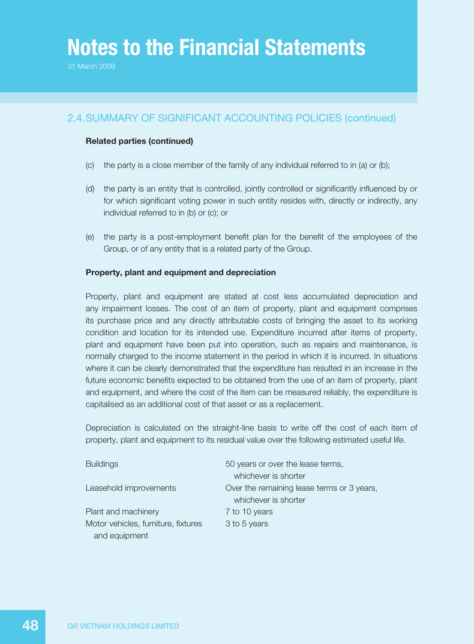### 2.4. SUMMARY OF SIGNIFICANT ACCOUNTING POLICIES (continued)

#### **Related parties (continued)**

- (c) the party is a close member of the family of any individual referred to in (a) or (b);
- (d) the party is an entity that is controlled, jointly controlled or significantly influenced by or for which significant voting power in such entity resides with, directly or indirectly, any individual referred to in (b) or (c); or
- (e) the party is a post-employment benefit plan for the benefit of the employees of the Group, or of any entity that is a related party of the Group.

#### **Property, plant and equipment and depreciation**

Property, plant and equipment are stated at cost less accumulated depreciation and any impairment losses. The cost of an item of property, plant and equipment comprises its purchase price and any directly attributable costs of bringing the asset to its working condition and location for its intended use. Expenditure incurred after items of property, plant and equipment have been put into operation, such as repairs and maintenance, is normally charged to the income statement in the period in which it is incurred. In situations where it can be clearly demonstrated that the expenditure has resulted in an increase in the future economic benefits expected to be obtained from the use of an item of property, plant and equipment, and where the cost of the item can be measured reliably, the expenditure is capitalised as an additional cost of that asset or as a replacement.

Depreciation is calculated on the straight-line basis to write off the cost of each item of property, plant and equipment to its residual value over the following estimated useful life.

| <b>Buildings</b>                    | 50 years or over the lease terms,          |
|-------------------------------------|--------------------------------------------|
|                                     | whichever is shorter                       |
| Leasehold improvements              | Over the remaining lease terms or 3 years, |
|                                     | whichever is shorter                       |
| Plant and machinery                 | 7 to 10 years                              |
| Motor vehicles, furniture, fixtures | 3 to 5 years                               |
| and equipment                       |                                            |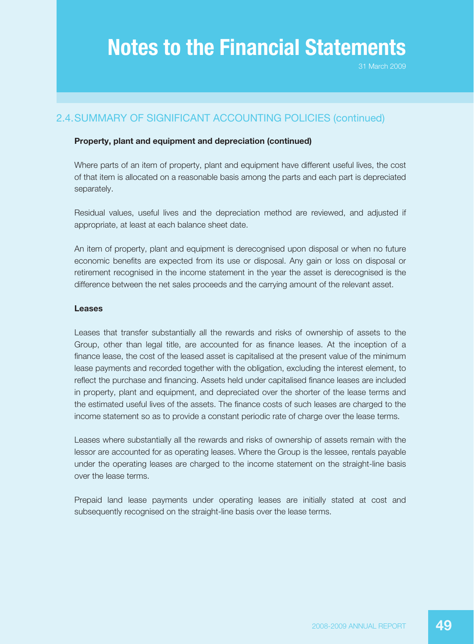31 March 2009

## 2.4. SUMMARY OF SIGNIFICANT ACCOUNTING POLICIES (continued)

#### **Property, plant and equipment and depreciation (continued)**

Where parts of an item of property, plant and equipment have different useful lives, the cost of that item is allocated on a reasonable basis among the parts and each part is depreciated separately.

Residual values, useful lives and the depreciation method are reviewed, and adjusted if appropriate, at least at each balance sheet date.

An item of property, plant and equipment is derecognised upon disposal or when no future economic benefits are expected from its use or disposal. Any gain or loss on disposal or retirement recognised in the income statement in the year the asset is derecognised is the difference between the net sales proceeds and the carrying amount of the relevant asset.

#### **Leases**

Leases that transfer substantially all the rewards and risks of ownership of assets to the Group, other than legal title, are accounted for as finance leases. At the inception of a finance lease, the cost of the leased asset is capitalised at the present value of the minimum lease payments and recorded together with the obligation, excluding the interest element, to reflect the purchase and financing. Assets held under capitalised finance leases are included in property, plant and equipment, and depreciated over the shorter of the lease terms and the estimated useful lives of the assets. The finance costs of such leases are charged to the income statement so as to provide a constant periodic rate of charge over the lease terms.

Leases where substantially all the rewards and risks of ownership of assets remain with the lessor are accounted for as operating leases. Where the Group is the lessee, rentals payable under the operating leases are charged to the income statement on the straight-line basis over the lease terms.

Prepaid land lease payments under operating leases are initially stated at cost and subsequently recognised on the straight-line basis over the lease terms.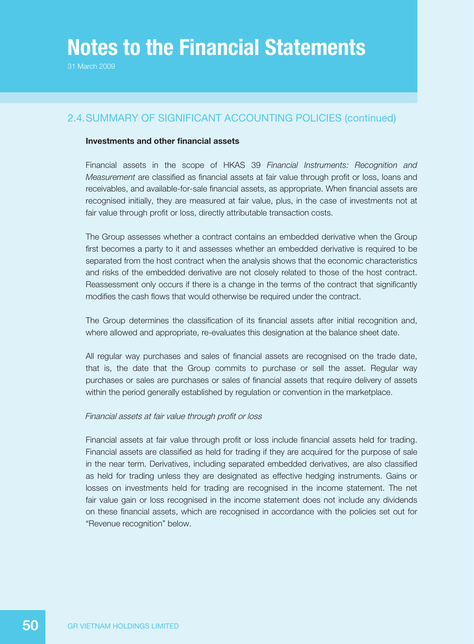### 2.4. SUMMARY OF SIGNIFICANT ACCOUNTING POLICIES (continued)

#### **Investments and other financial assets**

Financial assets in the scope of HKAS 39 *Financial Instruments: Recognition and Measurement* are classified as financial assets at fair value through profit or loss, loans and receivables, and available-for-sale financial assets, as appropriate. When financial assets are recognised initially, they are measured at fair value, plus, in the case of investments not at fair value through profit or loss, directly attributable transaction costs.

The Group assesses whether a contract contains an embedded derivative when the Group first becomes a party to it and assesses whether an embedded derivative is required to be separated from the host contract when the analysis shows that the economic characteristics and risks of the embedded derivative are not closely related to those of the host contract. Reassessment only occurs if there is a change in the terms of the contract that significantly modifies the cash flows that would otherwise be required under the contract.

The Group determines the classification of its financial assets after initial recognition and, where allowed and appropriate, re-evaluates this designation at the balance sheet date.

All regular way purchases and sales of financial assets are recognised on the trade date, that is, the date that the Group commits to purchase or sell the asset. Regular way purchases or sales are purchases or sales of financial assets that require delivery of assets within the period generally established by regulation or convention in the marketplace.

#### Financial assets at fair value through profit or loss

Financial assets at fair value through profit or loss include financial assets held for trading. Financial assets are classified as held for trading if they are acquired for the purpose of sale in the near term. Derivatives, including separated embedded derivatives, are also classified as held for trading unless they are designated as effective hedging instruments. Gains or losses on investments held for trading are recognised in the income statement. The net fair value gain or loss recognised in the income statement does not include any dividends on these financial assets, which are recognised in accordance with the policies set out for "Revenue recognition" below.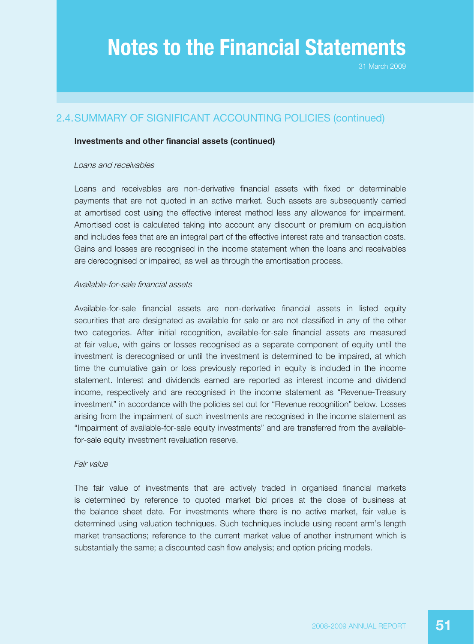31 March 2009

## 2.4. SUMMARY OF SIGNIFICANT ACCOUNTING POLICIES (continued)

#### **Investments and other financial assets (continued)**

#### Loans and receivables

Loans and receivables are non-derivative financial assets with fixed or determinable payments that are not quoted in an active market. Such assets are subsequently carried at amortised cost using the effective interest method less any allowance for impairment. Amortised cost is calculated taking into account any discount or premium on acquisition and includes fees that are an integral part of the effective interest rate and transaction costs. Gains and losses are recognised in the income statement when the loans and receivables are derecognised or impaired, as well as through the amortisation process.

#### Available-for-sale financial assets

Available-for-sale financial assets are non-derivative financial assets in listed equity securities that are designated as available for sale or are not classified in any of the other two categories. After initial recognition, available-for-sale financial assets are measured at fair value, with gains or losses recognised as a separate component of equity until the investment is derecognised or until the investment is determined to be impaired, at which time the cumulative gain or loss previously reported in equity is included in the income statement. Interest and dividends earned are reported as interest income and dividend income, respectively and are recognised in the income statement as "Revenue-Treasury investment" in accordance with the policies set out for "Revenue recognition" below. Losses arising from the impairment of such investments are recognised in the income statement as "Impairment of available-for-sale equity investments" and are transferred from the availablefor-sale equity investment revaluation reserve.

#### Fair value

The fair value of investments that are actively traded in organised financial markets is determined by reference to quoted market bid prices at the close of business at the balance sheet date. For investments where there is no active market, fair value is determined using valuation techniques. Such techniques include using recent arm's length market transactions; reference to the current market value of another instrument which is substantially the same; a discounted cash flow analysis; and option pricing models.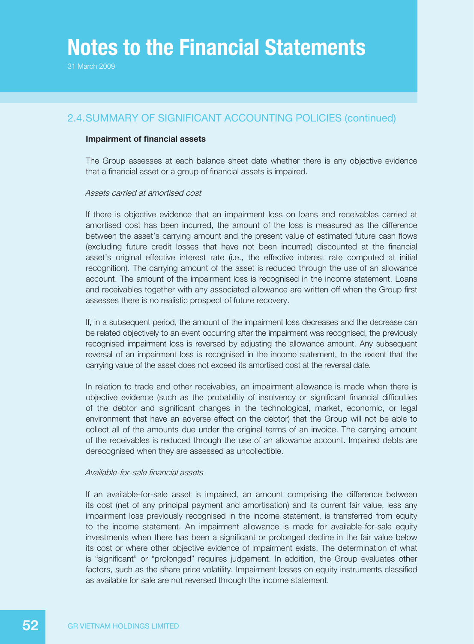## 2.4. SUMMARY OF SIGNIFICANT ACCOUNTING POLICIES (continued)

#### **Impairment of financial assets**

The Group assesses at each balance sheet date whether there is any objective evidence that a financial asset or a group of financial assets is impaired.

#### Assets carried at amortised cost

If there is objective evidence that an impairment loss on loans and receivables carried at amortised cost has been incurred, the amount of the loss is measured as the difference between the asset's carrying amount and the present value of estimated future cash flows (excluding future credit losses that have not been incurred) discounted at the financial asset's original effective interest rate (i.e., the effective interest rate computed at initial recognition). The carrying amount of the asset is reduced through the use of an allowance account. The amount of the impairment loss is recognised in the income statement. Loans and receivables together with any associated allowance are written off when the Group first assesses there is no realistic prospect of future recovery.

If, in a subsequent period, the amount of the impairment loss decreases and the decrease can be related objectively to an event occurring after the impairment was recognised, the previously recognised impairment loss is reversed by adjusting the allowance amount. Any subsequent reversal of an impairment loss is recognised in the income statement, to the extent that the carrying value of the asset does not exceed its amortised cost at the reversal date.

In relation to trade and other receivables, an impairment allowance is made when there is objective evidence (such as the probability of insolvency or significant financial difficulties of the debtor and significant changes in the technological, market, economic, or legal environment that have an adverse effect on the debtor) that the Group will not be able to collect all of the amounts due under the original terms of an invoice. The carrying amount of the receivables is reduced through the use of an allowance account. Impaired debts are derecognised when they are assessed as uncollectible.

#### Available-for-sale financial assets

If an available-for-sale asset is impaired, an amount comprising the difference between its cost (net of any principal payment and amortisation) and its current fair value, less any impairment loss previously recognised in the income statement, is transferred from equity to the income statement. An impairment allowance is made for available-for-sale equity investments when there has been a significant or prolonged decline in the fair value below its cost or where other objective evidence of impairment exists. The determination of what is "significant" or "prolonged" requires judgement. In addition, the Group evaluates other factors, such as the share price volatility. Impairment losses on equity instruments classified as available for sale are not reversed through the income statement.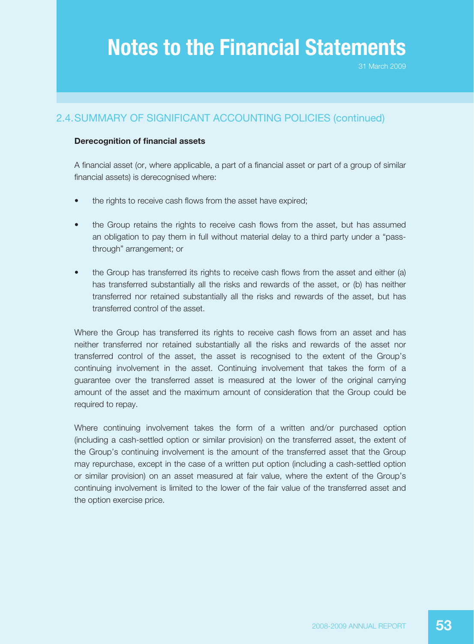31 March 2009

## 2.4. SUMMARY OF SIGNIFICANT ACCOUNTING POLICIES (continued)

#### **Derecognition of financial assets**

A financial asset (or, where applicable, a part of a financial asset or part of a group of similar financial assets) is derecognised where:

- the rights to receive cash flows from the asset have expired;
- the Group retains the rights to receive cash flows from the asset, but has assumed an obligation to pay them in full without material delay to a third party under a "passthrough" arrangement; or
- $\bullet$  the Group has transferred its rights to receive cash flows from the asset and either (a) has transferred substantially all the risks and rewards of the asset, or (b) has neither transferred nor retained substantially all the risks and rewards of the asset, but has transferred control of the asset.

Where the Group has transferred its rights to receive cash flows from an asset and has neither transferred nor retained substantially all the risks and rewards of the asset nor transferred control of the asset, the asset is recognised to the extent of the Group's continuing involvement in the asset. Continuing involvement that takes the form of a guarantee over the transferred asset is measured at the lower of the original carrying amount of the asset and the maximum amount of consideration that the Group could be required to repay.

Where continuing involvement takes the form of a written and/or purchased option (including a cash-settled option or similar provision) on the transferred asset, the extent of the Group's continuing involvement is the amount of the transferred asset that the Group may repurchase, except in the case of a written put option (including a cash-settled option or similar provision) on an asset measured at fair value, where the extent of the Group's continuing involvement is limited to the lower of the fair value of the transferred asset and the option exercise price.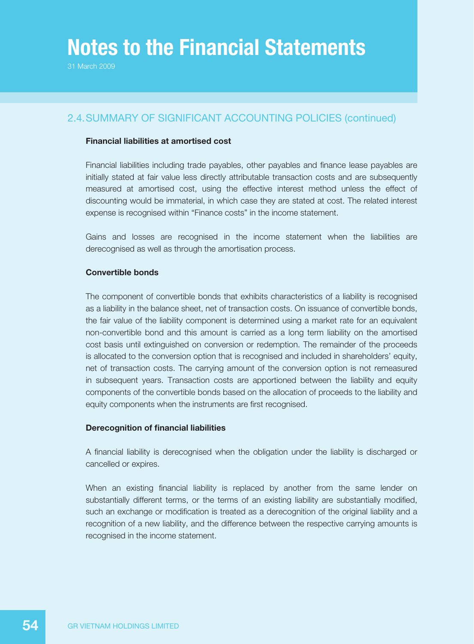## 2.4. SUMMARY OF SIGNIFICANT ACCOUNTING POLICIES (continued)

#### **Financial liabilities at amortised cost**

Financial liabilities including trade payables, other payables and finance lease payables are initially stated at fair value less directly attributable transaction costs and are subsequently measured at amortised cost, using the effective interest method unless the effect of discounting would be immaterial, in which case they are stated at cost. The related interest expense is recognised within "Finance costs" in the income statement.

Gains and losses are recognised in the income statement when the liabilities are derecognised as well as through the amortisation process.

#### **Convertible bonds**

The component of convertible bonds that exhibits characteristics of a liability is recognised as a liability in the balance sheet, net of transaction costs. On issuance of convertible bonds, the fair value of the liability component is determined using a market rate for an equivalent non-convertible bond and this amount is carried as a long term liability on the amortised cost basis until extinguished on conversion or redemption. The remainder of the proceeds is allocated to the conversion option that is recognised and included in shareholders' equity, net of transaction costs. The carrying amount of the conversion option is not remeasured in subsequent years. Transaction costs are apportioned between the liability and equity components of the convertible bonds based on the allocation of proceeds to the liability and equity components when the instruments are first recognised.

#### **Derecognition of financial liabilities**

A financial liability is derecognised when the obligation under the liability is discharged or cancelled or expires.

When an existing financial liability is replaced by another from the same lender on substantially different terms, or the terms of an existing liability are substantially modified, such an exchange or modification is treated as a derecognition of the original liability and a recognition of a new liability, and the difference between the respective carrying amounts is recognised in the income statement.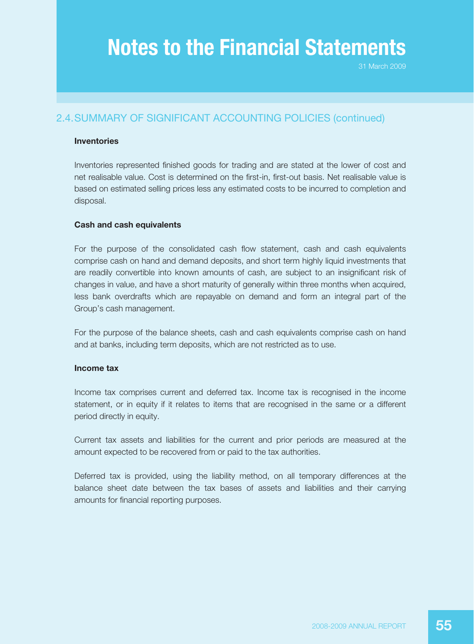31 March 2009

## 2.4. SUMMARY OF SIGNIFICANT ACCOUNTING POLICIES (continued)

#### **Inventories**

Inventories represented finished goods for trading and are stated at the lower of cost and net realisable value. Cost is determined on the first-in, first-out basis. Net realisable value is based on estimated selling prices less any estimated costs to be incurred to completion and disposal.

#### **Cash and cash equivalents**

For the purpose of the consolidated cash flow statement, cash and cash equivalents comprise cash on hand and demand deposits, and short term highly liquid investments that are readily convertible into known amounts of cash, are subject to an insignificant risk of changes in value, and have a short maturity of generally within three months when acquired, less bank overdrafts which are repayable on demand and form an integral part of the Group's cash management.

For the purpose of the balance sheets, cash and cash equivalents comprise cash on hand and at banks, including term deposits, which are not restricted as to use.

#### **Income tax**

Income tax comprises current and deferred tax. Income tax is recognised in the income statement, or in equity if it relates to items that are recognised in the same or a different period directly in equity.

Current tax assets and liabilities for the current and prior periods are measured at the amount expected to be recovered from or paid to the tax authorities.

Deferred tax is provided, using the liability method, on all temporary differences at the balance sheet date between the tax bases of assets and liabilities and their carrying amounts for financial reporting purposes.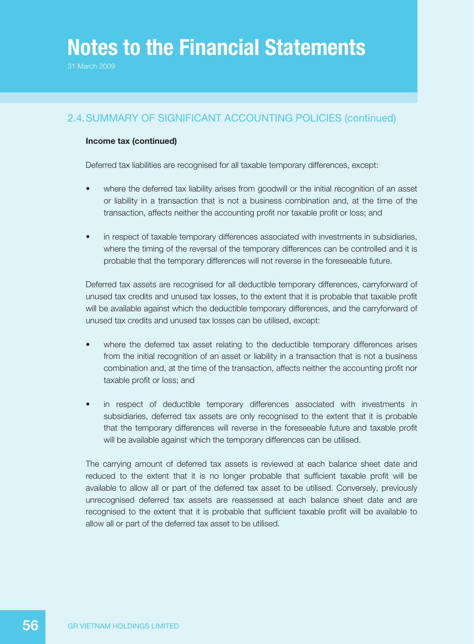## 2.4. SUMMARY OF SIGNIFICANT ACCOUNTING POLICIES (continued)

#### **Income tax (continued)**

Deferred tax liabilities are recognised for all taxable temporary differences, except:

- where the deferred tax liability arises from goodwill or the initial recognition of an asset or liability in a transaction that is not a business combination and, at the time of the transaction, affects neither the accounting profit nor taxable profit or loss; and
- in respect of taxable temporary differences associated with investments in subsidiaries, where the timing of the reversal of the temporary differences can be controlled and it is probable that the temporary differences will not reverse in the foreseeable future.

Deferred tax assets are recognised for all deductible temporary differences, carryforward of unused tax credits and unused tax losses, to the extent that it is probable that taxable profit will be available against which the deductible temporary differences, and the carryforward of unused tax credits and unused tax losses can be utilised, except:

- where the deferred tax asset relating to the deductible temporary differences arises from the initial recognition of an asset or liability in a transaction that is not a business combination and, at the time of the transaction, affects neither the accounting profit nor taxable profit or loss; and
- in respect of deductible temporary differences associated with investments in subsidiaries, deferred tax assets are only recognised to the extent that it is probable that the temporary differences will reverse in the foreseeable future and taxable profit will be available against which the temporary differences can be utilised.

The carrying amount of deferred tax assets is reviewed at each balance sheet date and reduced to the extent that it is no longer probable that sufficient taxable profit will be available to allow all or part of the deferred tax asset to be utilised. Conversely, previously unrecognised deferred tax assets are reassessed at each balance sheet date and are recognised to the extent that it is probable that sufficient taxable profit will be available to allow all or part of the deferred tax asset to be utilised.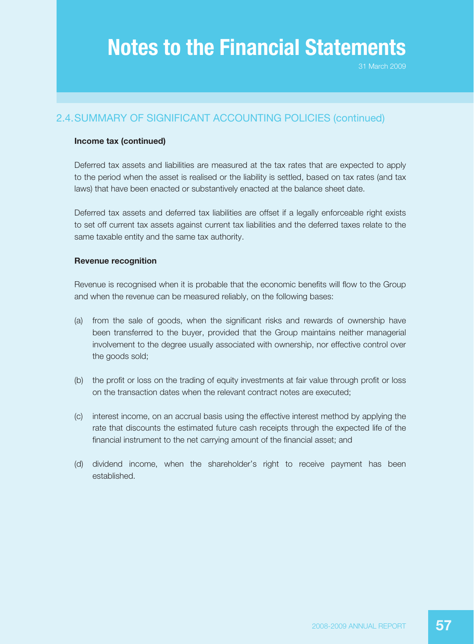31 March 2009

## 2.4. SUMMARY OF SIGNIFICANT ACCOUNTING POLICIES (continued)

#### **Income tax (continued)**

Deferred tax assets and liabilities are measured at the tax rates that are expected to apply to the period when the asset is realised or the liability is settled, based on tax rates (and tax laws) that have been enacted or substantively enacted at the balance sheet date.

Deferred tax assets and deferred tax liabilities are offset if a legally enforceable right exists to set off current tax assets against current tax liabilities and the deferred taxes relate to the same taxable entity and the same tax authority.

#### **Revenue recognition**

Revenue is recognised when it is probable that the economic benefits will flow to the Group and when the revenue can be measured reliably, on the following bases:

- (a) from the sale of goods, when the significant risks and rewards of ownership have been transferred to the buyer, provided that the Group maintains neither managerial involvement to the degree usually associated with ownership, nor effective control over the goods sold;
- (b) the profit or loss on the trading of equity investments at fair value through profit or loss on the transaction dates when the relevant contract notes are executed;
- (c) interest income, on an accrual basis using the effective interest method by applying the rate that discounts the estimated future cash receipts through the expected life of the financial instrument to the net carrying amount of the financial asset; and
- (d) dividend income, when the shareholder's right to receive payment has been established.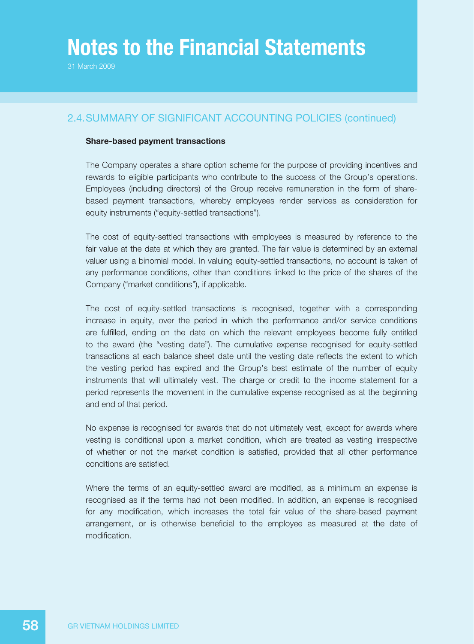### 2.4. SUMMARY OF SIGNIFICANT ACCOUNTING POLICIES (continued)

#### **Share-based payment transactions**

The Company operates a share option scheme for the purpose of providing incentives and rewards to eligible participants who contribute to the success of the Group's operations. Employees (including directors) of the Group receive remuneration in the form of sharebased payment transactions, whereby employees render services as consideration for equity instruments ("equity-settled transactions").

The cost of equity-settled transactions with employees is measured by reference to the fair value at the date at which they are granted. The fair value is determined by an external valuer using a binomial model. In valuing equity-settled transactions, no account is taken of any performance conditions, other than conditions linked to the price of the shares of the Company ("market conditions"), if applicable.

The cost of equity-settled transactions is recognised, together with a corresponding increase in equity, over the period in which the performance and/or service conditions are fulfilled, ending on the date on which the relevant employees become fully entitled to the award (the "vesting date"). The cumulative expense recognised for equity-settled transactions at each balance sheet date until the vesting date reflects the extent to which the vesting period has expired and the Group's best estimate of the number of equity instruments that will ultimately vest. The charge or credit to the income statement for a period represents the movement in the cumulative expense recognised as at the beginning and end of that period.

No expense is recognised for awards that do not ultimately vest, except for awards where vesting is conditional upon a market condition, which are treated as vesting irrespective of whether or not the market condition is satisfied, provided that all other performance conditions are satisfied.

Where the terms of an equity-settled award are modified, as a minimum an expense is recognised as if the terms had not been modified. In addition, an expense is recognised for any modification, which increases the total fair value of the share-based payment arrangement, or is otherwise beneficial to the employee as measured at the date of modification.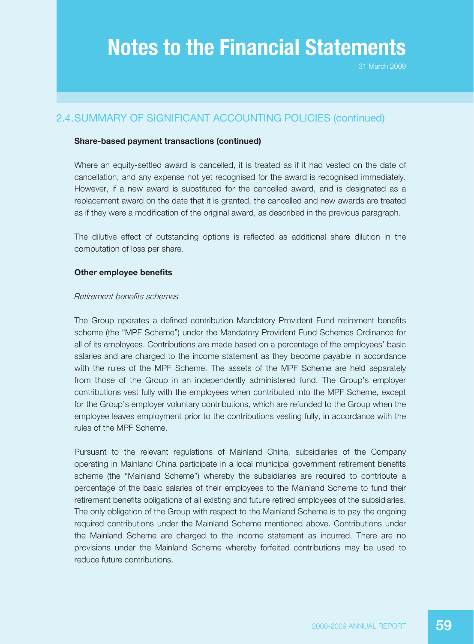31 March 2009

## 2.4. SUMMARY OF SIGNIFICANT ACCOUNTING POLICIES (continued)

#### **Share-based payment transactions (continued)**

Where an equity-settled award is cancelled, it is treated as if it had vested on the date of cancellation, and any expense not yet recognised for the award is recognised immediately. However, if a new award is substituted for the cancelled award, and is designated as a replacement award on the date that it is granted, the cancelled and new awards are treated as if they were a modification of the original award, as described in the previous paragraph.

The dilutive effect of outstanding options is reflected as additional share dilution in the computation of loss per share.

#### **Other employee benefits**

#### Retirement benefits schemes

The Group operates a defined contribution Mandatory Provident Fund retirement benefits scheme (the "MPF Scheme") under the Mandatory Provident Fund Schemes Ordinance for all of its employees. Contributions are made based on a percentage of the employees' basic salaries and are charged to the income statement as they become payable in accordance with the rules of the MPF Scheme. The assets of the MPF Scheme are held separately from those of the Group in an independently administered fund. The Group's employer contributions vest fully with the employees when contributed into the MPF Scheme, except for the Group's employer voluntary contributions, which are refunded to the Group when the employee leaves employment prior to the contributions vesting fully, in accordance with the rules of the MPF Scheme.

Pursuant to the relevant regulations of Mainland China, subsidiaries of the Company operating in Mainland China participate in a local municipal government retirement benefits scheme (the "Mainland Scheme") whereby the subsidiaries are required to contribute a percentage of the basic salaries of their employees to the Mainland Scheme to fund their retirement benefits obligations of all existing and future retired employees of the subsidiaries. The only obligation of the Group with respect to the Mainland Scheme is to pay the ongoing required contributions under the Mainland Scheme mentioned above. Contributions under the Mainland Scheme are charged to the income statement as incurred. There are no provisions under the Mainland Scheme whereby forfeited contributions may be used to reduce future contributions.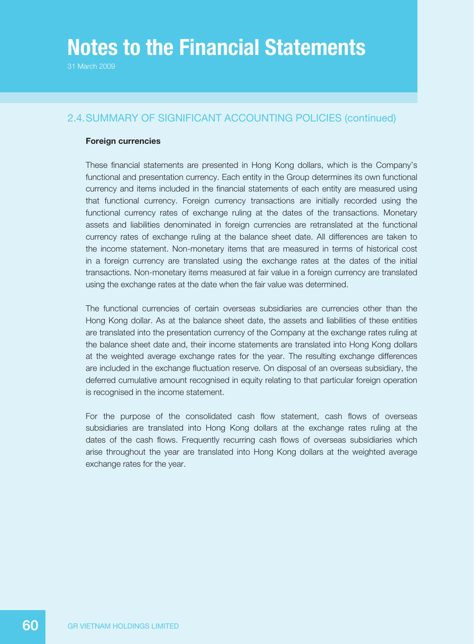## 2.4. SUMMARY OF SIGNIFICANT ACCOUNTING POLICIES (continued)

#### **Foreign currencies**

These financial statements are presented in Hong Kong dollars, which is the Company's functional and presentation currency. Each entity in the Group determines its own functional currency and items included in the financial statements of each entity are measured using that functional currency. Foreign currency transactions are initially recorded using the functional currency rates of exchange ruling at the dates of the transactions. Monetary assets and liabilities denominated in foreign currencies are retranslated at the functional currency rates of exchange ruling at the balance sheet date. All differences are taken to the income statement. Non-monetary items that are measured in terms of historical cost in a foreign currency are translated using the exchange rates at the dates of the initial transactions. Non-monetary items measured at fair value in a foreign currency are translated using the exchange rates at the date when the fair value was determined.

The functional currencies of certain overseas subsidiaries are currencies other than the Hong Kong dollar. As at the balance sheet date, the assets and liabilities of these entities are translated into the presentation currency of the Company at the exchange rates ruling at the balance sheet date and, their income statements are translated into Hong Kong dollars at the weighted average exchange rates for the year. The resulting exchange differences are included in the exchange fluctuation reserve. On disposal of an overseas subsidiary, the deferred cumulative amount recognised in equity relating to that particular foreign operation is recognised in the income statement.

For the purpose of the consolidated cash flow statement, cash flows of overseas subsidiaries are translated into Hong Kong dollars at the exchange rates ruling at the dates of the cash flows. Frequently recurring cash flows of overseas subsidiaries which arise throughout the year are translated into Hong Kong dollars at the weighted average exchange rates for the year.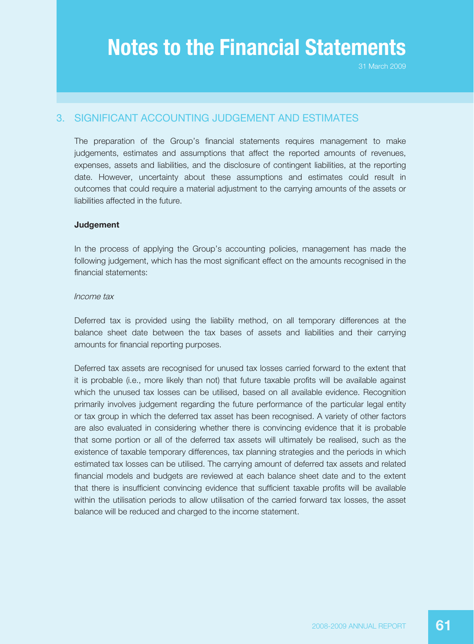## 3. SIGNIFICANT ACCOUNTING JUDGEMENT AND ESTIMATES

The preparation of the Group's financial statements requires management to make judgements, estimates and assumptions that affect the reported amounts of revenues, expenses, assets and liabilities, and the disclosure of contingent liabilities, at the reporting date. However, uncertainty about these assumptions and estimates could result in outcomes that could require a material adjustment to the carrying amounts of the assets or liabilities affected in the future.

#### **Judgement**

In the process of applying the Group's accounting policies, management has made the following judgement, which has the most significant effect on the amounts recognised in the financial statements:

#### Income tax

Deferred tax is provided using the liability method, on all temporary differences at the balance sheet date between the tax bases of assets and liabilities and their carrying amounts for financial reporting purposes.

Deferred tax assets are recognised for unused tax losses carried forward to the extent that it is probable (i.e., more likely than not) that future taxable profits will be available against which the unused tax losses can be utilised, based on all available evidence. Recognition primarily involves judgement regarding the future performance of the particular legal entity or tax group in which the deferred tax asset has been recognised. A variety of other factors are also evaluated in considering whether there is convincing evidence that it is probable that some portion or all of the deferred tax assets will ultimately be realised, such as the existence of taxable temporary differences, tax planning strategies and the periods in which estimated tax losses can be utilised. The carrying amount of deferred tax assets and related financial models and budgets are reviewed at each balance sheet date and to the extent that there is insufficient convincing evidence that sufficient taxable profits will be available within the utilisation periods to allow utilisation of the carried forward tax losses, the asset balance will be reduced and charged to the income statement.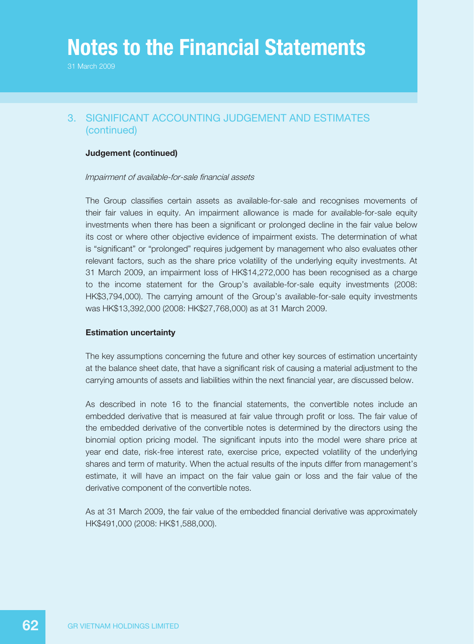31 March 2009

### 3. SIGNIFICANT ACCOUNTING JUDGEMENT AND ESTIMATES (continued)

#### **Judgement (continued)**

#### Impairment of available-for-sale financial assets

The Group classifies certain assets as available-for-sale and recognises movements of their fair values in equity. An impairment allowance is made for available-for-sale equity investments when there has been a significant or prolonged decline in the fair value below its cost or where other objective evidence of impairment exists. The determination of what is "significant" or "prolonged" requires judgement by management who also evaluates other relevant factors, such as the share price volatility of the underlying equity investments. At 31 March 2009, an impairment loss of HK\$14,272,000 has been recognised as a charge to the income statement for the Group's available-for-sale equity investments (2008: HK\$3,794,000). The carrying amount of the Group's available-for-sale equity investments was HK\$13,392,000 (2008: HK\$27,768,000) as at 31 March 2009.

#### **Estimation uncertainty**

The key assumptions concerning the future and other key sources of estimation uncertainty at the balance sheet date, that have a significant risk of causing a material adjustment to the carrying amounts of assets and liabilities within the next financial year, are discussed below.

As described in note 16 to the financial statements, the convertible notes include an embedded derivative that is measured at fair value through profit or loss. The fair value of the embedded derivative of the convertible notes is determined by the directors using the binomial option pricing model. The significant inputs into the model were share price at year end date, risk-free interest rate, exercise price, expected volatility of the underlying shares and term of maturity. When the actual results of the inputs differ from management's estimate, it will have an impact on the fair value gain or loss and the fair value of the derivative component of the convertible notes.

As at 31 March 2009, the fair value of the embedded financial derivative was approximately HK\$491,000 (2008: HK\$1,588,000).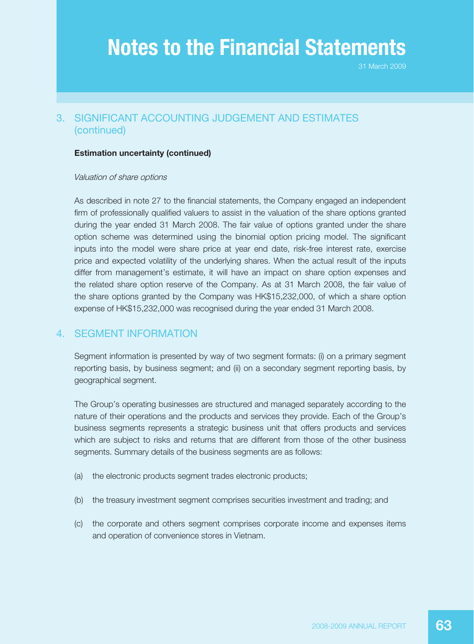31 March 2009

## 3. SIGNIFICANT ACCOUNTING JUDGEMENT AND ESTIMATES (continued)

#### **Estimation uncertainty (continued)**

#### Valuation of share options

As described in note 27 to the financial statements, the Company engaged an independent firm of professionally qualified valuers to assist in the valuation of the share options granted during the year ended 31 March 2008. The fair value of options granted under the share option scheme was determined using the binomial option pricing model. The significant inputs into the model were share price at year end date, risk-free interest rate, exercise price and expected volatility of the underlying shares. When the actual result of the inputs differ from management's estimate, it will have an impact on share option expenses and the related share option reserve of the Company. As at 31 March 2008, the fair value of the share options granted by the Company was HK\$15,232,000, of which a share option expense of HK\$15,232,000 was recognised during the year ended 31 March 2008.

### 4. SEGMENT INFORMATION

Segment information is presented by way of two segment formats: (i) on a primary segment reporting basis, by business segment; and (ii) on a secondary segment reporting basis, by geographical segment.

The Group's operating businesses are structured and managed separately according to the nature of their operations and the products and services they provide. Each of the Group's business segments represents a strategic business unit that offers products and services which are subject to risks and returns that are different from those of the other business segments. Summary details of the business segments are as follows:

- (a) the electronic products segment trades electronic products;
- (b) the treasury investment segment comprises securities investment and trading; and
- (c) the corporate and others segment comprises corporate income and expenses items and operation of convenience stores in Vietnam.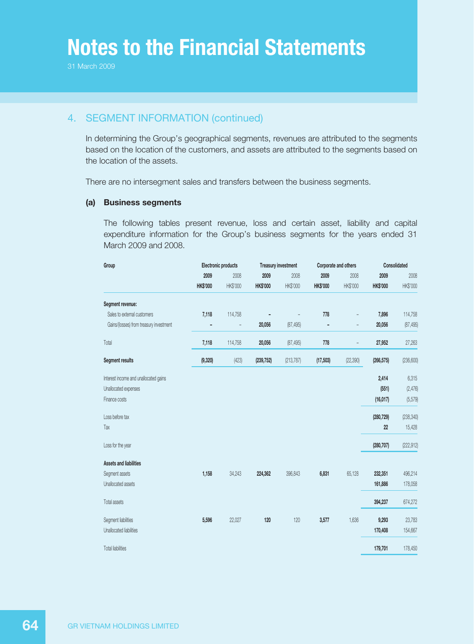## 4. SEGMENT INFORMATION (continued)

In determining the Group's geographical segments, revenues are attributed to the segments based on the location of the customers, and assets are attributed to the segments based on the location of the assets.

There are no intersegment sales and transfers between the business segments.

#### **(a) Business segments**

The following tables present revenue, loss and certain asset, liability and capital expenditure information for the Group's business segments for the years ended 31 March 2009 and 2008.

| Group                                   |                 | <b>Electronic products</b> |                 | <b>Treasury investment</b> |                 | Corporate and others     | Consolidated    |            |
|-----------------------------------------|-----------------|----------------------------|-----------------|----------------------------|-----------------|--------------------------|-----------------|------------|
|                                         | 2009            | 2008                       | 2009            | 2008                       | 2009            | 2008                     | 2009            | 2008       |
|                                         | <b>HK\$'000</b> | HK\$'000                   | <b>HK\$'000</b> | HK\$'000                   | <b>HK\$'000</b> | HK\$'000                 | <b>HK\$'000</b> | HK\$'000   |
| Segment revenue:                        |                 |                            |                 |                            |                 |                          |                 |            |
| Sales to external customers             | 7,118           | 114,758                    |                 |                            | 778             | $\overline{\phantom{0}}$ | 7,896           | 114,758    |
| Gains/(losses) from treasury investment | ۰               | $\qquad \qquad -$          | 20,056          | (87, 495)                  | ٠               | $\overline{\phantom{0}}$ | 20,056          | (87, 495)  |
| Total                                   | 7,118           | 114,758                    | 20,056          | (87, 495)                  | 778             | -                        | 27,952          | 27,263     |
| Segment results                         | (9, 320)        | (423)                      | (239, 752)      | (213, 787)                 | (17, 503)       | (22, 390)                | (266, 575)      | (236, 600) |
| Interest income and unallocated gains   |                 |                            |                 |                            |                 |                          | 2,414           | 6,315      |
| Unallocated expenses                    |                 |                            |                 |                            |                 |                          | (551)           | (2,476)    |
| Finance costs                           |                 |                            |                 |                            |                 |                          | (16, 017)       | (5,579)    |
| Loss before tax                         |                 |                            |                 |                            |                 |                          | (280, 729)      | (238, 340) |
| Tax                                     |                 |                            |                 |                            |                 |                          | 22              | 15,428     |
| Loss for the year                       |                 |                            |                 |                            |                 |                          | (280, 707)      | (222, 912) |
| <b>Assets and liabilities</b>           |                 |                            |                 |                            |                 |                          |                 |            |
| Segment assets                          | 1,158           | 34,243                     | 224,362         | 396,843                    | 6,831           | 65,128                   | 232,351         | 496,214    |
| Unallocated assets                      |                 |                            |                 |                            |                 |                          | 161,886         | 178,058    |
| Total assets                            |                 |                            |                 |                            |                 |                          | 394,237         | 674,272    |
| Segment liabilities                     | 5,596           | 22,027                     | 120             | 120                        | 3,577           | 1,636                    | 9,293           | 23,783     |
| Unallocated liabilities                 |                 |                            |                 |                            |                 |                          | 170,408         | 154,667    |
| <b>Total liabilities</b>                |                 |                            |                 |                            |                 |                          | 179,701         | 178,450    |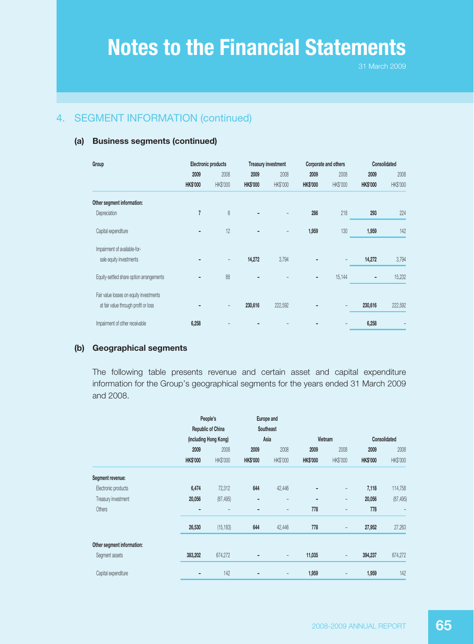31 March 2009

## 4. SEGMENT INFORMATION (continued)

#### **(a) Business segments (continued)**

| Group                                    |                 | Electronic products      |                 | <b>Treasury investment</b> |                              | Corporate and others | <b>Consolidated</b> |          |  |
|------------------------------------------|-----------------|--------------------------|-----------------|----------------------------|------------------------------|----------------------|---------------------|----------|--|
|                                          | 2009            | 2008                     | 2009            | 2008                       | 2009                         | 2008                 | 2009                | 2008     |  |
|                                          | <b>HK\$'000</b> | HK\$'000                 | <b>HK\$'000</b> | HK\$'000                   | <b>HK\$'000</b>              | HK\$'000             | <b>HK\$'000</b>     | HK\$'000 |  |
| Other segment information:               |                 |                          |                 |                            |                              |                      |                     |          |  |
| Depreciation                             | $\overline{7}$  | 6                        |                 |                            | 286                          | 218                  | 293                 | 224      |  |
| Capital expenditure                      |                 | 12                       |                 | -                          | 1,959                        | 130                  | 1,959               | 142      |  |
| Impairment of available-for-             |                 |                          |                 |                            |                              |                      |                     |          |  |
| sale equity investments                  |                 | $\overline{\phantom{0}}$ | 14,272          | 3,794                      |                              |                      | 14,272              | 3,794    |  |
| Equity-settled share option arrangements |                 | 88                       |                 |                            | $\qquad \qquad \blacksquare$ | 15,144               |                     | 15,232   |  |
| Fair value losses on equity investments  |                 |                          |                 |                            |                              |                      |                     |          |  |
| at fair value through profit or loss     |                 | $\qquad \qquad -$        | 230,616         | 222,592                    |                              |                      | 230,616             | 222,592  |  |
| Impairment of other receivable           | 6,258           |                          |                 |                            |                              |                      | 6,258               |          |  |

#### **(b) Geographical segments**

The following table presents revenue and certain asset and capital expenditure information for the Group's geographical segments for the years ended 31 March 2009 and 2008.

|                            |                 | People's<br><b>Republic of China</b> |                          | Europe and<br><b>Southeast</b> |                 |                          |                 |              |
|----------------------------|-----------------|--------------------------------------|--------------------------|--------------------------------|-----------------|--------------------------|-----------------|--------------|
|                            |                 | (including Hong Kong)                | Asia                     |                                |                 | Vietnam                  |                 | Consolidated |
|                            | 2009            | 2008                                 | 2009                     | 2008                           | 2009            | 2008                     | 2009            | 2008         |
|                            | <b>HK\$'000</b> | HK\$'000                             | <b>HK\$'000</b>          | HK\$'000                       | <b>HK\$'000</b> | HK\$'000                 | <b>HK\$'000</b> | HK\$'000     |
| Segment revenue:           |                 |                                      |                          |                                |                 |                          |                 |              |
| Electronic products        | 6,474           | 72,312                               | 644                      | 42,446                         | -               | $\overline{\phantom{0}}$ | 7,118           | 114,758      |
| Treasury investment        | 20,056          | (87, 495)                            | $\overline{\phantom{a}}$ | $\overline{\phantom{0}}$       | $\blacksquare$  | $\overline{\phantom{0}}$ | 20,056          | (87, 495)    |
| Others                     |                 |                                      | $\overline{\phantom{a}}$ | $\qquad \qquad -$              | 778             | $\qquad \qquad -$        | 778             |              |
|                            | 26,530          | (15, 183)                            | 644                      | 42,446                         | 778             | $\overline{\phantom{0}}$ | 27,952          | 27,263       |
| Other segment information: |                 |                                      |                          |                                |                 |                          |                 |              |
| Segment assets             | 383,202         | 674,272                              |                          | $\qquad \qquad -$              | 11,035          | $\qquad \qquad -$        | 394,237         | 674,272      |
| Capital expenditure        |                 | 142                                  |                          | $\overline{\phantom{0}}$       | 1,959           |                          | 1,959           | 142          |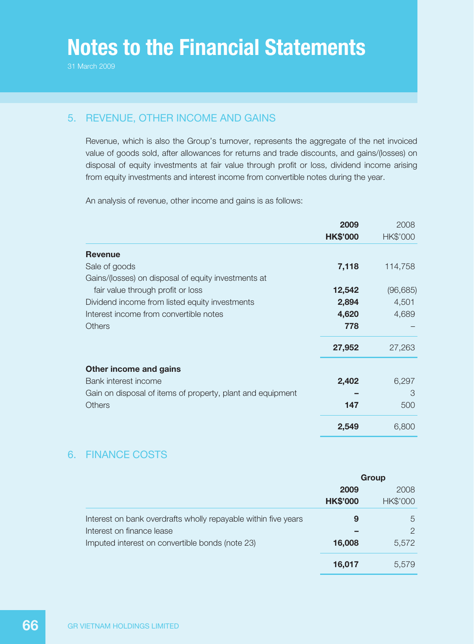## 5. REVENUE, OTHER INCOME AND GAINS

Revenue, which is also the Group's turnover, represents the aggregate of the net invoiced value of goods sold, after allowances for returns and trade discounts, and gains/(losses) on disposal of equity investments at fair value through profit or loss, dividend income arising from equity investments and interest income from convertible notes during the year.

An analysis of revenue, other income and gains is as follows:

|                                                            | 2009            | 2008      |
|------------------------------------------------------------|-----------------|-----------|
|                                                            | <b>HK\$'000</b> | HK\$'000  |
| <b>Revenue</b>                                             |                 |           |
| Sale of goods                                              | 7,118           | 114,758   |
| Gains/(losses) on disposal of equity investments at        |                 |           |
| fair value through profit or loss                          | 12,542          | (96, 685) |
| Dividend income from listed equity investments             | 2,894           | 4,501     |
| Interest income from convertible notes                     | 4,620           | 4,689     |
| <b>Others</b>                                              | 778             |           |
|                                                            | 27,952          | 27,263    |
| Other income and gains                                     |                 |           |
| Bank interest income                                       | 2,402           | 6,297     |
| Gain on disposal of items of property, plant and equipment |                 | 3         |
| <b>Others</b>                                              | 147             | 500       |
|                                                            | 2,549           | 6,800     |

## 6. FINANCE COSTS

|                                                                | Group           |               |
|----------------------------------------------------------------|-----------------|---------------|
|                                                                | 2008<br>2009    |               |
|                                                                | <b>HK\$'000</b> | HK\$'000      |
| Interest on bank overdrafts wholly repayable within five years | 9               | 5             |
| Interest on finance lease                                      |                 | $\mathcal{P}$ |
| Imputed interest on convertible bonds (note 23)                | 16,008          | 5,572         |
|                                                                | 16,017          | 5.579         |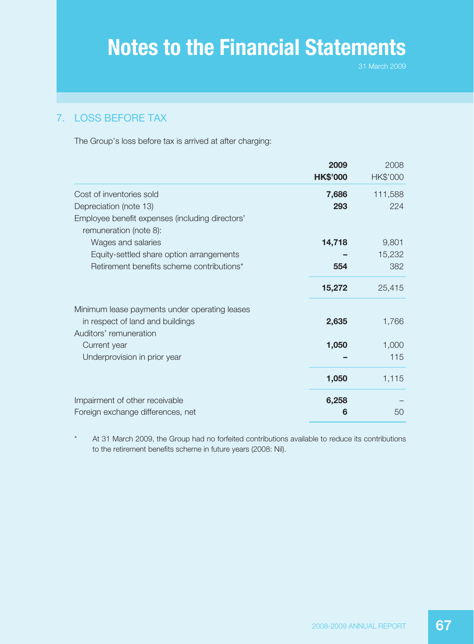31 March 2009

## 7. LOSS BEFORE TAX

The Group's loss before tax is arrived at after charging:

|                                                 | 2009<br><b>HK\$'000</b> | 2008<br>HK\$'000 |
|-------------------------------------------------|-------------------------|------------------|
| Cost of inventories sold                        | 7,686                   | 111,588          |
| Depreciation (note 13)                          | 293                     | 224              |
| Employee benefit expenses (including directors' |                         |                  |
| remuneration (note 8):                          |                         |                  |
| Wages and salaries                              | 14,718                  | 9,801            |
| Equity-settled share option arrangements        |                         | 15,232           |
| Retirement benefits scheme contributions*       | 554                     | 382              |
|                                                 | 15,272                  | 25,415           |
| Minimum lease payments under operating leases   |                         |                  |
| in respect of land and buildings                | 2,635                   | 1,766            |
| Auditors' remuneration                          |                         |                  |
| Current year                                    | 1,050                   | 1,000            |
| Underprovision in prior year                    |                         | 115              |
|                                                 | 1,050                   | 1,115            |
| Impairment of other receivable                  | 6,258                   |                  |
| Foreign exchange differences, net               | 6                       | 50               |

At 31 March 2009, the Group had no forfeited contributions available to reduce its contributions to the retirement benefits scheme in future years (2008: Nil).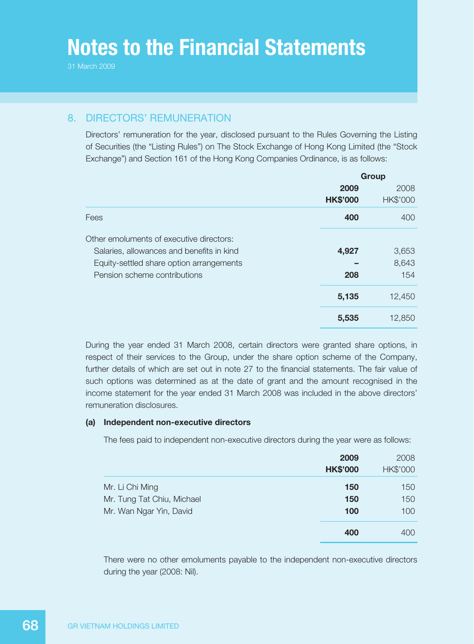## 8. DIRECTORS' REMUNERATION

Directors' remuneration for the year, disclosed pursuant to the Rules Governing the Listing of Securities (the "Listing Rules") on The Stock Exchange of Hong Kong Limited (the "Stock Exchange") and Section 161 of the Hong Kong Companies Ordinance, is as follows:

|                                           | Group           |          |
|-------------------------------------------|-----------------|----------|
|                                           | 2009            | 2008     |
|                                           | <b>HK\$'000</b> | HK\$'000 |
| Fees                                      | 400             | 400      |
| Other emoluments of executive directors:  |                 |          |
| Salaries, allowances and benefits in kind | 4,927           | 3,653    |
| Equity-settled share option arrangements  |                 | 8,643    |
| Pension scheme contributions              | 208             | 154      |
|                                           | 5,135           | 12,450   |
|                                           | 5,535           | 12,850   |

During the year ended 31 March 2008, certain directors were granted share options, in respect of their services to the Group, under the share option scheme of the Company, further details of which are set out in note 27 to the financial statements. The fair value of such options was determined as at the date of grant and the amount recognised in the income statement for the year ended 31 March 2008 was included in the above directors' remuneration disclosures.

#### **(a) Independent non-executive directors**

The fees paid to independent non-executive directors during the year were as follows:

|                            | 2009            | 2008     |
|----------------------------|-----------------|----------|
|                            | <b>HK\$'000</b> | HK\$'000 |
| Mr. Li Chi Ming            | 150             | 150      |
| Mr. Tung Tat Chiu, Michael | 150             | 150      |
| Mr. Wan Ngar Yin, David    | 100             | 100      |
|                            | 400             | 400      |

There were no other emoluments payable to the independent non-executive directors during the year (2008: Nil).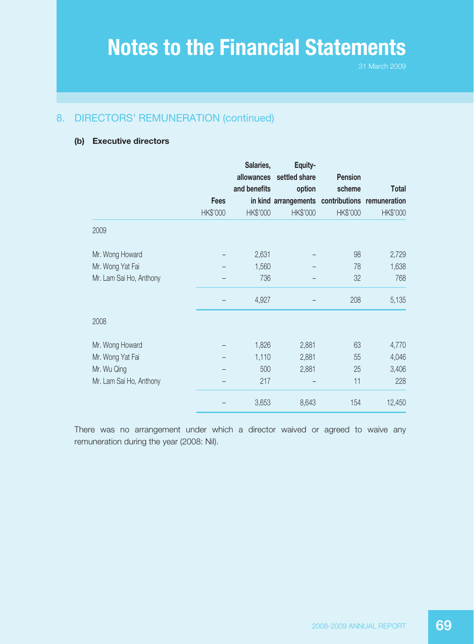31 March 2009

## 8. DIRECTORS' REMUNERATION (continued)

#### **(b) Executive directors**

|                         |             | Salaries,    | Equity-                                         |                |              |
|-------------------------|-------------|--------------|-------------------------------------------------|----------------|--------------|
|                         |             | allowances   | settled share                                   | <b>Pension</b> |              |
|                         |             | and benefits | option                                          | scheme         | <b>Total</b> |
|                         | <b>Fees</b> |              | in kind arrangements contributions remuneration |                |              |
|                         | HK\$'000    | HK\$'000     | HK\$'000                                        | HK\$'000       | HK\$'000     |
| 2009                    |             |              |                                                 |                |              |
| Mr. Wong Howard         |             | 2,631        |                                                 | 98             | 2,729        |
| Mr. Wong Yat Fai        |             | 1,560        |                                                 | 78             | 1,638        |
| Mr. Lam Sai Ho, Anthony |             | 736          |                                                 | 32             | 768          |
|                         |             | 4,927        |                                                 | 208            | 5,135        |
| 2008                    |             |              |                                                 |                |              |
| Mr. Wong Howard         |             | 1,826        | 2,881                                           | 63             | 4,770        |
| Mr. Wong Yat Fai        |             | 1,110        | 2,881                                           | 55             | 4,046        |
| Mr. Wu Qing             |             | 500          | 2,881                                           | 25             | 3,406        |
| Mr. Lam Sai Ho, Anthony |             | 217          |                                                 | 11             | 228          |
|                         |             | 3,653        | 8,643                                           | 154            | 12,450       |

There was no arrangement under which a director waived or agreed to waive any remuneration during the year (2008: Nil).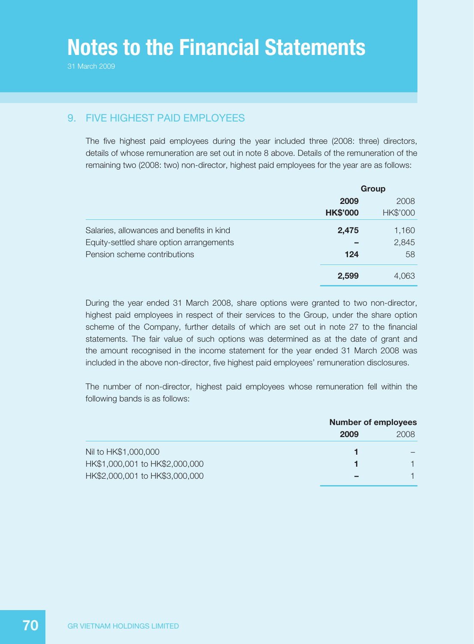## 9. FIVE HIGHEST PAID FMPI OYFES

The five highest paid employees during the year included three (2008: three) directors, details of whose remuneration are set out in note 8 above. Details of the remuneration of the remaining two (2008: two) non-director, highest paid employees for the year are as follows:

|                                           | Group           |          |
|-------------------------------------------|-----------------|----------|
|                                           | 2009            | 2008     |
|                                           | <b>HK\$'000</b> | HK\$'000 |
| Salaries, allowances and benefits in kind | 2,475           | 1,160    |
| Equity-settled share option arrangements  |                 | 2,845    |
| Pension scheme contributions              | 124             | 58       |
|                                           | 2,599           | 4,063    |

During the year ended 31 March 2008, share options were granted to two non-director, highest paid employees in respect of their services to the Group, under the share option scheme of the Company, further details of which are set out in note 27 to the financial statements. The fair value of such options was determined as at the date of grant and the amount recognised in the income statement for the year ended 31 March 2008 was included in the above non-director, five highest paid employees' remuneration disclosures.

The number of non-director, highest paid employees whose remuneration fell within the following bands is as follows:

|                                |      | <b>Number of employees</b> |  |
|--------------------------------|------|----------------------------|--|
|                                | 2009 | 2008                       |  |
| Nil to HK\$1,000,000           |      |                            |  |
| HK\$1,000,001 to HK\$2,000,000 |      |                            |  |
| HK\$2,000,001 to HK\$3,000,000 |      |                            |  |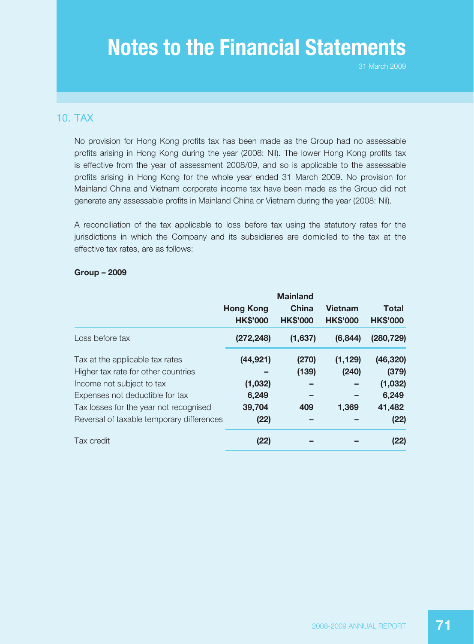31 March 2009

### 10. TAX

No provision for Hong Kong profits tax has been made as the Group had no assessable profits arising in Hong Kong during the year (2008: Nil). The lower Hong Kong profits tax is effective from the year of assessment 2008/09, and so is applicable to the assessable profits arising in Hong Kong for the whole year ended 31 March 2009. No provision for Mainland China and Vietnam corporate income tax have been made as the Group did not generate any assessable profits in Mainland China or Vietnam during the year (2008: Nil).

A reconciliation of the tax applicable to loss before tax using the statutory rates for the jurisdictions in which the Company and its subsidiaries are domiciled to the tax at the effective tax rates, are as follows:

#### **Group – 2009**

|                                           | <b>Hong Kong</b> | <b>Mainland</b><br><b>China</b> | Vietnam         | Total           |
|-------------------------------------------|------------------|---------------------------------|-----------------|-----------------|
|                                           | <b>HK\$'000</b>  | <b>HK\$'000</b>                 | <b>HK\$'000</b> | <b>HK\$'000</b> |
| Loss before tax                           | (272, 248)       | (1,637)                         | (6, 844)        | (280, 729)      |
| Tax at the applicable tax rates           | (44, 921)        | (270)                           | (1, 129)        | (46, 320)       |
| Higher tax rate for other countries       |                  | (139)                           | (240)           | (379)           |
| Income not subject to tax                 | (1,032)          |                                 |                 | (1,032)         |
| Expenses not deductible for tax           | 6,249            |                                 |                 | 6,249           |
| Tax losses for the year not recognised    | 39,704           | 409                             | 1,369           | 41,482          |
| Reversal of taxable temporary differences | (22)             |                                 |                 | (22)            |
| Tax credit                                | (22)             |                                 |                 | (22)            |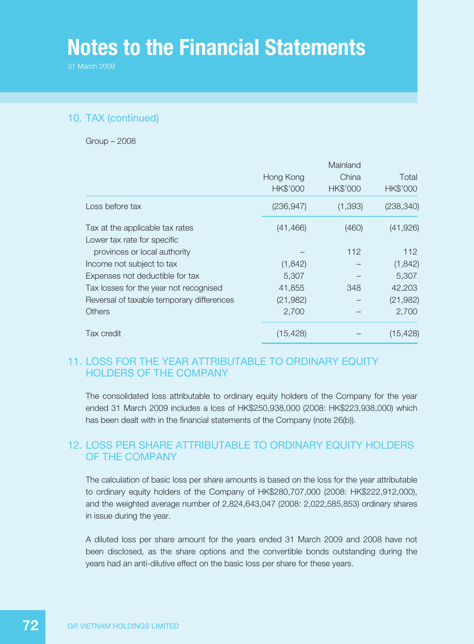## 10. TAX (continued)

Group – 2008

|                                           |            | Mainland |                 |
|-------------------------------------------|------------|----------|-----------------|
|                                           | Hong Kong  | China    | Total           |
|                                           | HK\$'000   | HK\$'000 | <b>HK\$'000</b> |
| Loss before tax                           | (236, 947) | (1, 393) | (238, 340)      |
| Tax at the applicable tax rates           | (41, 466)  | (460)    | (41, 926)       |
| Lower tax rate for specific               |            |          |                 |
| provinces or local authority              |            | 112      | 112             |
| Income not subject to tax                 | (1, 842)   |          | (1, 842)        |
| Expenses not deductible for tax           | 5,307      |          | 5,307           |
| Tax losses for the year not recognised    | 41,855     | 348      | 42,203          |
| Reversal of taxable temporary differences | (21, 982)  |          | (21, 982)       |
| <b>Others</b>                             | 2,700      |          | 2,700           |
| Tax credit                                | (15, 428)  |          | (15, 428)       |

## 11. LOSS FOR THE YEAR ATTRIBUTABLE TO ORDINARY EQUITY HOLDERS OF THE COMPANY

The consolidated loss attributable to ordinary equity holders of the Company for the year ended 31 March 2009 includes a loss of HK\$250,938,000 (2008: HK\$223,938,000) which has been dealt with in the financial statements of the Company (note 26(b)).

## 12. LOSS PER SHARE ATTRIBUTABLE TO ORDINARY EQUITY HOLDERS OF THE COMPANY

The calculation of basic loss per share amounts is based on the loss for the year attributable to ordinary equity holders of the Company of HK\$280,707,000 (2008: HK\$222,912,000), and the weighted average number of 2,824,643,047 (2008: 2,022,585,853) ordinary shares in issue during the year.

A diluted loss per share amount for the years ended 31 March 2009 and 2008 have not been disclosed, as the share options and the convertible bonds outstanding during the years had an anti-dilutive effect on the basic loss per share for these years.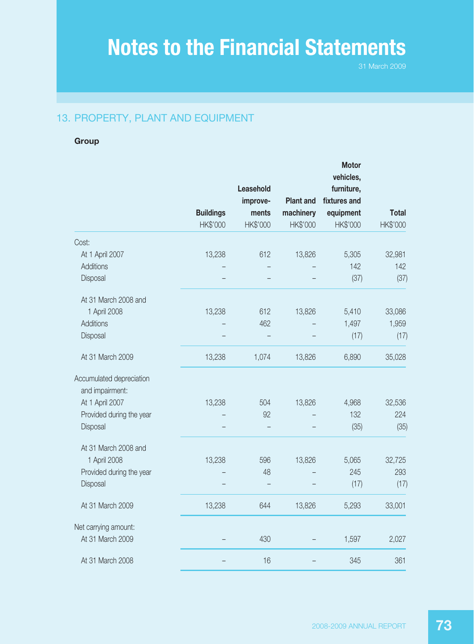31 March 2009

## 13. PROPERTY, PLANT AND EQUIPMENT

#### **Group**

|                          |                  | Leasehold |                  | <b>Motor</b><br>vehicles,<br>furniture, |              |
|--------------------------|------------------|-----------|------------------|-----------------------------------------|--------------|
|                          |                  | improve-  | <b>Plant and</b> | fixtures and                            |              |
|                          | <b>Buildings</b> | ments     | machinery        | equipment                               | <b>Total</b> |
|                          | HK\$'000         | HK\$'000  | HK\$'000         | HK\$'000                                | HK\$'000     |
| Cost:                    |                  |           |                  |                                         |              |
| At 1 April 2007          | 13,238           | 612       | 13,826           | 5,305                                   | 32,981       |
| <b>Additions</b>         |                  |           |                  | 142                                     | 142          |
| Disposal                 |                  |           |                  | (37)                                    | (37)         |
| At 31 March 2008 and     |                  |           |                  |                                         |              |
| 1 April 2008             | 13,238           | 612       | 13,826           | 5,410                                   | 33,086       |
| <b>Additions</b>         |                  | 462       |                  | 1,497                                   | 1,959        |
| Disposal                 |                  |           |                  | (17)                                    | (17)         |
| At 31 March 2009         | 13,238           | 1,074     | 13,826           | 6,890                                   | 35,028       |
| Accumulated depreciation |                  |           |                  |                                         |              |
| and impairment:          |                  |           |                  |                                         |              |
| At 1 April 2007          | 13,238           | 504       | 13,826           | 4,968                                   | 32,536       |
| Provided during the year |                  | 92        |                  | 132                                     | 224          |
| Disposal                 |                  |           |                  | (35)                                    | (35)         |
| At 31 March 2008 and     |                  |           |                  |                                         |              |
| 1 April 2008             | 13,238           | 596       | 13,826           | 5,065                                   | 32,725       |
| Provided during the year |                  | 48        |                  | 245                                     | 293          |
| Disposal                 |                  |           |                  | (17)                                    | (17)         |
| At 31 March 2009         | 13,238           | 644       | 13,826           | 5,293                                   | 33,001       |
| Net carrying amount:     |                  |           |                  |                                         |              |
| At 31 March 2009         |                  | 430       |                  | 1,597                                   | 2,027        |
| At 31 March 2008         |                  | 16        |                  | 345                                     | 361          |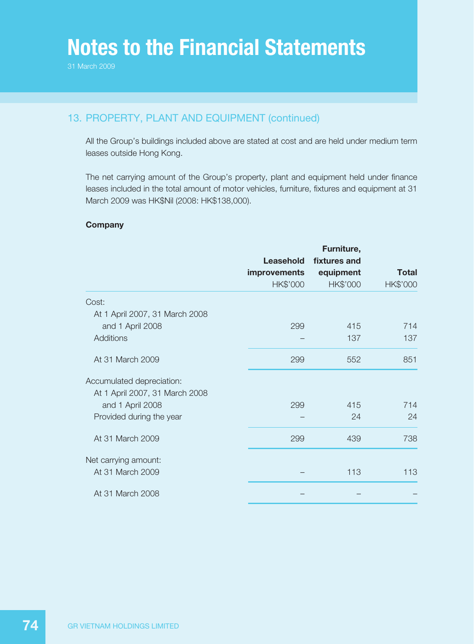## 13. PROPERTY, PLANT AND EQUIPMENT (continued)

All the Group's buildings included above are stated at cost and are held under medium term leases outside Hong Kong.

The net carrying amount of the Group's property, plant and equipment held under finance leases included in the total amount of motor vehicles, furniture, fixtures and equipment at 31 March 2009 was HK\$Nil (2008: HK\$138,000).

#### **Company**

|                                |                 | Furniture,   |              |
|--------------------------------|-----------------|--------------|--------------|
|                                | Leasehold       | fixtures and |              |
|                                | improvements    | equipment    | <b>Total</b> |
|                                | <b>HK\$'000</b> | HK\$'000     | HK\$'000     |
| Cost:                          |                 |              |              |
| At 1 April 2007, 31 March 2008 |                 |              |              |
| and 1 April 2008               | 299             | 415          | 714          |
| Additions                      |                 | 137          | 137          |
| At 31 March 2009               | 299             | 552          | 851          |
| Accumulated depreciation:      |                 |              |              |
| At 1 April 2007, 31 March 2008 |                 |              |              |
| and 1 April 2008               | 299             | 415          | 714          |
| Provided during the year       |                 | 24           | 24           |
| At 31 March 2009               | 299             | 439          | 738          |
| Net carrying amount:           |                 |              |              |
| At 31 March 2009               |                 | 113          | 113          |
| At 31 March 2008               |                 |              |              |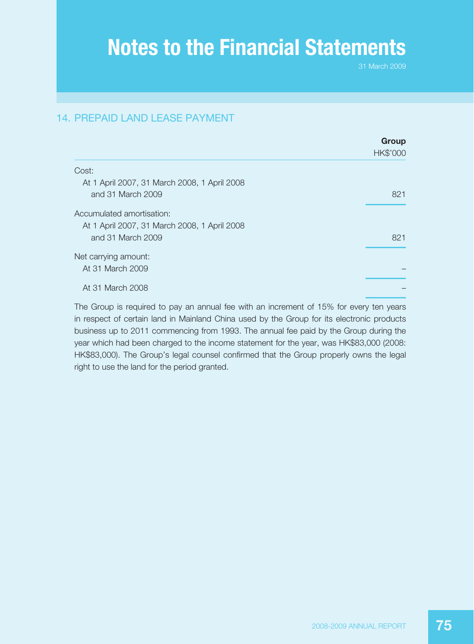31 March 2009

## 14. PREPAID LAND LEASE PAYMENT

|                                                                                         | Group<br>HK\$'000 |
|-----------------------------------------------------------------------------------------|-------------------|
| Cost:                                                                                   |                   |
| At 1 April 2007, 31 March 2008, 1 April 2008                                            |                   |
| and 31 March 2009                                                                       | 821               |
| Accumulated amortisation:                                                               |                   |
| At 1 April 2007, 31 March 2008, 1 April 2008                                            |                   |
| and 31 March 2009                                                                       | 821               |
| Net carrying amount:                                                                    |                   |
| At 31 March 2009                                                                        |                   |
| At 31 March 2008                                                                        |                   |
| The Group is required to pay an annual fee with an increment of 15% for every ten years |                   |

in respect of certain land in Mainland China used by the Group for its electronic products business up to 2011 commencing from 1993. The annual fee paid by the Group during the year which had been charged to the income statement for the year, was HK\$83,000 (2008: HK\$83,000). The Group's legal counsel confirmed that the Group properly owns the legal right to use the land for the period granted.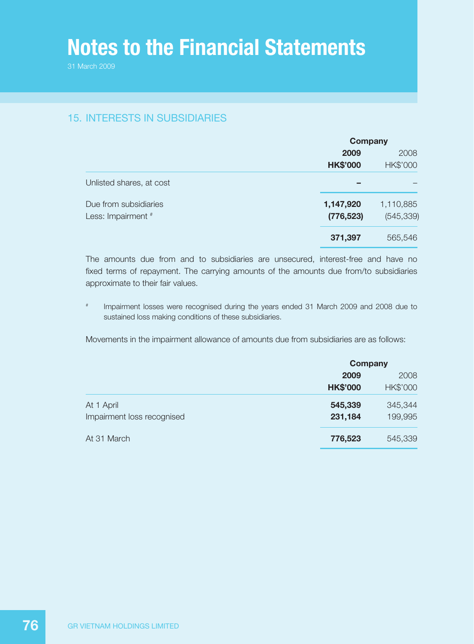## 15. INTERESTS IN SUBSIDIARIES

|                          |                 | <b>Company</b> |  |
|--------------------------|-----------------|----------------|--|
|                          | 2009            | 2008           |  |
|                          | <b>HK\$'000</b> | HK\$'000       |  |
| Unlisted shares, at cost |                 |                |  |
| Due from subsidiaries    | 1,147,920       | 1,110,885      |  |
| Less: Impairment #       | (776, 523)      | (545, 339)     |  |
|                          | 371,397         | 565,546        |  |

The amounts due from and to subsidiaries are unsecured, interest-free and have no fixed terms of repayment. The carrying amounts of the amounts due from/to subsidiaries approximate to their fair values.

# Impairment losses were recognised during the years ended 31 March 2009 and 2008 due to sustained loss making conditions of these subsidiaries.

Movements in the impairment allowance of amounts due from subsidiaries are as follows:

|                            | <b>Company</b>  |          |
|----------------------------|-----------------|----------|
|                            | 2009            | 2008     |
|                            | <b>HK\$'000</b> | HK\$'000 |
| At 1 April                 | 545,339         | 345,344  |
| Impairment loss recognised | 231,184         | 199,995  |
| At 31 March                | 776,523         | 545,339  |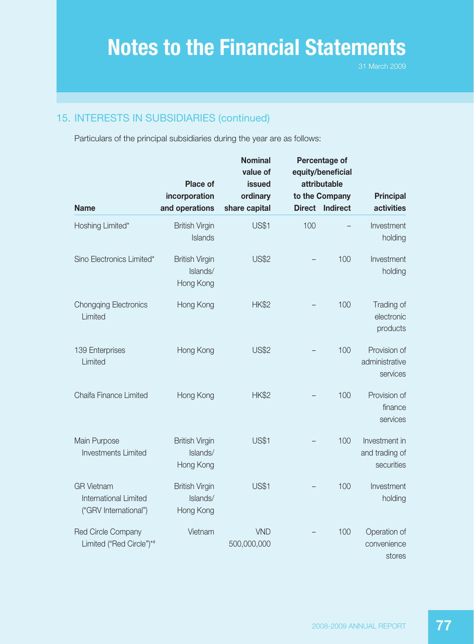## 15. INTERESTS IN SUBSIDIARIES (continued)

Particulars of the principal subsidiaries during the year are as follows:

| <b>Name</b>                                                         | <b>Place of</b><br>incorporation<br>and operations | <b>Nominal</b><br>value of<br>issued<br>ordinary<br>share capital | Percentage of<br>equity/beneficial<br>attributable<br>to the Company<br>Direct Indirect |     | <b>Principal</b><br><b>activities</b>         |
|---------------------------------------------------------------------|----------------------------------------------------|-------------------------------------------------------------------|-----------------------------------------------------------------------------------------|-----|-----------------------------------------------|
| Hoshing Limited*                                                    | <b>British Virgin</b><br>Islands                   | <b>US\$1</b>                                                      | 100                                                                                     |     | Investment<br>holding                         |
| Sino Electronics Limited*                                           | <b>British Virgin</b><br>Islands/<br>Hong Kong     | <b>US\$2</b>                                                      |                                                                                         | 100 | Investment<br>holding                         |
| <b>Chongqing Electronics</b><br>Limited                             | Hong Kong                                          | <b>HK\$2</b>                                                      |                                                                                         | 100 | Trading of<br>electronic<br>products          |
| 139 Enterprises<br>Limited                                          | Hong Kong                                          | <b>US\$2</b>                                                      |                                                                                         | 100 | Provision of<br>administrative<br>services    |
| Chaifa Finance Limited                                              | Hong Kong                                          | <b>HK\$2</b>                                                      |                                                                                         | 100 | Provision of<br>finance<br>services           |
| Main Purpose<br><b>Investments Limited</b>                          | <b>British Virgin</b><br>Islands/<br>Hong Kong     | <b>US\$1</b>                                                      |                                                                                         | 100 | Investment in<br>and trading of<br>securities |
| <b>GR Vietnam</b><br>International Limited<br>("GRV International") | <b>British Virgin</b><br>Islands/<br>Hong Kong     | <b>US\$1</b>                                                      |                                                                                         | 100 | Investment<br>holding                         |
| Red Circle Company<br>Limited ("Red Circle")*#                      | Vietnam                                            | <b>VND</b><br>500,000,000                                         |                                                                                         | 100 | Operation of<br>convenience<br>stores         |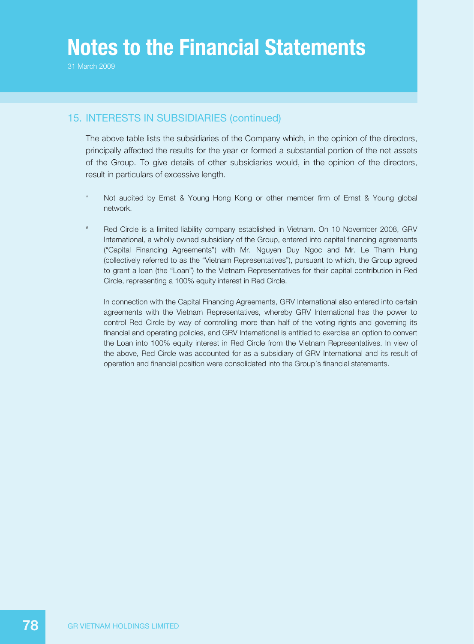### 15. INTERESTS IN SUBSIDIARIES (continued)

The above table lists the subsidiaries of the Company which, in the opinion of the directors, principally affected the results for the year or formed a substantial portion of the net assets of the Group. To give details of other subsidiaries would, in the opinion of the directors, result in particulars of excessive length.

- Not audited by Ernst & Young Hong Kong or other member firm of Ernst & Young global network.
- # Red Circle is a limited liability company established in Vietnam. On 10 November 2008, GRV International, a wholly owned subsidiary of the Group, entered into capital financing agreements ("Capital Financing Agreements") with Mr. Nguyen Duy Ngoc and Mr. Le Thanh Hung (collectively referred to as the "Vietnam Representatives"), pursuant to which, the Group agreed to grant a loan (the "Loan") to the Vietnam Representatives for their capital contribution in Red Circle, representing a 100% equity interest in Red Circle.

In connection with the Capital Financing Agreements, GRV International also entered into certain agreements with the Vietnam Representatives, whereby GRV International has the power to control Red Circle by way of controlling more than half of the voting rights and governing its financial and operating policies, and GRV International is entitled to exercise an option to convert the Loan into 100% equity interest in Red Circle from the Vietnam Representatives. In view of the above, Red Circle was accounted for as a subsidiary of GRV International and its result of operation and financial position were consolidated into the Group's financial statements.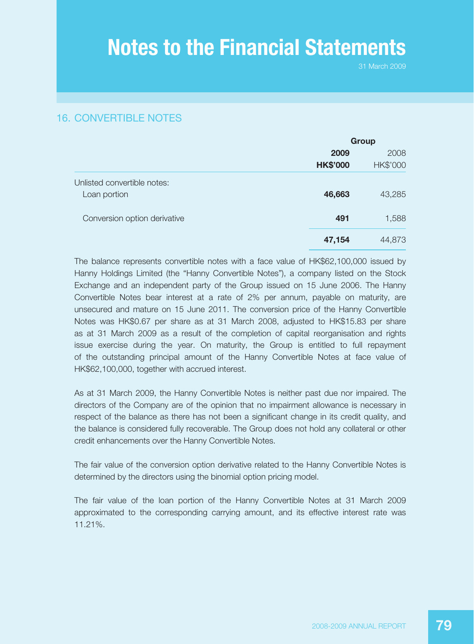31 March 2009

## 16. CONVERTIBLE NOTES

|                              |                 | Group    |  |
|------------------------------|-----------------|----------|--|
|                              | 2009            | 2008     |  |
|                              | <b>HK\$'000</b> | HK\$'000 |  |
| Unlisted convertible notes:  |                 |          |  |
| Loan portion                 | 46,663          | 43,285   |  |
| Conversion option derivative | 491             | 1,588    |  |
|                              | 47,154          | 44,873   |  |

The balance represents convertible notes with a face value of HK\$62,100,000 issued by Hanny Holdings Limited (the "Hanny Convertible Notes"), a company listed on the Stock Exchange and an independent party of the Group issued on 15 June 2006. The Hanny Convertible Notes bear interest at a rate of 2% per annum, payable on maturity, are unsecured and mature on 15 June 2011. The conversion price of the Hanny Convertible Notes was HK\$0.67 per share as at 31 March 2008, adjusted to HK\$15.83 per share as at 31 March 2009 as a result of the completion of capital reorganisation and rights issue exercise during the year. On maturity, the Group is entitled to full repayment of the outstanding principal amount of the Hanny Convertible Notes at face value of HK\$62,100,000, together with accrued interest.

As at 31 March 2009, the Hanny Convertible Notes is neither past due nor impaired. The directors of the Company are of the opinion that no impairment allowance is necessary in respect of the balance as there has not been a significant change in its credit quality, and the balance is considered fully recoverable. The Group does not hold any collateral or other credit enhancements over the Hanny Convertible Notes.

The fair value of the conversion option derivative related to the Hanny Convertible Notes is determined by the directors using the binomial option pricing model.

The fair value of the loan portion of the Hanny Convertible Notes at 31 March 2009 approximated to the corresponding carrying amount, and its effective interest rate was 11.21%.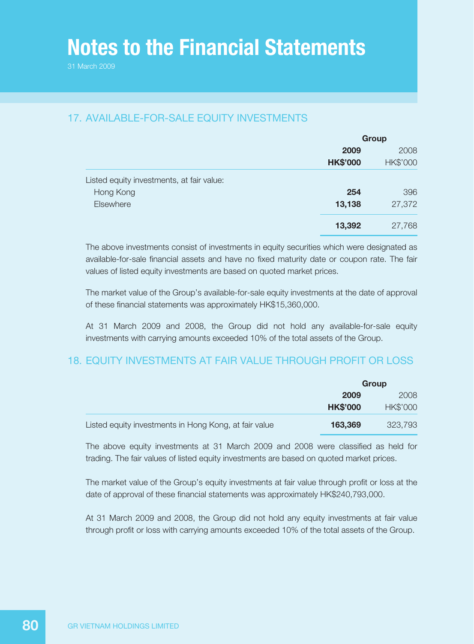## 17. AVAILABLE-FOR-SALE EQUITY INVESTMENTS

|                                           |                 | Group    |  |
|-------------------------------------------|-----------------|----------|--|
|                                           | 2009            | 2008     |  |
|                                           | <b>HK\$'000</b> | HK\$'000 |  |
| Listed equity investments, at fair value: |                 |          |  |
| Hong Kong                                 | 254             | 396      |  |
| Elsewhere                                 | 13,138          | 27,372   |  |
|                                           | 13,392          | 27,768   |  |

The above investments consist of investments in equity securities which were designated as available-for-sale financial assets and have no fixed maturity date or coupon rate. The fair values of listed equity investments are based on quoted market prices.

The market value of the Group's available-for-sale equity investments at the date of approval of these financial statements was approximately HK\$15,360,000.

At 31 March 2009 and 2008, the Group did not hold any available-for-sale equity investments with carrying amounts exceeded 10% of the total assets of the Group.

## 18. EQUITY INVESTMENTS AT FAIR VALUE THROUGH PROFIT OR LOSS

|                                                       | Group           |          |
|-------------------------------------------------------|-----------------|----------|
|                                                       | 2009            | 2008     |
|                                                       | <b>HK\$'000</b> | HK\$'000 |
| Listed equity investments in Hong Kong, at fair value | 163,369         | 323,793  |

The above equity investments at 31 March 2009 and 2008 were classified as held for trading. The fair values of listed equity investments are based on quoted market prices.

The market value of the Group's equity investments at fair value through profit or loss at the date of approval of these financial statements was approximately HK\$240,793,000.

At 31 March 2009 and 2008, the Group did not hold any equity investments at fair value through profit or loss with carrying amounts exceeded 10% of the total assets of the Group.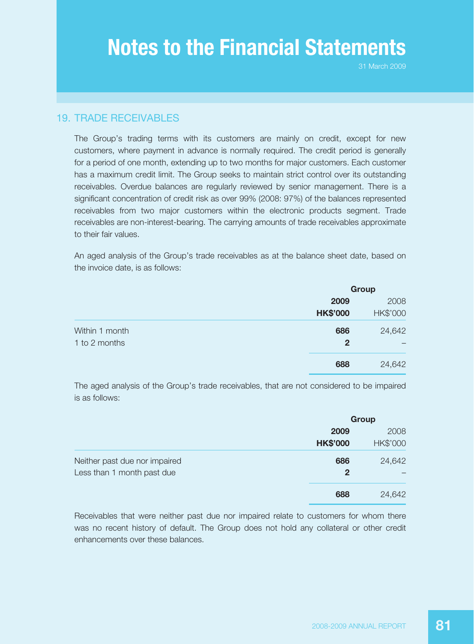31 March 2009

#### 19. TRADE RECEIVABLES

The Group's trading terms with its customers are mainly on credit, except for new customers, where payment in advance is normally required. The credit period is generally for a period of one month, extending up to two months for major customers. Each customer has a maximum credit limit. The Group seeks to maintain strict control over its outstanding receivables. Overdue balances are regularly reviewed by senior management. There is a significant concentration of credit risk as over 99% (2008: 97%) of the balances represented receivables from two major customers within the electronic products segment. Trade receivables are non-interest-bearing. The carrying amounts of trade receivables approximate to their fair values.

An aged analysis of the Group's trade receivables as at the balance sheet date, based on the invoice date, is as follows:

|                |                 | <b>Group</b> |  |
|----------------|-----------------|--------------|--|
|                | 2009            | 2008         |  |
|                | <b>HK\$'000</b> | HK\$'000     |  |
| Within 1 month | 686             | 24,642       |  |
| 1 to 2 months  | $\mathbf{2}$    |              |  |
|                | 688             | 24,642       |  |

The aged analysis of the Group's trade receivables, that are not considered to be impaired is as follows:

|                               | Group           |          |
|-------------------------------|-----------------|----------|
|                               | 2009            | 2008     |
|                               | <b>HK\$'000</b> | HK\$'000 |
| Neither past due nor impaired | 686             | 24,642   |
| Less than 1 month past due    | 2               |          |
|                               | 688             | 24,642   |

Receivables that were neither past due nor impaired relate to customers for whom there was no recent history of default. The Group does not hold any collateral or other credit enhancements over these balances.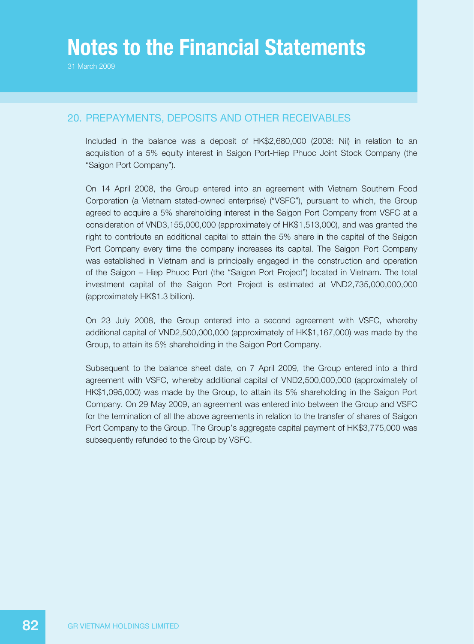### 20. PREPAYMENTS, DEPOSITS AND OTHER RECEIVABLES

Included in the balance was a deposit of HK\$2,680,000 (2008: Nil) in relation to an acquisition of a 5% equity interest in Saigon Port-Hiep Phuoc Joint Stock Company (the "Saigon Port Company").

On 14 April 2008, the Group entered into an agreement with Vietnam Southern Food Corporation (a Vietnam stated-owned enterprise) ("VSFC"), pursuant to which, the Group agreed to acquire a 5% shareholding interest in the Saigon Port Company from VSFC at a consideration of VND3,155,000,000 (approximately of HK\$1,513,000), and was granted the right to contribute an additional capital to attain the 5% share in the capital of the Saigon Port Company every time the company increases its capital. The Saigon Port Company was established in Vietnam and is principally engaged in the construction and operation of the Saigon – Hiep Phuoc Port (the "Saigon Port Project") located in Vietnam. The total investment capital of the Saigon Port Project is estimated at VND2,735,000,000,000 (approximately HK\$1.3 billion).

On 23 July 2008, the Group entered into a second agreement with VSFC, whereby additional capital of VND2,500,000,000 (approximately of HK\$1,167,000) was made by the Group, to attain its 5% shareholding in the Saigon Port Company.

Subsequent to the balance sheet date, on 7 April 2009, the Group entered into a third agreement with VSFC, whereby additional capital of VND2,500,000,000 (approximately of HK\$1,095,000) was made by the Group, to attain its 5% shareholding in the Saigon Port Company. On 29 May 2009, an agreement was entered into between the Group and VSFC for the termination of all the above agreements in relation to the transfer of shares of Saigon Port Company to the Group. The Group's aggregate capital payment of HK\$3,775,000 was subsequently refunded to the Group by VSFC.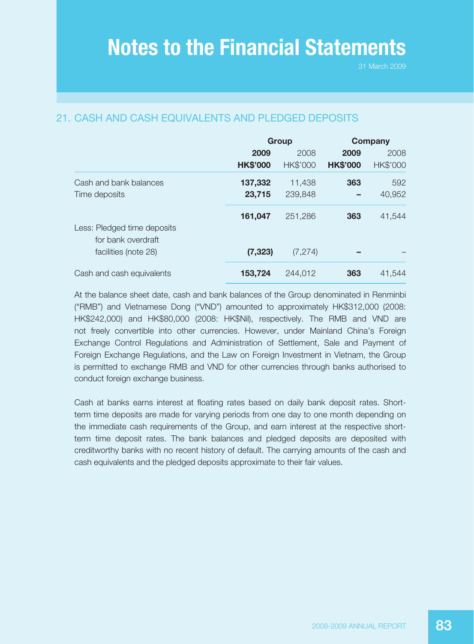31 March 2009

## 21. CASH AND CASH EQUIVALENTS AND PLEDGED DEPOSITS

|                                                   | Group           |          | <b>Company</b>  |          |
|---------------------------------------------------|-----------------|----------|-----------------|----------|
|                                                   | 2009            | 2008     | 2009            | 2008     |
|                                                   | <b>HK\$'000</b> | HK\$'000 | <b>HK\$'000</b> | HK\$'000 |
| Cash and bank balances                            | 137,332         | 11,438   | 363             | 592      |
| Time deposits                                     | 23,715          | 239,848  |                 | 40,952   |
|                                                   | 161,047         | 251,286  | 363             | 41,544   |
| Less: Pledged time deposits<br>for bank overdraft |                 |          |                 |          |
| facilities (note 28)                              | (7, 323)        | (7, 274) |                 |          |
| Cash and cash equivalents                         | 153,724         | 244,012  | 363             | 41,544   |

At the balance sheet date, cash and bank balances of the Group denominated in Renminbi ("RMB") and Vietnamese Dong ("VND") amounted to approximately HK\$312,000 (2008: HK\$242,000) and HK\$80,000 (2008: HK\$Nil), respectively. The RMB and VND are not freely convertible into other currencies. However, under Mainland China's Foreign Exchange Control Regulations and Administration of Settlement, Sale and Payment of Foreign Exchange Regulations, and the Law on Foreign Investment in Vietnam, the Group is permitted to exchange RMB and VND for other currencies through banks authorised to conduct foreign exchange business.

Cash at banks earns interest at floating rates based on daily bank deposit rates. Shortterm time deposits are made for varying periods from one day to one month depending on the immediate cash requirements of the Group, and earn interest at the respective shortterm time deposit rates. The bank balances and pledged deposits are deposited with creditworthy banks with no recent history of default. The carrying amounts of the cash and cash equivalents and the pledged deposits approximate to their fair values.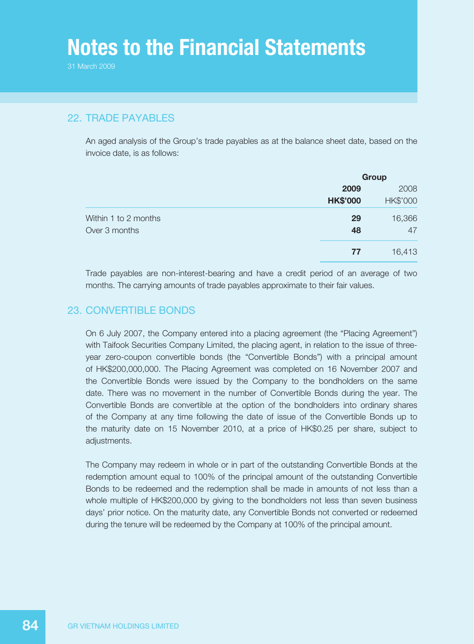## 22. TRADE PAYABLES

An aged analysis of the Group's trade payables as at the balance sheet date, based on the invoice date, is as follows:

|                                       |                         | Group            |  |
|---------------------------------------|-------------------------|------------------|--|
|                                       | 2009<br><b>HK\$'000</b> | 2008<br>HK\$'000 |  |
| Within 1 to 2 months<br>Over 3 months | 29<br>48                | 16,366<br>47     |  |
|                                       | 77                      | 16,413           |  |

Trade payables are non-interest-bearing and have a credit period of an average of two months. The carrying amounts of trade payables approximate to their fair values.

### 23. CONVERTIBLE BONDS

On 6 July 2007, the Company entered into a placing agreement (the "Placing Agreement") with Taifook Securities Company Limited, the placing agent, in relation to the issue of threeyear zero-coupon convertible bonds (the "Convertible Bonds") with a principal amount of HK\$200,000,000. The Placing Agreement was completed on 16 November 2007 and the Convertible Bonds were issued by the Company to the bondholders on the same date. There was no movement in the number of Convertible Bonds during the year. The Convertible Bonds are convertible at the option of the bondholders into ordinary shares of the Company at any time following the date of issue of the Convertible Bonds up to the maturity date on 15 November 2010, at a price of HK\$0.25 per share, subject to adjustments.

The Company may redeem in whole or in part of the outstanding Convertible Bonds at the redemption amount equal to 100% of the principal amount of the outstanding Convertible Bonds to be redeemed and the redemption shall be made in amounts of not less than a whole multiple of HK\$200,000 by giving to the bondholders not less than seven business days' prior notice. On the maturity date, any Convertible Bonds not converted or redeemed during the tenure will be redeemed by the Company at 100% of the principal amount.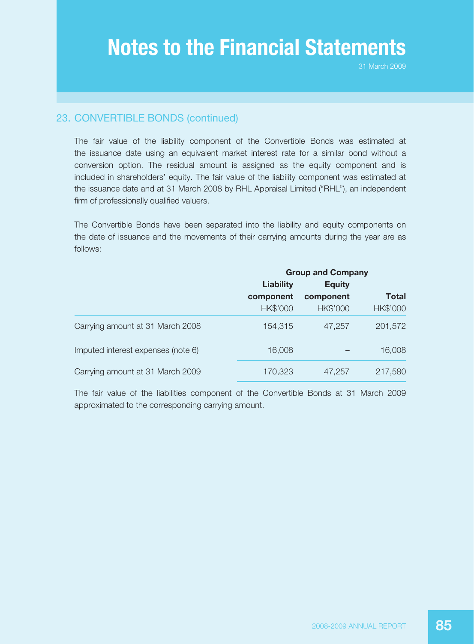31 March 2009

### 23. CONVERTIBLE BONDS (continued)

The fair value of the liability component of the Convertible Bonds was estimated at the issuance date using an equivalent market interest rate for a similar bond without a conversion option. The residual amount is assigned as the equity component and is included in shareholders' equity. The fair value of the liability component was estimated at the issuance date and at 31 March 2008 by RHL Appraisal Limited ("RHL"), an independent firm of professionally qualified valuers.

The Convertible Bonds have been separated into the liability and equity components on the date of issuance and the movements of their carrying amounts during the year are as follows:

|                                    | <b>Group and Company</b> |                 |              |  |
|------------------------------------|--------------------------|-----------------|--------------|--|
|                                    | <b>Liability</b>         | <b>Equity</b>   |              |  |
|                                    | component                | component       | <b>Total</b> |  |
|                                    | <b>HK\$'000</b>          | <b>HK\$'000</b> | HK\$'000     |  |
| Carrying amount at 31 March 2008   | 154,315                  | 47,257          | 201,572      |  |
| Imputed interest expenses (note 6) | 16,008                   |                 | 16,008       |  |
| Carrying amount at 31 March 2009   | 170,323                  | 47,257          | 217,580      |  |

The fair value of the liabilities component of the Convertible Bonds at 31 March 2009 approximated to the corresponding carrying amount.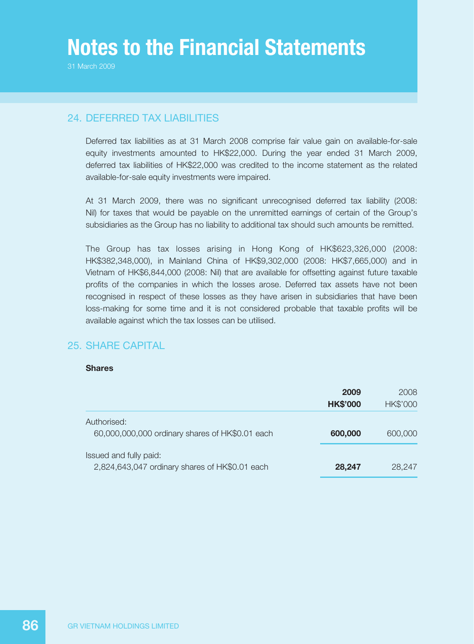### 24. DEFERRED TAX LIABILITIES

Deferred tax liabilities as at 31 March 2008 comprise fair value gain on available-for-sale equity investments amounted to HK\$22,000. During the year ended 31 March 2009, deferred tax liabilities of HK\$22,000 was credited to the income statement as the related available-for-sale equity investments were impaired.

At 31 March 2009, there was no significant unrecognised deferred tax liability (2008: Nil) for taxes that would be payable on the unremitted earnings of certain of the Group's subsidiaries as the Group has no liability to additional tax should such amounts be remitted.

The Group has tax losses arising in Hong Kong of HK\$623,326,000 (2008: HK\$382,348,000), in Mainland China of HK\$9,302,000 (2008: HK\$7,665,000) and in Vietnam of HK\$6,844,000 (2008: Nil) that are available for offsetting against future taxable profits of the companies in which the losses arose. Deferred tax assets have not been recognised in respect of these losses as they have arisen in subsidiaries that have been loss-making for some time and it is not considered probable that taxable profits will be available against which the tax losses can be utilised.

## 25. SHARE CAPITAL

#### **Shares**

|                                                 | 2009            | 2008     |
|-------------------------------------------------|-----------------|----------|
|                                                 | <b>HK\$'000</b> | HK\$'000 |
| Authorised:                                     |                 |          |
| 60,000,000,000 ordinary shares of HK\$0.01 each | 600,000         | 600,000  |
| Issued and fully paid:                          |                 |          |
| 2,824,643,047 ordinary shares of HK\$0.01 each  | 28.247          | 28,247   |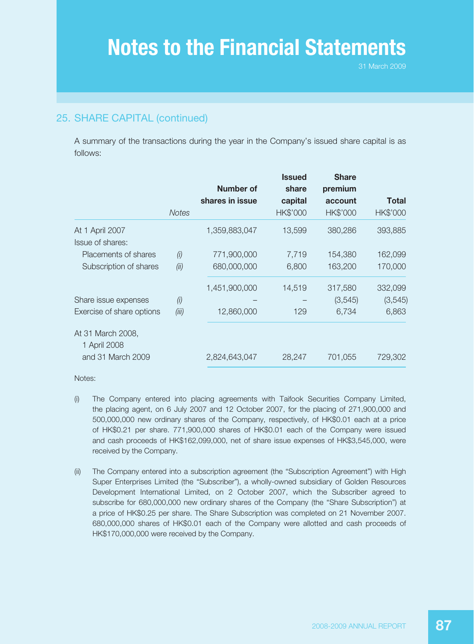## 25. SHARE CAPITAL (continued)

A summary of the transactions during the year in the Company's issued share capital is as follows:

|                                            |              | Number of<br>shares in issue | <b>Issued</b><br>share<br>capital | <b>Share</b><br>premium<br>account | Total    |
|--------------------------------------------|--------------|------------------------------|-----------------------------------|------------------------------------|----------|
|                                            | <b>Notes</b> |                              | <b>HK\$'000</b>                   | HK\$'000                           | HK\$'000 |
| At 1 April 2007<br><b>Issue of shares:</b> |              | 1,359,883,047                | 13,599                            | 380,286                            | 393,885  |
| Placements of shares                       | (i)          | 771,900,000                  | 7,719                             | 154,380                            | 162,099  |
| Subscription of shares                     | (ii)         | 680,000,000                  | 6,800                             | 163,200                            | 170,000  |
|                                            |              | 1,451,900,000                | 14,519                            | 317,580                            | 332,099  |
| Share issue expenses                       | (i)          |                              |                                   | (3,545)                            | (3, 545) |
| Exercise of share options                  | (iii)        | 12,860,000                   | 129                               | 6,734                              | 6,863    |
| At 31 March 2008,<br>1 April 2008          |              |                              |                                   |                                    |          |
| and 31 March 2009                          |              | 2,824,643,047                | 28,247                            | 701,055                            | 729,302  |

Notes:

- (i) The Company entered into placing agreements with Taifook Securities Company Limited, the placing agent, on 6 July 2007 and 12 October 2007, for the placing of 271,900,000 and 500,000,000 new ordinary shares of the Company, respectively, of HK\$0.01 each at a price of HK\$0.21 per share. 771,900,000 shares of HK\$0.01 each of the Company were issued and cash proceeds of HK\$162,099,000, net of share issue expenses of HK\$3,545,000, were received by the Company.
- (ii) The Company entered into a subscription agreement (the "Subscription Agreement") with High Super Enterprises Limited (the "Subscriber"), a wholly-owned subsidiary of Golden Resources Development International Limited, on 2 October 2007, which the Subscriber agreed to subscribe for 680,000,000 new ordinary shares of the Company (the "Share Subscription") at a price of HK\$0.25 per share. The Share Subscription was completed on 21 November 2007. 680,000,000 shares of HK\$0.01 each of the Company were allotted and cash proceeds of HK\$170,000,000 were received by the Company.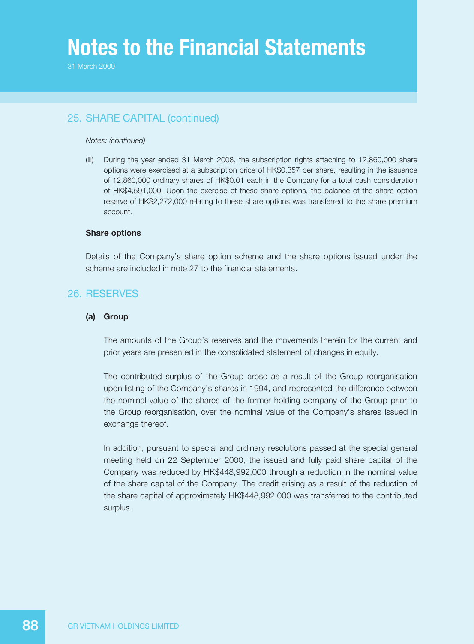### 25. SHARE CAPITAL (continued)

#### *Notes: (continued)*

(iii) During the year ended 31 March 2008, the subscription rights attaching to 12,860,000 share options were exercised at a subscription price of HK\$0.357 per share, resulting in the issuance of 12,860,000 ordinary shares of HK\$0.01 each in the Company for a total cash consideration of HK\$4,591,000. Upon the exercise of these share options, the balance of the share option reserve of HK\$2,272,000 relating to these share options was transferred to the share premium account.

#### **Share options**

Details of the Company's share option scheme and the share options issued under the scheme are included in note 27 to the financial statements.

#### 26. RESERVES

#### **(a) Group**

The amounts of the Group's reserves and the movements therein for the current and prior years are presented in the consolidated statement of changes in equity.

The contributed surplus of the Group arose as a result of the Group reorganisation upon listing of the Company's shares in 1994, and represented the difference between the nominal value of the shares of the former holding company of the Group prior to the Group reorganisation, over the nominal value of the Company's shares issued in exchange thereof.

In addition, pursuant to special and ordinary resolutions passed at the special general meeting held on 22 September 2000, the issued and fully paid share capital of the Company was reduced by HK\$448,992,000 through a reduction in the nominal value of the share capital of the Company. The credit arising as a result of the reduction of the share capital of approximately HK\$448,992,000 was transferred to the contributed surplus.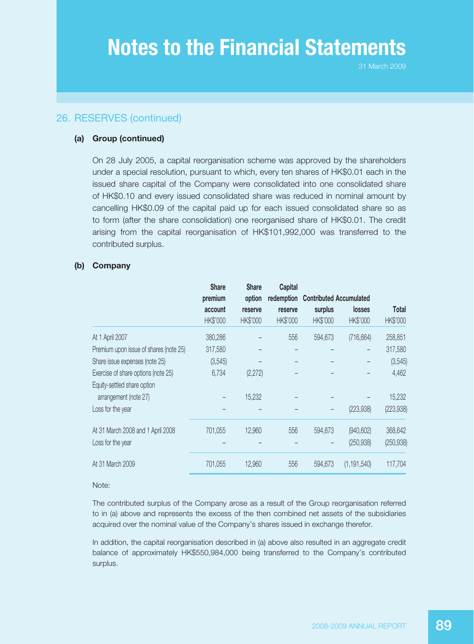31 March 2009

### 26. RESERVES (continued)

#### **(a) Group (continued)**

On 28 July 2005, a capital reorganisation scheme was approved by the shareholders under a special resolution, pursuant to which, every ten shares of HK\$0.01 each in the issued share capital of the Company were consolidated into one consolidated share of HK\$0.10 and every issued consolidated share was reduced in nominal amount by cancelling HK\$0.09 of the capital paid up for each issued consolidated share so as to form (after the share consolidation) one reorganised share of HK\$0.01. The credit arising from the capital reorganisation of HK\$101,992,000 was transferred to the contributed surplus.

#### **(b) Company**

|                                        | <b>Share</b><br>premium | <b>Share</b><br>option | <b>Capital</b><br>redemption | <b>Contributed Accumulated</b> |                    |                   |
|----------------------------------------|-------------------------|------------------------|------------------------------|--------------------------------|--------------------|-------------------|
|                                        | account<br>HK\$'000     | reserve<br>HK\$'000    | reserve<br>HK\$'000          | surplus<br>HK\$'000            | losses<br>HK\$'000 | Total<br>HK\$'000 |
| At 1 April 2007                        | 380,286                 |                        | 556                          | 594,673                        | (716, 664)         | 258,851           |
| Premium upon issue of shares (note 25) | 317,580                 |                        |                              |                                |                    | 317,580           |
| Share issue expenses (note 25)         | (3, 545)                |                        |                              |                                |                    | (3,545)           |
| Exercise of share options (note 25)    | 6,734                   | (2,272)                |                              |                                |                    | 4,462             |
| Equity-settled share option            |                         |                        |                              |                                |                    |                   |
| arrangement (note 27)                  |                         | 15,232                 |                              |                                |                    | 15,232            |
| Loss for the year                      |                         |                        |                              |                                | (223, 938)         | (223, 938)        |
| At 31 March 2008 and 1 April 2008      | 701,055                 | 12,960                 | 556                          | 594.673                        | (940, 602)         | 368,642           |
| Loss for the year                      |                         |                        |                              |                                | (250, 938)         | (250, 938)        |
| At 31 March 2009                       | 701,055                 | 12,960                 | 556                          | 594,673                        | (1, 191, 540)      | 117,704           |
|                                        |                         |                        |                              |                                |                    |                   |

Note:

The contributed surplus of the Company arose as a result of the Group reorganisation referred to in (a) above and represents the excess of the then combined net assets of the subsidiaries acquired over the nominal value of the Company's shares issued in exchange therefor.

In addition, the capital reorganisation described in (a) above also resulted in an aggregate credit balance of approximately HK\$550,984,000 being transferred to the Company's contributed surplus.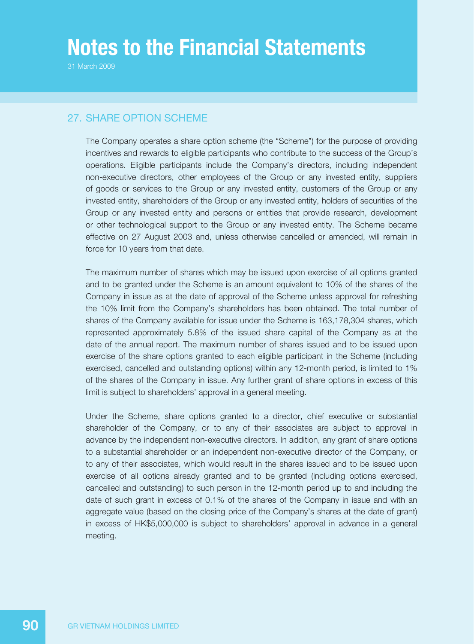31 March 2009

#### 27. SHARE OPTION SCHEME

The Company operates a share option scheme (the "Scheme") for the purpose of providing incentives and rewards to eligible participants who contribute to the success of the Group's operations. Eligible participants include the Company's directors, including independent non-executive directors, other employees of the Group or any invested entity, suppliers of goods or services to the Group or any invested entity, customers of the Group or any invested entity, shareholders of the Group or any invested entity, holders of securities of the Group or any invested entity and persons or entities that provide research, development or other technological support to the Group or any invested entity. The Scheme became effective on 27 August 2003 and, unless otherwise cancelled or amended, will remain in force for 10 years from that date.

The maximum number of shares which may be issued upon exercise of all options granted and to be granted under the Scheme is an amount equivalent to 10% of the shares of the Company in issue as at the date of approval of the Scheme unless approval for refreshing the 10% limit from the Company's shareholders has been obtained. The total number of shares of the Company available for issue under the Scheme is 163,178,304 shares, which represented approximately 5.8% of the issued share capital of the Company as at the date of the annual report. The maximum number of shares issued and to be issued upon exercise of the share options granted to each eligible participant in the Scheme (including exercised, cancelled and outstanding options) within any 12-month period, is limited to 1% of the shares of the Company in issue. Any further grant of share options in excess of this limit is subject to shareholders' approval in a general meeting.

Under the Scheme, share options granted to a director, chief executive or substantial shareholder of the Company, or to any of their associates are subject to approval in advance by the independent non-executive directors. In addition, any grant of share options to a substantial shareholder or an independent non-executive director of the Company, or to any of their associates, which would result in the shares issued and to be issued upon exercise of all options already granted and to be granted (including options exercised, cancelled and outstanding) to such person in the 12-month period up to and including the date of such grant in excess of 0.1% of the shares of the Company in issue and with an aggregate value (based on the closing price of the Company's shares at the date of grant) in excess of HK\$5,000,000 is subject to shareholders' approval in advance in a general meeting.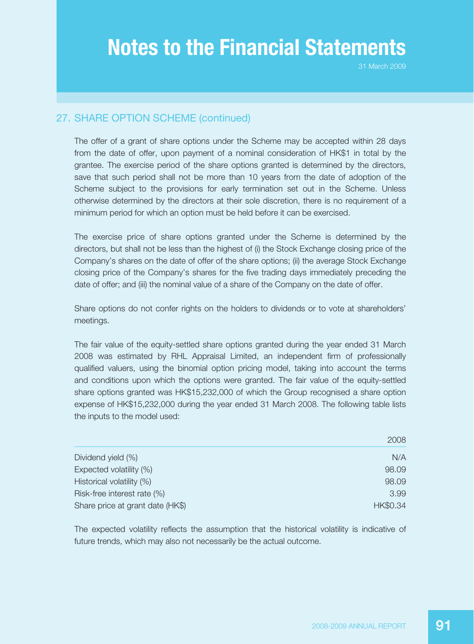31 March 2009

#### 27. SHARE OPTION SCHEME (continued)

The offer of a grant of share options under the Scheme may be accepted within 28 days from the date of offer, upon payment of a nominal consideration of HK\$1 in total by the grantee. The exercise period of the share options granted is determined by the directors, save that such period shall not be more than 10 years from the date of adoption of the Scheme subject to the provisions for early termination set out in the Scheme. Unless otherwise determined by the directors at their sole discretion, there is no requirement of a minimum period for which an option must be held before it can be exercised.

The exercise price of share options granted under the Scheme is determined by the directors, but shall not be less than the highest of (i) the Stock Exchange closing price of the Company's shares on the date of offer of the share options; (ii) the average Stock Exchange closing price of the Company's shares for the five trading days immediately preceding the date of offer; and (iii) the nominal value of a share of the Company on the date of offer.

Share options do not confer rights on the holders to dividends or to vote at shareholders' meetings.

The fair value of the equity-settled share options granted during the year ended 31 March 2008 was estimated by RHL Appraisal Limited, an independent firm of professionally qualified valuers, using the binomial option pricing model, taking into account the terms and conditions upon which the options were granted. The fair value of the equity-settled share options granted was HK\$15,232,000 of which the Group recognised a share option expense of HK\$15,232,000 during the year ended 31 March 2008. The following table lists the inputs to the model used:

|                                  | 2008     |
|----------------------------------|----------|
| Dividend yield (%)               | N/A      |
| Expected volatility (%)          | 98.09    |
| Historical volatility (%)        | 98.09    |
| Risk-free interest rate (%)      | 3.99     |
| Share price at grant date (HK\$) | HK\$0.34 |

The expected volatility reflects the assumption that the historical volatility is indicative of future trends, which may also not necessarily be the actual outcome.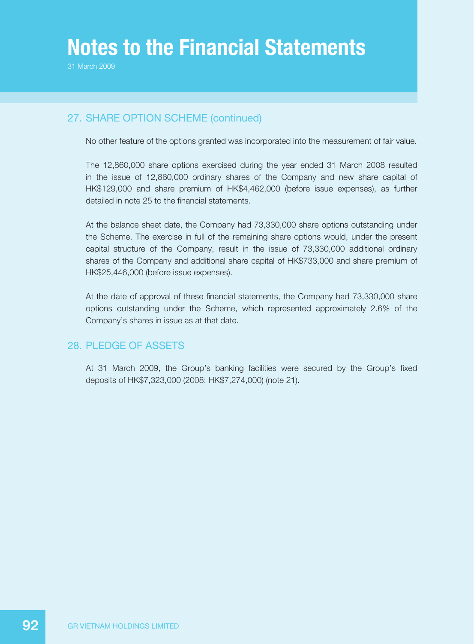## 27. SHARE OPTION SCHEME (continued)

No other feature of the options granted was incorporated into the measurement of fair value.

The 12,860,000 share options exercised during the year ended 31 March 2008 resulted in the issue of 12,860,000 ordinary shares of the Company and new share capital of HK\$129,000 and share premium of HK\$4,462,000 (before issue expenses), as further detailed in note 25 to the financial statements.

At the balance sheet date, the Company had 73,330,000 share options outstanding under the Scheme. The exercise in full of the remaining share options would, under the present capital structure of the Company, result in the issue of 73,330,000 additional ordinary shares of the Company and additional share capital of HK\$733,000 and share premium of HK\$25,446,000 (before issue expenses).

At the date of approval of these financial statements, the Company had 73,330,000 share options outstanding under the Scheme, which represented approximately 2.6% of the Company's shares in issue as at that date.

## 28. PLEDGE OF ASSETS

At 31 March 2009, the Group's banking facilities were secured by the Group's fixed deposits of HK\$7,323,000 (2008: HK\$7,274,000) (note 21).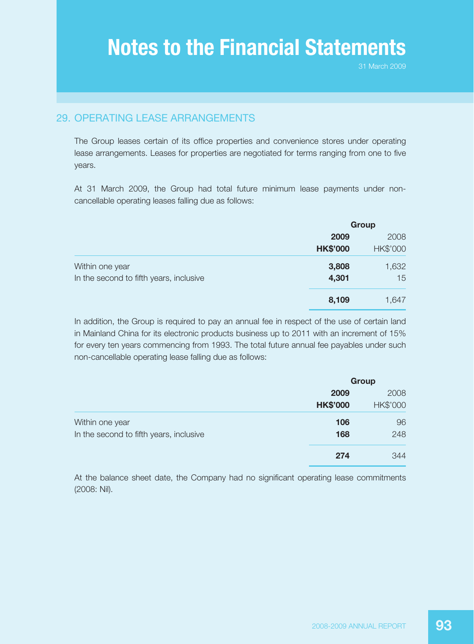31 March 2009

### 29. OPERATING LEASE ARRANGEMENTS

The Group leases certain of its office properties and convenience stores under operating lease arrangements. Leases for properties are negotiated for terms ranging from one to five years.

At 31 March 2009, the Group had total future minimum lease payments under noncancellable operating leases falling due as follows:

|                                                            |                         | <b>Group</b>     |
|------------------------------------------------------------|-------------------------|------------------|
|                                                            | 2009<br><b>HK\$'000</b> | 2008<br>HK\$'000 |
| Within one year<br>In the second to fifth years, inclusive | 3,808<br>4,301          | 1,632<br>15      |
|                                                            | 8,109                   | 1,647            |

In addition, the Group is required to pay an annual fee in respect of the use of certain land in Mainland China for its electronic products business up to 2011 with an increment of 15% for every ten years commencing from 1993. The total future annual fee payables under such non-cancellable operating lease falling due as follows:

|                                         | Group           |          |
|-----------------------------------------|-----------------|----------|
|                                         | 2009            | 2008     |
|                                         | <b>HK\$'000</b> | HK\$'000 |
| Within one year                         | 106             | 96       |
| In the second to fifth years, inclusive | 168             | 248      |
|                                         | 274             | 344      |

At the balance sheet date, the Company had no significant operating lease commitments (2008: Nil).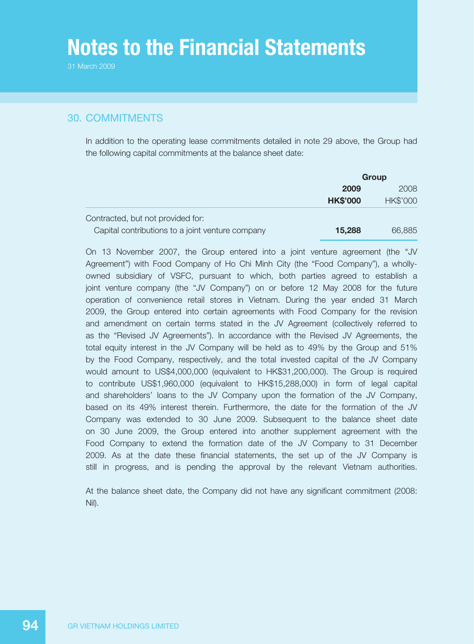#### 30. COMMITMENTS

In addition to the operating lease commitments detailed in note 29 above, the Group had the following capital commitments at the balance sheet date:

|                                                  | Group           |          |
|--------------------------------------------------|-----------------|----------|
|                                                  | 2009            | 2008     |
|                                                  | <b>HK\$'000</b> | HK\$'000 |
| Contracted, but not provided for:                |                 |          |
| Capital contributions to a joint venture company | 15,288          | 66,885   |

On 13 November 2007, the Group entered into a joint venture agreement (the "JV Agreement") with Food Company of Ho Chi Minh City (the "Food Company"), a whollyowned subsidiary of VSFC, pursuant to which, both parties agreed to establish a joint venture company (the "JV Company") on or before 12 May 2008 for the future operation of convenience retail stores in Vietnam. During the year ended 31 March 2009, the Group entered into certain agreements with Food Company for the revision and amendment on certain terms stated in the JV Agreement (collectively referred to as the "Revised JV Agreements"). In accordance with the Revised JV Agreements, the total equity interest in the JV Company will be held as to 49% by the Group and 51% by the Food Company, respectively, and the total invested capital of the JV Company would amount to US\$4,000,000 (equivalent to HK\$31,200,000). The Group is required to contribute US\$1,960,000 (equivalent to HK\$15,288,000) in form of legal capital and shareholders' loans to the JV Company upon the formation of the JV Company, based on its 49% interest therein. Furthermore, the date for the formation of the JV Company was extended to 30 June 2009. Subsequent to the balance sheet date on 30 June 2009, the Group entered into another supplement agreement with the Food Company to extend the formation date of the JV Company to 31 December 2009. As at the date these financial statements, the set up of the JV Company is still in progress, and is pending the approval by the relevant Vietnam authorities.

At the balance sheet date, the Company did not have any significant commitment (2008: Nil).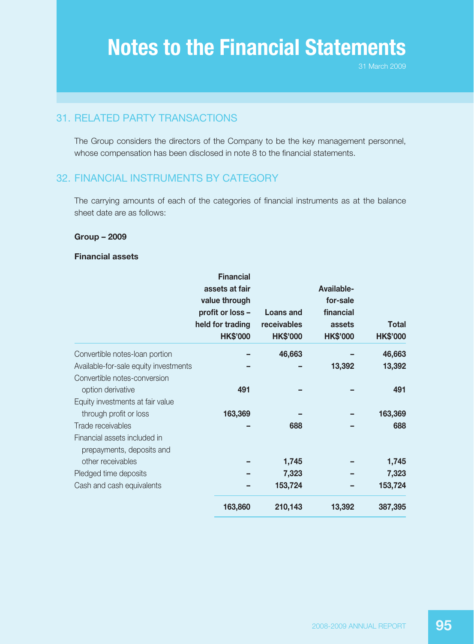31 March 2009

### 31. RELATED PARTY TRANSACTIONS

The Group considers the directors of the Company to be the key management personnel, whose compensation has been disclosed in note 8 to the financial statements.

### 32. FINANCIAL INSTRUMENTS BY CATEGORY

The carrying amounts of each of the categories of financial instruments as at the balance sheet date are as follows:

#### **Group – 2009**

#### **Financial assets**

|                                       | <b>Financial</b><br>assets at fair<br>value through<br>profit or loss -<br>held for trading<br><b>HK\$'000</b> | <b>Loans and</b><br>receivables<br><b>HK\$'000</b> | <b>Available-</b><br>for-sale<br>financial<br>assets<br><b>HK\$'000</b> | <b>Total</b><br><b>HK\$'000</b> |
|---------------------------------------|----------------------------------------------------------------------------------------------------------------|----------------------------------------------------|-------------------------------------------------------------------------|---------------------------------|
| Convertible notes-loan portion        |                                                                                                                | 46,663                                             |                                                                         | 46,663                          |
| Available-for-sale equity investments |                                                                                                                |                                                    | 13,392                                                                  | 13,392                          |
| Convertible notes-conversion          |                                                                                                                |                                                    |                                                                         |                                 |
| option derivative                     | 491                                                                                                            |                                                    |                                                                         | 491                             |
| Equity investments at fair value      |                                                                                                                |                                                    |                                                                         |                                 |
| through profit or loss                | 163,369                                                                                                        |                                                    |                                                                         | 163,369                         |
| Trade receivables                     |                                                                                                                | 688                                                |                                                                         | 688                             |
| Financial assets included in          |                                                                                                                |                                                    |                                                                         |                                 |
| prepayments, deposits and             |                                                                                                                |                                                    |                                                                         |                                 |
| other receivables                     |                                                                                                                | 1,745                                              |                                                                         | 1,745                           |
| Pledged time deposits                 |                                                                                                                | 7,323                                              |                                                                         | 7,323                           |
| Cash and cash equivalents             |                                                                                                                | 153,724                                            |                                                                         | 153,724                         |
|                                       | 163,860                                                                                                        | 210,143                                            | 13,392                                                                  | 387,395                         |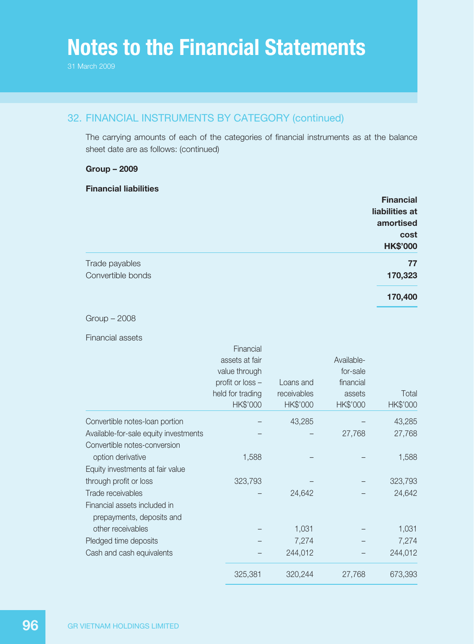## 32. FINANCIAL INSTRUMENTS BY CATEGORY (continued)

The carrying amounts of each of the categories of financial instruments as at the balance sheet date are as follows: (continued)

#### **Group – 2009**

#### **Financial liabilities**

|                   | <b>Financial</b> |
|-------------------|------------------|
|                   | liabilities at   |
|                   | amortised        |
|                   | cost             |
|                   | <b>HK\$'000</b>  |
| Trade payables    | 77               |
| Convertible bonds | 170,323          |
|                   | 170,400          |

Group – 2008

Financial assets

|                                       | Financial        |             |            |          |
|---------------------------------------|------------------|-------------|------------|----------|
|                                       | assets at fair   |             | Available- |          |
|                                       | value through    |             | for-sale   |          |
|                                       | profit or loss - | Loans and   | financial  |          |
|                                       | held for trading | receivables | assets     | Total    |
|                                       | HK\$'000         | HK\$'000    | HK\$'000   | HK\$'000 |
| Convertible notes-loan portion        |                  | 43,285      |            | 43,285   |
| Available-for-sale equity investments |                  |             | 27,768     | 27,768   |
| Convertible notes-conversion          |                  |             |            |          |
| option derivative                     | 1,588            |             |            | 1,588    |
| Equity investments at fair value      |                  |             |            |          |
| through profit or loss                | 323,793          |             |            | 323,793  |
| Trade receivables                     |                  | 24,642      |            | 24,642   |
| Financial assets included in          |                  |             |            |          |
| prepayments, deposits and             |                  |             |            |          |
| other receivables                     |                  | 1,031       |            | 1,031    |
| Pledged time deposits                 |                  | 7,274       |            | 7,274    |
| Cash and cash equivalents             |                  | 244,012     |            | 244,012  |
|                                       | 325,381          | 320,244     | 27,768     | 673,393  |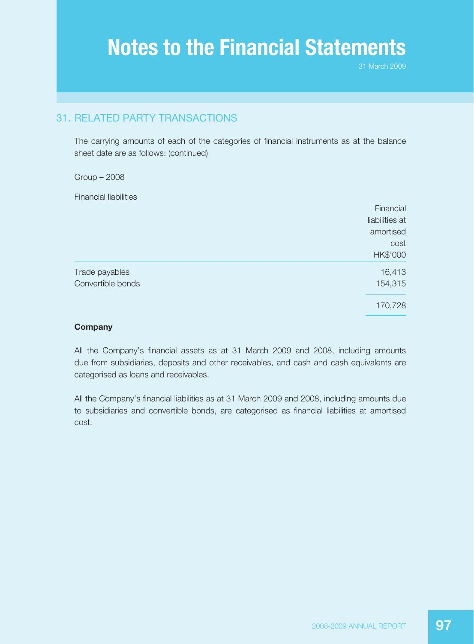31 March 2009

## 31. RELATED PARTY TRANSACTIONS

The carrying amounts of each of the categories of financial instruments as at the balance sheet date are as follows: (continued)

Group – 2008

Financial liabilities

|                   | Financial      |
|-------------------|----------------|
|                   | liabilities at |
|                   | amortised      |
|                   | cost           |
|                   | HK\$'000       |
| Trade payables    | 16,413         |
| Convertible bonds | 154,315        |
|                   | 170,728        |

#### **Company**

All the Company's financial assets as at 31 March 2009 and 2008, including amounts due from subsidiaries, deposits and other receivables, and cash and cash equivalents are categorised as loans and receivables.

All the Company's financial liabilities as at 31 March 2009 and 2008, including amounts due to subsidiaries and convertible bonds, are categorised as financial liabilities at amortised cost.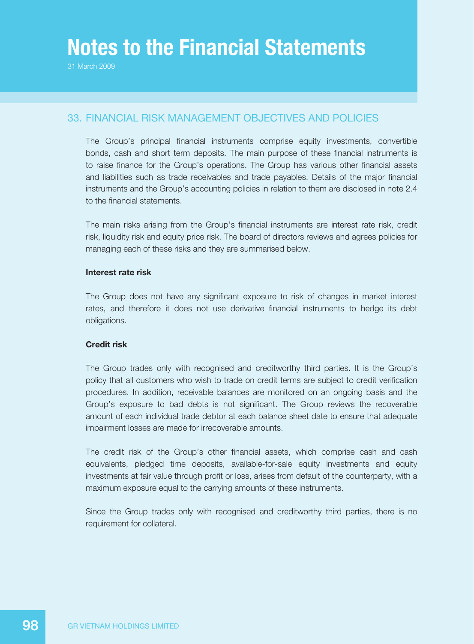### 33. FINANCIAL RISK MANAGEMENT OBJECTIVES AND POLICIES

The Group's principal financial instruments comprise equity investments, convertible bonds, cash and short term deposits. The main purpose of these financial instruments is to raise finance for the Group's operations. The Group has various other financial assets and liabilities such as trade receivables and trade payables. Details of the major financial instruments and the Group's accounting policies in relation to them are disclosed in note 2.4 to the financial statements.

The main risks arising from the Group's financial instruments are interest rate risk, credit risk, liquidity risk and equity price risk. The board of directors reviews and agrees policies for managing each of these risks and they are summarised below.

#### **Interest rate risk**

The Group does not have any significant exposure to risk of changes in market interest rates, and therefore it does not use derivative financial instruments to hedge its debt obligations.

#### **Credit risk**

The Group trades only with recognised and creditworthy third parties. It is the Group's policy that all customers who wish to trade on credit terms are subject to credit verification procedures. In addition, receivable balances are monitored on an ongoing basis and the Group's exposure to bad debts is not significant. The Group reviews the recoverable amount of each individual trade debtor at each balance sheet date to ensure that adequate impairment losses are made for irrecoverable amounts.

The credit risk of the Group's other financial assets, which comprise cash and cash equivalents, pledged time deposits, available-for-sale equity investments and equity investments at fair value through profit or loss, arises from default of the counterparty, with a maximum exposure equal to the carrying amounts of these instruments.

Since the Group trades only with recognised and creditworthy third parties, there is no requirement for collateral.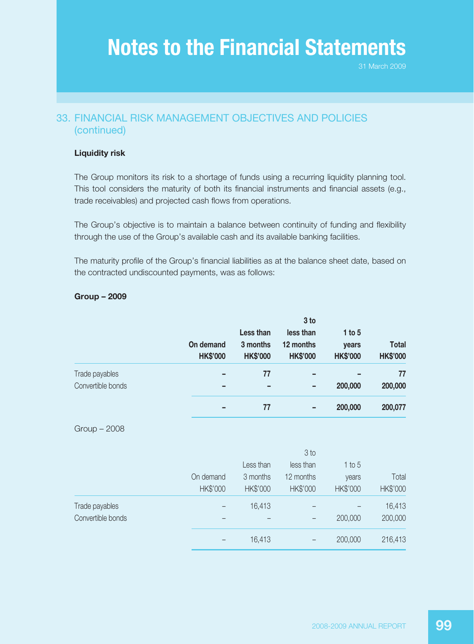31 March 2009

## 33. FINANCIAL RISK MANAGEMENT OBJECTIVES AND POLICIES (continued)

#### **Liquidity risk**

The Group monitors its risk to a shortage of funds using a recurring liquidity planning tool. This tool considers the maturity of both its financial instruments and financial assets (e.g., trade receivables) and projected cash flows from operations.

The Group's objective is to maintain a balance between continuity of funding and flexibility through the use of the Group's available cash and its available banking facilities.

The maturity profile of the Group's financial liabilities as at the balance sheet date, based on the contracted undiscounted payments, was as follows:

#### **Group – 2009**

|                   | On demand<br><b>HK\$'000</b> | Less than<br>3 months<br><b>HK\$'000</b> | 3 to<br>less than<br>12 months<br><b>HK\$'000</b> | 1 to $5$<br><b>vears</b><br><b>HK\$'000</b> | Total<br><b>HK\$'000</b> |
|-------------------|------------------------------|------------------------------------------|---------------------------------------------------|---------------------------------------------|--------------------------|
| Trade payables    | $\equiv$                     | 77                                       | $\overline{\phantom{a}}$                          | $\overline{\phantom{a}}$                    | 77                       |
| Convertible bonds | $\equiv$                     |                                          | $\overline{\phantom{a}}$                          | 200,000                                     | 200,000                  |
|                   |                              | 77                                       | $\overline{\phantom{a}}$                          | 200,000                                     | 200,077                  |

Group – 2008

|                   |           |           | 3 to      |          |          |
|-------------------|-----------|-----------|-----------|----------|----------|
|                   |           | Less than | less than | 1 to $5$ |          |
|                   | On demand | 3 months  | 12 months | years    | Total    |
|                   | HK\$'000  | HK\$'000  | HK\$'000  | HK\$'000 | HK\$'000 |
| Trade payables    |           | 16,413    |           |          | 16,413   |
| Convertible bonds |           |           |           | 200,000  | 200,000  |
|                   |           | 16,413    |           | 200,000  | 216,413  |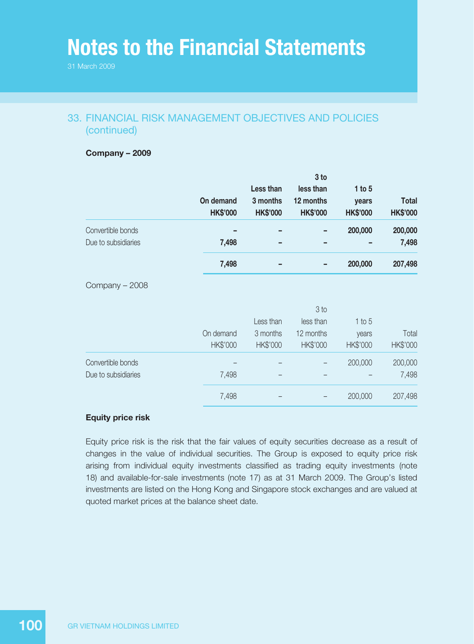## 33. FINANCIAL RISK MANAGEMENT OBJECTIVES AND POLICIES (continued)

#### **Company – 2009**

|                     |                              |                             | 3 <sub>to</sub>              |                          |                                 |
|---------------------|------------------------------|-----------------------------|------------------------------|--------------------------|---------------------------------|
|                     |                              | Less than                   | less than                    | 1 to $5$                 |                                 |
|                     | On demand<br><b>HK\$'000</b> | 3 months<br><b>HK\$'000</b> | 12 months<br><b>HK\$'000</b> | years<br><b>HK\$'000</b> | <b>Total</b><br><b>HK\$'000</b> |
| Convertible bonds   | -                            | $\overline{\phantom{a}}$    | $\overline{\phantom{0}}$     | 200,000                  | 200,000                         |
| Due to subsidiaries | 7,498                        | $\overline{\phantom{a}}$    | $\overline{\phantom{a}}$     | -                        | 7,498                           |
|                     | 7,498                        | -                           | $\overline{\phantom{0}}$     | 200,000                  | 207,498                         |
| Company $-2008$     |                              |                             |                              |                          |                                 |

|                     |           |                 | 3 <sub>to</sub> |          |                 |
|---------------------|-----------|-----------------|-----------------|----------|-----------------|
|                     |           | Less than       | less than       | 1 to 5   |                 |
|                     | On demand | 3 months        | 12 months       | years    | Total           |
|                     | HK\$'000  | <b>HK\$'000</b> | <b>HK\$'000</b> | HK\$'000 | <b>HK\$'000</b> |
| Convertible bonds   |           |                 |                 | 200,000  | 200,000         |
| Due to subsidiaries | 7,498     |                 |                 |          | 7,498           |
|                     | 7,498     |                 |                 | 200,000  | 207,498         |

#### **Equity price risk**

Equity price risk is the risk that the fair values of equity securities decrease as a result of changes in the value of individual securities. The Group is exposed to equity price risk arising from individual equity investments classified as trading equity investments (note 18) and available-for-sale investments (note 17) as at 31 March 2009. The Group's listed investments are listed on the Hong Kong and Singapore stock exchanges and are valued at quoted market prices at the balance sheet date.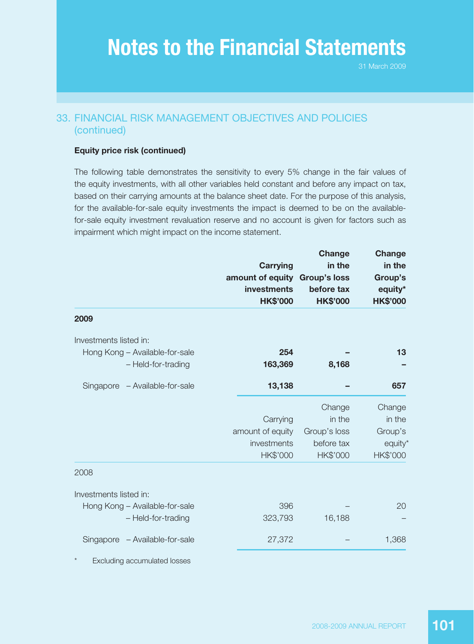31 March 2009

## 33. FINANCIAL RISK MANAGEMENT OBJECTIVES AND POLICIES (continued)

#### **Equity price risk (continued)**

The following table demonstrates the sensitivity to every 5% change in the fair values of the equity investments, with all other variables held constant and before any impact on tax, based on their carrying amounts at the balance sheet date. For the purpose of this analysis, for the available-for-sale equity investments the impact is deemed to be on the availablefor-sale equity investment revaluation reserve and no account is given for factors such as impairment which might impact on the income statement.

|                                | <b>Carrying</b><br>amount of equity<br>investments | Change<br>in the<br><b>Group's loss</b><br>before tax | <b>Change</b><br>in the<br>Group's<br>equity* |
|--------------------------------|----------------------------------------------------|-------------------------------------------------------|-----------------------------------------------|
|                                | <b>HK\$'000</b>                                    | <b>HK\$'000</b>                                       | <b>HK\$'000</b>                               |
| 2009                           |                                                    |                                                       |                                               |
| Investments listed in:         |                                                    |                                                       |                                               |
| Hong Kong - Available-for-sale | 254                                                |                                                       | 13                                            |
| - Held-for-trading             | 163,369                                            | 8,168                                                 |                                               |
| Singapore - Available-for-sale | 13,138                                             |                                                       | 657                                           |
|                                |                                                    | Change                                                | Change                                        |
|                                | Carrying                                           | in the                                                | in the                                        |
|                                | amount of equity                                   | Group's loss                                          | Group's                                       |
|                                | investments                                        | before tax                                            | equity <sup>*</sup>                           |
|                                | HK\$'000                                           | HK\$'000                                              | <b>HK\$'000</b>                               |
| 2008                           |                                                    |                                                       |                                               |
| Investments listed in:         |                                                    |                                                       |                                               |
| Hong Kong - Available-for-sale | 396                                                |                                                       | 20                                            |
| - Held-for-trading             | 323,793                                            | 16,188                                                |                                               |
| Singapore - Available-for-sale | 27,372                                             |                                                       | 1,368                                         |
|                                |                                                    |                                                       |                                               |

**Excluding accumulated losses**